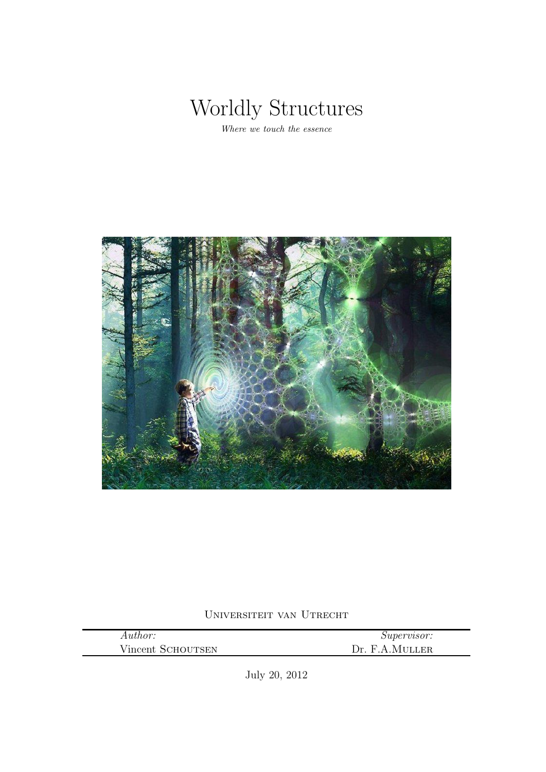

Where we touch the essence



Universiteit van Utrecht

| Author:           | <i>Supervisor:</i>  |
|-------------------|---------------------|
| Vincent SCHOUTSEN | . F.A.Muller<br>Dr. |

July 20, 2012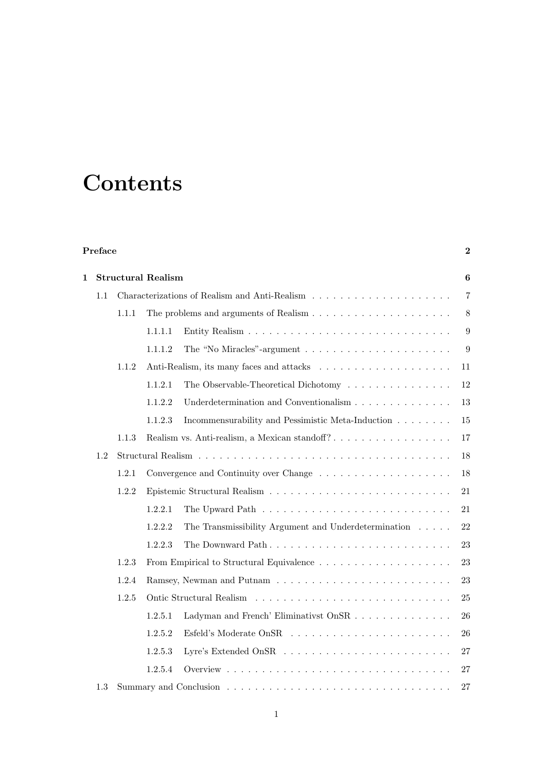# **Contents**

#### Preface the contract of the contract of the contract of the contract of  $2$

| $\mathbf{1}$ |     | <b>Structural Realism</b> |                |                                                                              | $\boldsymbol{6}$ |
|--------------|-----|---------------------------|----------------|------------------------------------------------------------------------------|------------------|
| 1.1          |     |                           | $\overline{7}$ |                                                                              |                  |
|              |     | 1.1.1                     |                |                                                                              | 8                |
|              |     |                           | 1.1.1.1        |                                                                              | $\boldsymbol{9}$ |
|              |     |                           | 1.1.1.2        | The "No Miracles"-argument $\dots \dots \dots \dots \dots \dots \dots \dots$ | 9                |
|              |     | 1.1.2                     |                |                                                                              | 11               |
|              |     |                           | 1.1.2.1        | The Observable-Theoretical Dichotomy                                         | 12               |
|              |     |                           | 1.1.2.2        | Underdetermination and Conventionalism                                       | 13               |
|              |     |                           | 1.1.2.3        | Incommensurability and Pessimistic Meta-Induction                            | 15               |
|              |     | 1.1.3                     |                | Realism vs. Anti-realism, a Mexican standoff?                                | 17               |
|              | 1.2 |                           |                |                                                                              | 18               |
|              |     | 1.2.1                     |                |                                                                              | 18               |
|              |     | 1.2.2                     |                |                                                                              | 21               |
|              |     |                           | 1.2.2.1        |                                                                              | 21               |
|              |     |                           | 1.2.2.2        | The Transmissibility Argument and Underdetermination $\ldots \ldots$         | 22               |
|              |     |                           | 1.2.2.3        |                                                                              | 23               |
|              |     | 1.2.3                     |                |                                                                              | 23               |
|              |     | 1.2.4                     |                |                                                                              | 23               |
|              |     | 1.2.5                     |                |                                                                              | 25               |
|              |     |                           | 1.2.5.1        | Ladyman and French' Eliminativst OnSR                                        | 26               |
|              |     |                           | 1.2.5.2        |                                                                              | 26               |
|              |     |                           | 1.2.5.3        |                                                                              | 27               |
|              |     |                           | 1.2.5.4        |                                                                              | 27               |
|              | 1.3 |                           |                |                                                                              | 27               |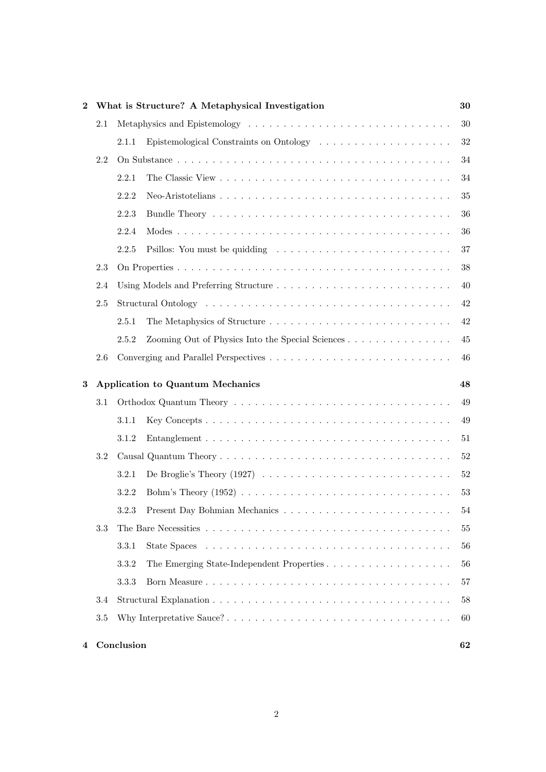| What is Structure? A Metaphysical Investigation<br>$\bf{2}$ |     |       |                                                                                                    | 30     |  |
|-------------------------------------------------------------|-----|-------|----------------------------------------------------------------------------------------------------|--------|--|
|                                                             | 2.1 |       |                                                                                                    | $30\,$ |  |
|                                                             |     | 2.1.1 |                                                                                                    | 32     |  |
|                                                             | 2.2 |       |                                                                                                    | 34     |  |
|                                                             |     | 2.2.1 |                                                                                                    | $34\,$ |  |
|                                                             |     | 2.2.2 |                                                                                                    | $35\,$ |  |
|                                                             |     | 2.2.3 |                                                                                                    | 36     |  |
|                                                             |     | 2.2.4 |                                                                                                    | 36     |  |
|                                                             |     | 2.2.5 |                                                                                                    | $37\,$ |  |
|                                                             | 2.3 |       |                                                                                                    | 38     |  |
|                                                             | 2.4 |       |                                                                                                    | 40     |  |
|                                                             | 2.5 |       |                                                                                                    | $42\,$ |  |
|                                                             |     | 2.5.1 |                                                                                                    | $42\,$ |  |
|                                                             |     | 2.5.2 |                                                                                                    | 45     |  |
|                                                             | 2.6 |       |                                                                                                    | 46     |  |
| 3                                                           |     |       | Application to Quantum Mechanics                                                                   | 48     |  |
|                                                             |     |       |                                                                                                    |        |  |
|                                                             | 3.1 |       |                                                                                                    | $49\,$ |  |
|                                                             |     | 3.1.1 |                                                                                                    | $49\,$ |  |
|                                                             |     | 3.1.2 |                                                                                                    | 51     |  |
|                                                             | 3.2 |       |                                                                                                    | $52\,$ |  |
|                                                             |     | 3.2.1 | De Broglie's Theory $(1927) \ldots \ldots \ldots \ldots \ldots \ldots \ldots \ldots \ldots \ldots$ | $52\,$ |  |
|                                                             |     | 3.2.2 |                                                                                                    | 53     |  |
|                                                             |     | 3.2.3 |                                                                                                    | $54\,$ |  |
|                                                             | 3.3 |       |                                                                                                    | 55     |  |
|                                                             |     | 3.3.1 | State Spaces                                                                                       | 56     |  |
|                                                             |     | 3.3.2 | The Emerging State-Independent Properties                                                          | 56     |  |
|                                                             |     | 3.3.3 |                                                                                                    | 57     |  |
|                                                             | 3.4 |       |                                                                                                    | 58     |  |
|                                                             | 3.5 |       |                                                                                                    | 60     |  |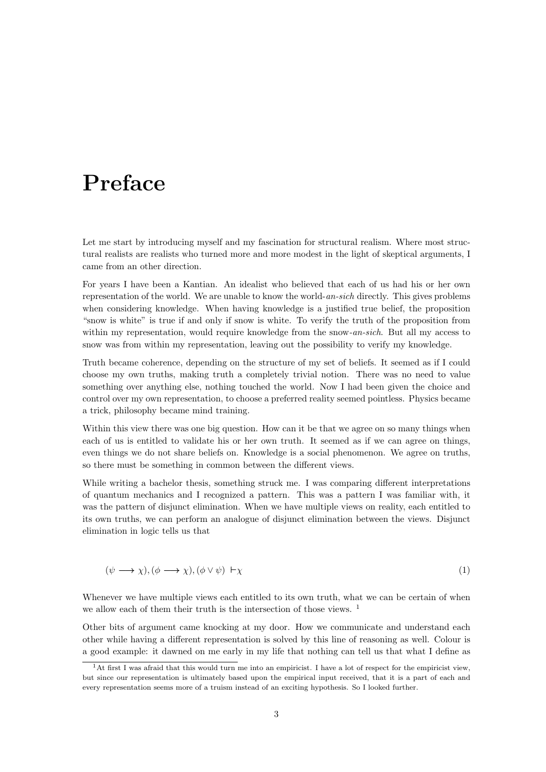## Preface

Let me start by introducing myself and my fascination for structural realism. Where most structural realists are realists who turned more and more modest in the light of skeptical arguments, I came from an other direction.

For years I have been a Kantian. An idealist who believed that each of us had his or her own representation of the world. We are unable to know the world-an-sich directly. This gives problems when considering knowledge. When having knowledge is a justified true belief, the proposition "snow is white" is true if and only if snow is white. To verify the truth of the proposition from within my representation, would require knowledge from the snow-an-sich. But all my access to snow was from within my representation, leaving out the possibility to verify my knowledge.

Truth became coherence, depending on the structure of my set of beliefs. It seemed as if I could choose my own truths, making truth a completely trivial notion. There was no need to value something over anything else, nothing touched the world. Now I had been given the choice and control over my own representation, to choose a preferred reality seemed pointless. Physics became a trick, philosophy became mind training.

Within this view there was one big question. How can it be that we agree on so many things when each of us is entitled to validate his or her own truth. It seemed as if we can agree on things, even things we do not share beliefs on. Knowledge is a social phenomenon. We agree on truths, so there must be something in common between the different views.

While writing a bachelor thesis, something struck me. I was comparing different interpretations of quantum mechanics and I recognized a pattern. This was a pattern I was familiar with, it was the pattern of disjunct elimination. When we have multiple views on reality, each entitled to its own truths, we can perform an analogue of disjunct elimination between the views. Disjunct elimination in logic tells us that

$$
(\psi \longrightarrow \chi), (\phi \longrightarrow \chi), (\phi \lor \psi) \vdash \chi \tag{1}
$$

Whenever we have multiple views each entitled to its own truth, what we can be certain of when we allow each of them their truth is the intersection of those views. <sup>1</sup>

Other bits of argument came knocking at my door. How we communicate and understand each other while having a different representation is solved by this line of reasoning as well. Colour is a good example: it dawned on me early in my life that nothing can tell us that what I define as

<sup>&</sup>lt;sup>1</sup>At first I was afraid that this would turn me into an empiricist. I have a lot of respect for the empiricist view, but since our representation is ultimately based upon the empirical input received, that it is a part of each and every representation seems more of a truism instead of an exciting hypothesis. So I looked further.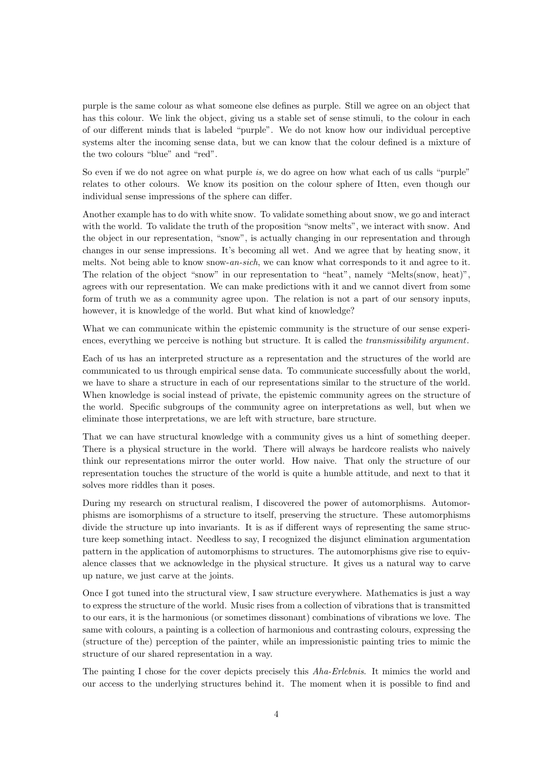purple is the same colour as what someone else defines as purple. Still we agree on an object that has this colour. We link the object, giving us a stable set of sense stimuli, to the colour in each of our different minds that is labeled "purple". We do not know how our individual perceptive systems alter the incoming sense data, but we can know that the colour defined is a mixture of the two colours "blue" and "red".

So even if we do not agree on what purple is, we do agree on how what each of us calls "purple" relates to other colours. We know its position on the colour sphere of Itten, even though our individual sense impressions of the sphere can differ.

Another example has to do with white snow. To validate something about snow, we go and interact with the world. To validate the truth of the proposition "snow melts", we interact with snow. And the object in our representation, "snow", is actually changing in our representation and through changes in our sense impressions. It's becoming all wet. And we agree that by heating snow, it melts. Not being able to know snow-an-sich, we can know what corresponds to it and agree to it. The relation of the object "snow" in our representation to "heat", namely "Melts(snow, heat)", agrees with our representation. We can make predictions with it and we cannot divert from some form of truth we as a community agree upon. The relation is not a part of our sensory inputs, however, it is knowledge of the world. But what kind of knowledge?

What we can communicate within the epistemic community is the structure of our sense experiences, everything we perceive is nothing but structure. It is called the *transmissibility argument*.

Each of us has an interpreted structure as a representation and the structures of the world are communicated to us through empirical sense data. To communicate successfully about the world, we have to share a structure in each of our representations similar to the structure of the world. When knowledge is social instead of private, the epistemic community agrees on the structure of the world. Specific subgroups of the community agree on interpretations as well, but when we eliminate those interpretations, we are left with structure, bare structure.

That we can have structural knowledge with a community gives us a hint of something deeper. There is a physical structure in the world. There will always be hardcore realists who naively think our representations mirror the outer world. How naive. That only the structure of our representation touches the structure of the world is quite a humble attitude, and next to that it solves more riddles than it poses.

During my research on structural realism, I discovered the power of automorphisms. Automorphisms are isomorphisms of a structure to itself, preserving the structure. These automorphisms divide the structure up into invariants. It is as if different ways of representing the same structure keep something intact. Needless to say, I recognized the disjunct elimination argumentation pattern in the application of automorphisms to structures. The automorphisms give rise to equivalence classes that we acknowledge in the physical structure. It gives us a natural way to carve up nature, we just carve at the joints.

Once I got tuned into the structural view, I saw structure everywhere. Mathematics is just a way to express the structure of the world. Music rises from a collection of vibrations that is transmitted to our ears, it is the harmonious (or sometimes dissonant) combinations of vibrations we love. The same with colours, a painting is a collection of harmonious and contrasting colours, expressing the (structure of the) perception of the painter, while an impressionistic painting tries to mimic the structure of our shared representation in a way.

The painting I chose for the cover depicts precisely this Aha-Erlebnis. It mimics the world and our access to the underlying structures behind it. The moment when it is possible to find and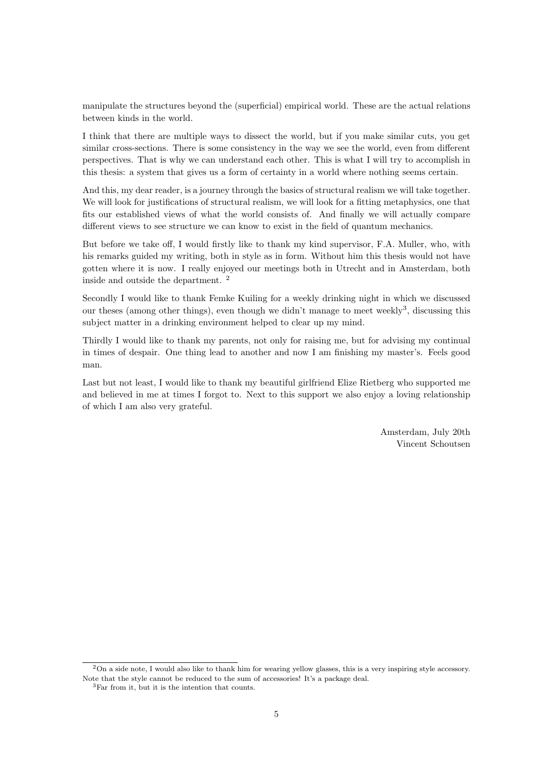manipulate the structures beyond the (superficial) empirical world. These are the actual relations between kinds in the world.

I think that there are multiple ways to dissect the world, but if you make similar cuts, you get similar cross-sections. There is some consistency in the way we see the world, even from different perspectives. That is why we can understand each other. This is what I will try to accomplish in this thesis: a system that gives us a form of certainty in a world where nothing seems certain.

And this, my dear reader, is a journey through the basics of structural realism we will take together. We will look for justifications of structural realism, we will look for a fitting metaphysics, one that fits our established views of what the world consists of. And finally we will actually compare different views to see structure we can know to exist in the field of quantum mechanics.

But before we take off, I would firstly like to thank my kind supervisor, F.A. Muller, who, with his remarks guided my writing, both in style as in form. Without him this thesis would not have gotten where it is now. I really enjoyed our meetings both in Utrecht and in Amsterdam, both inside and outside the department. <sup>2</sup>

Secondly I would like to thank Femke Kuiling for a weekly drinking night in which we discussed our theses (among other things), even though we didn't manage to meet weekly<sup>3</sup>, discussing this subject matter in a drinking environment helped to clear up my mind.

Thirdly I would like to thank my parents, not only for raising me, but for advising my continual in times of despair. One thing lead to another and now I am finishing my master's. Feels good man.

Last but not least, I would like to thank my beautiful girlfriend Elize Rietberg who supported me and believed in me at times I forgot to. Next to this support we also enjoy a loving relationship of which I am also very grateful.

> Amsterdam, July 20th Vincent Schoutsen

<sup>2</sup>On a side note, I would also like to thank him for wearing yellow glasses, this is a very inspiring style accessory. Note that the style cannot be reduced to the sum of accessories! It's a package deal.

<sup>3</sup>Far from it, but it is the intention that counts.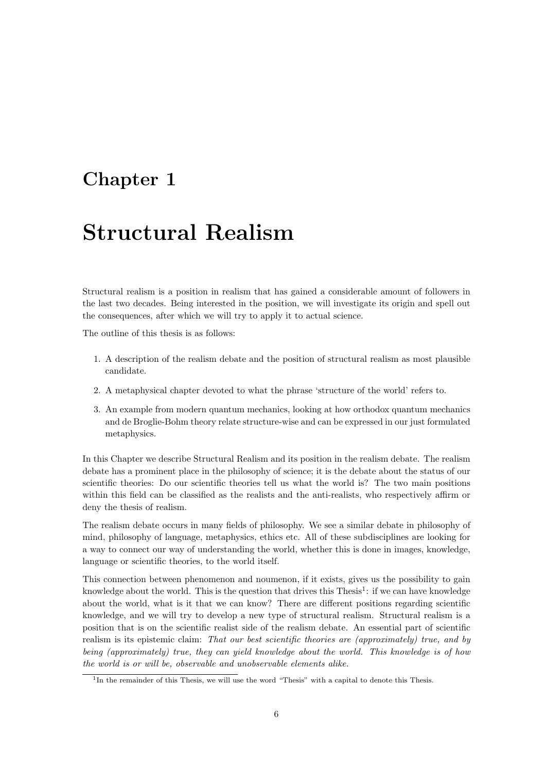### Chapter 1

## Structural Realism

Structural realism is a position in realism that has gained a considerable amount of followers in the last two decades. Being interested in the position, we will investigate its origin and spell out the consequences, after which we will try to apply it to actual science.

The outline of this thesis is as follows:

- 1. A description of the realism debate and the position of structural realism as most plausible candidate.
- 2. A metaphysical chapter devoted to what the phrase 'structure of the world' refers to.
- 3. An example from modern quantum mechanics, looking at how orthodox quantum mechanics and de Broglie-Bohm theory relate structure-wise and can be expressed in our just formulated metaphysics.

In this Chapter we describe Structural Realism and its position in the realism debate. The realism debate has a prominent place in the philosophy of science; it is the debate about the status of our scientific theories: Do our scientific theories tell us what the world is? The two main positions within this field can be classified as the realists and the anti-realists, who respectively affirm or deny the thesis of realism.

The realism debate occurs in many fields of philosophy. We see a similar debate in philosophy of mind, philosophy of language, metaphysics, ethics etc. All of these subdisciplines are looking for a way to connect our way of understanding the world, whether this is done in images, knowledge, language or scientific theories, to the world itself.

This connection between phenomenon and noumenon, if it exists, gives us the possibility to gain knowledge about the world. This is the question that drives this Thesis<sup>1</sup>: if we can have knowledge about the world, what is it that we can know? There are different positions regarding scientific knowledge, and we will try to develop a new type of structural realism. Structural realism is a position that is on the scientific realist side of the realism debate. An essential part of scientific realism is its epistemic claim: That our best scientific theories are (approximately) true, and by being (approximately) true, they can yield knowledge about the world. This knowledge is of how the world is or will be, observable and unobservable elements alike.

<sup>&</sup>lt;sup>1</sup>In the remainder of this Thesis, we will use the word "Thesis" with a capital to denote this Thesis.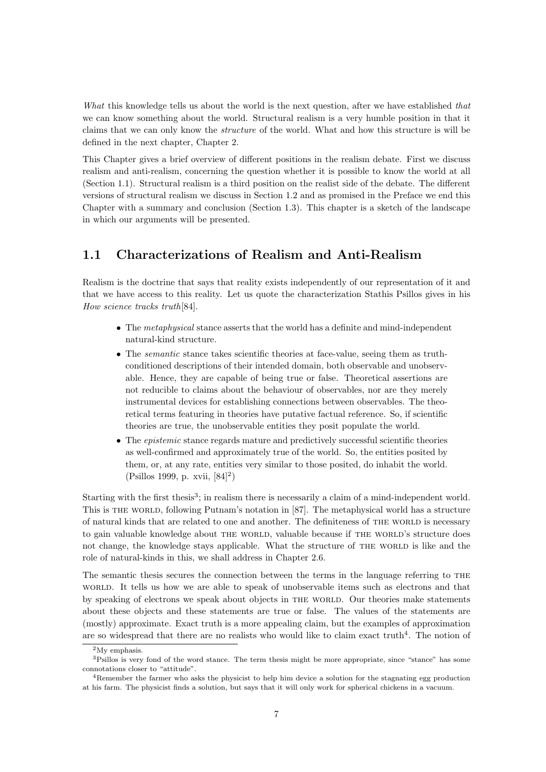What this knowledge tells us about the world is the next question, after we have established that we can know something about the world. Structural realism is a very humble position in that it claims that we can only know the structure of the world. What and how this structure is will be defined in the next chapter, Chapter 2.

This Chapter gives a brief overview of different positions in the realism debate. First we discuss realism and anti-realism, concerning the question whether it is possible to know the world at all (Section 1.1). Structural realism is a third position on the realist side of the debate. The different versions of structural realism we discuss in Section 1.2 and as promised in the Preface we end this Chapter with a summary and conclusion (Section 1.3). This chapter is a sketch of the landscape in which our arguments will be presented.

#### 1.1 Characterizations of Realism and Anti-Realism

Realism is the doctrine that says that reality exists independently of our representation of it and that we have access to this reality. Let us quote the characterization Stathis Psillos gives in his How science tracks truth[84].

- The metaphysical stance asserts that the world has a definite and mind-independent natural-kind structure.
- The *semantic* stance takes scientific theories at face-value, seeing them as truthconditioned descriptions of their intended domain, both observable and unobservable. Hence, they are capable of being true or false. Theoretical assertions are not reducible to claims about the behaviour of observables, nor are they merely instrumental devices for establishing connections between observables. The theoretical terms featuring in theories have putative factual reference. So, if scientific theories are true, the unobservable entities they posit populate the world.
- The *epistemic* stance regards mature and predictively successful scientific theories as well-confirmed and approximately true of the world. So, the entities posited by them, or, at any rate, entities very similar to those posited, do inhabit the world. (Psillos 1999, p. xvii, [84]<sup>2</sup> )

Starting with the first thesis<sup>3</sup>; in realism there is necessarily a claim of a mind-independent world. This is the world, following Putnam's notation in [87]. The metaphysical world has a structure of natural kinds that are related to one and another. The definiteness of THE WORLD is necessary to gain valuable knowledge about THE WORLD, valuable because if THE WORLD's structure does not change, the knowledge stays applicable. What the structure of THE WORLD is like and the role of natural-kinds in this, we shall address in Chapter 2.6.

The semantic thesis secures the connection between the terms in the language referring to the world. It tells us how we are able to speak of unobservable items such as electrons and that by speaking of electrons we speak about objects in the world. Our theories make statements about these objects and these statements are true or false. The values of the statements are (mostly) approximate. Exact truth is a more appealing claim, but the examples of approximation are so widespread that there are no realists who would like to claim exact truth<sup>4</sup>. The notion of

<sup>&</sup>lt;sup>2</sup>My emphasis.

 $3P\$ illos is very fond of the word stance. The term thesis might be more appropriate, since "stance" has some connotations closer to "attitude".

<sup>&</sup>lt;sup>4</sup>Remember the farmer who asks the physicist to help him device a solution for the stagnating egg production at his farm. The physicist finds a solution, but says that it will only work for spherical chickens in a vacuum.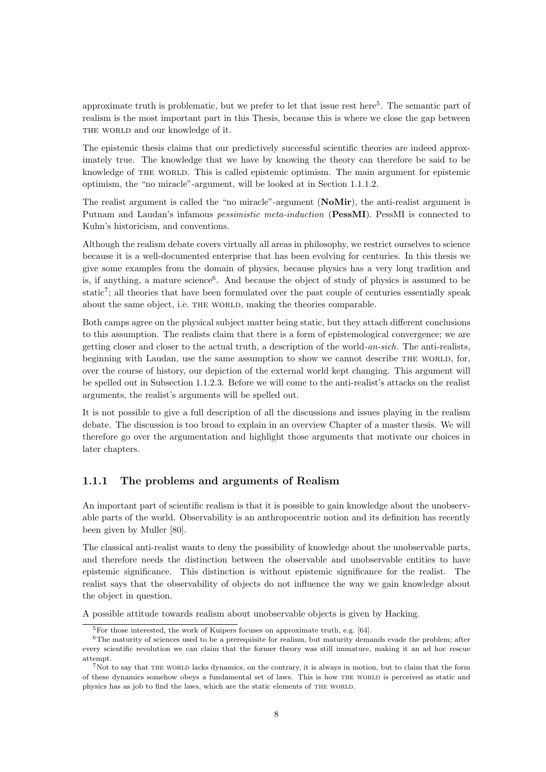approximate truth is problematic, but we prefer to let that issue rest here<sup>5</sup>. The semantic part of realism is the most important part in this Thesis, because this is where we close the gap between THE WORLD and our knowledge of it.

The epistemic thesis claims that our predictively successful scientific theories are indeed approximately true. The knowledge that we have by knowing the theory can therefore be said to be knowledge of THE WORLD. This is called epistemic optimism. The main argument for epistemic optimism, the "no miracle"-argument, will be looked at in Section 1.1.1.2.

The realist argument is called the "no miracle"-argument (NoMir), the anti-realist argument is Putnam and Laudan's infamous pessimistic meta-induction (PessMI). PessMI is connected to Kuhn's historicism, and conventions.

Although the realism debate covers virtually all areas in philosophy, we restrict ourselves to science because it is a well-documented enterprise that has been evolving for centuries. In this thesis we give some examples from the domain of physics, because physics has a very long tradition and is, if anything, a mature science<sup>6</sup>. And because the object of study of physics is assumed to be static<sup>7</sup>; all theories that have been formulated over the past couple of centuries essentially speak about the same object, i.e. THE WORLD, making the theories comparable.

Both camps agree on the physical subject matter being static, but they attach different conclusions to this assumption. The realists claim that there is a form of epistemological convergence; we are getting closer and closer to the actual truth, a description of the world-an-sich. The anti-realists, beginning with Laudan, use the same assumption to show we cannot describe THE WORLD, for, over the course of history, our depiction of the external world kept changing. This argument will be spelled out in Subsection 1.1.2.3. Before we will come to the anti-realist's attacks on the realist arguments, the realist's arguments will be spelled out.

It is not possible to give a full description of all the discussions and issues playing in the realism debate. The discussion is too broad to explain in an overview Chapter of a master thesis. We will therefore go over the argumentation and highlight those arguments that motivate our choices in later chapters.

#### 1.1.1 The problems and arguments of Realism

An important part of scientific realism is that it is possible to gain knowledge about the unobservable parts of the world. Observability is an anthropocentric notion and its definition has recently been given by Muller [80].

The classical anti-realist wants to deny the possibility of knowledge about the unobservable parts, and therefore needs the distinction between the observable and unobservable entities to have epistemic significance. This distinction is without epistemic significance for the realist. The realist says that the observability of objects do not influence the way we gain knowledge about the object in question.

A possible attitude towards realism about unobservable objects is given by Hacking.

 ${}^{5}$ For those interested, the work of Kuipers focuses on approximate truth, e.g. [64].

 $6$ The maturity of sciences used to be a prerequisite for realism, but maturity demands evade the problem; after every scientific revolution we can claim that the former theory was still immature, making it an ad hoc rescue attempt.

<sup>&</sup>lt;sup>7</sup>Not to say that THE WORLD lacks dynamics, on the contrary, it is always in motion, but to claim that the form of these dynamics somehow obeys a fundamental set of laws. This is how THE WORLD is perceived as static and physics has as job to find the laws, which are the static elements of THE WORLD.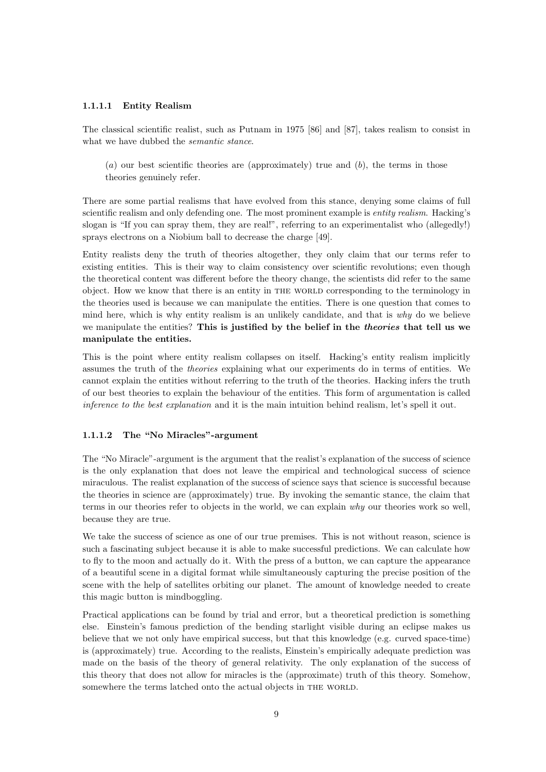#### 1.1.1.1 Entity Realism

The classical scientific realist, such as Putnam in 1975 [86] and [87], takes realism to consist in what we have dubbed the *semantic stance*.

 $(a)$  our best scientific theories are (approximately) true and  $(b)$ , the terms in those theories genuinely refer.

There are some partial realisms that have evolved from this stance, denying some claims of full scientific realism and only defending one. The most prominent example is *entity realism*. Hacking's slogan is "If you can spray them, they are real!", referring to an experimentalist who (allegedly!) sprays electrons on a Niobium ball to decrease the charge [49].

Entity realists deny the truth of theories altogether, they only claim that our terms refer to existing entities. This is their way to claim consistency over scientific revolutions; even though the theoretical content was different before the theory change, the scientists did refer to the same object. How we know that there is an entity in the world corresponding to the terminology in the theories used is because we can manipulate the entities. There is one question that comes to mind here, which is why entity realism is an unlikely candidate, and that is why do we believe we manipulate the entities? This is justified by the belief in the *theories* that tell us we manipulate the entities.

This is the point where entity realism collapses on itself. Hacking's entity realism implicitly assumes the truth of the theories explaining what our experiments do in terms of entities. We cannot explain the entities without referring to the truth of the theories. Hacking infers the truth of our best theories to explain the behaviour of the entities. This form of argumentation is called inference to the best explanation and it is the main intuition behind realism, let's spell it out.

#### 1.1.1.2 The "No Miracles"-argument

The "No Miracle"-argument is the argument that the realist's explanation of the success of science is the only explanation that does not leave the empirical and technological success of science miraculous. The realist explanation of the success of science says that science is successful because the theories in science are (approximately) true. By invoking the semantic stance, the claim that terms in our theories refer to objects in the world, we can explain why our theories work so well, because they are true.

We take the success of science as one of our true premises. This is not without reason, science is such a fascinating subject because it is able to make successful predictions. We can calculate how to fly to the moon and actually do it. With the press of a button, we can capture the appearance of a beautiful scene in a digital format while simultaneously capturing the precise position of the scene with the help of satellites orbiting our planet. The amount of knowledge needed to create this magic button is mindboggling.

Practical applications can be found by trial and error, but a theoretical prediction is something else. Einstein's famous prediction of the bending starlight visible during an eclipse makes us believe that we not only have empirical success, but that this knowledge (e.g. curved space-time) is (approximately) true. According to the realists, Einstein's empirically adequate prediction was made on the basis of the theory of general relativity. The only explanation of the success of this theory that does not allow for miracles is the (approximate) truth of this theory. Somehow, somewhere the terms latched onto the actual objects in THE WORLD.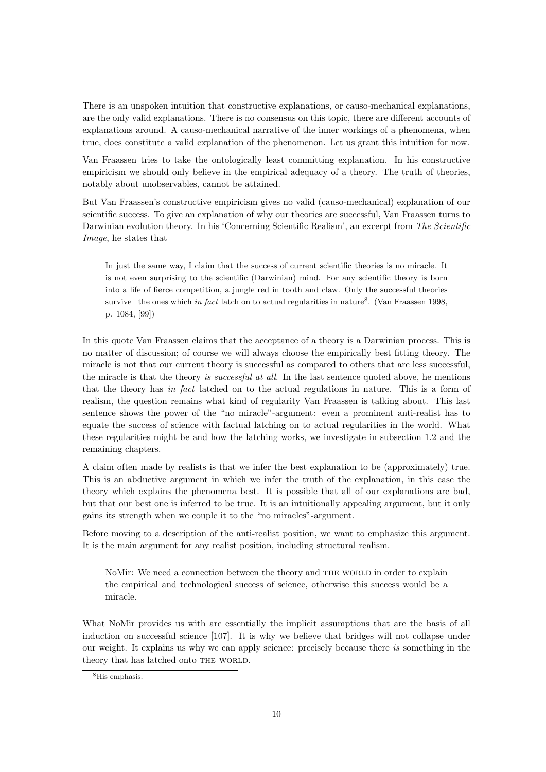There is an unspoken intuition that constructive explanations, or causo-mechanical explanations, are the only valid explanations. There is no consensus on this topic, there are different accounts of explanations around. A causo-mechanical narrative of the inner workings of a phenomena, when true, does constitute a valid explanation of the phenomenon. Let us grant this intuition for now.

Van Fraassen tries to take the ontologically least committing explanation. In his constructive empiricism we should only believe in the empirical adequacy of a theory. The truth of theories, notably about unobservables, cannot be attained.

But Van Fraassen's constructive empiricism gives no valid (causo-mechanical) explanation of our scientific success. To give an explanation of why our theories are successful, Van Fraassen turns to Darwinian evolution theory. In his 'Concerning Scientific Realism', an excerpt from The Scientific Image, he states that

In just the same way, I claim that the success of current scientific theories is no miracle. It is not even surprising to the scientific (Darwinian) mind. For any scientific theory is born into a life of fierce competition, a jungle red in tooth and claw. Only the successful theories survive –the ones which *in fact* latch on to actual regularities in nature<sup>8</sup>. (Van Fraassen 1998, p. 1084, [99])

In this quote Van Fraassen claims that the acceptance of a theory is a Darwinian process. This is no matter of discussion; of course we will always choose the empirically best fitting theory. The miracle is not that our current theory is successful as compared to others that are less successful, the miracle is that the theory is successful at all. In the last sentence quoted above, he mentions that the theory has in fact latched on to the actual regulations in nature. This is a form of realism, the question remains what kind of regularity Van Fraassen is talking about. This last sentence shows the power of the "no miracle"-argument: even a prominent anti-realist has to equate the success of science with factual latching on to actual regularities in the world. What these regularities might be and how the latching works, we investigate in subsection 1.2 and the remaining chapters.

A claim often made by realists is that we infer the best explanation to be (approximately) true. This is an abductive argument in which we infer the truth of the explanation, in this case the theory which explains the phenomena best. It is possible that all of our explanations are bad, but that our best one is inferred to be true. It is an intuitionally appealing argument, but it only gains its strength when we couple it to the "no miracles"-argument.

Before moving to a description of the anti-realist position, we want to emphasize this argument. It is the main argument for any realist position, including structural realism.

NoMir: We need a connection between the theory and THE WORLD in order to explain the empirical and technological success of science, otherwise this success would be a miracle.

What NoMir provides us with are essentially the implicit assumptions that are the basis of all induction on successful science [107]. It is why we believe that bridges will not collapse under our weight. It explains us why we can apply science: precisely because there is something in the theory that has latched onto THE WORLD.

<sup>8</sup>His emphasis.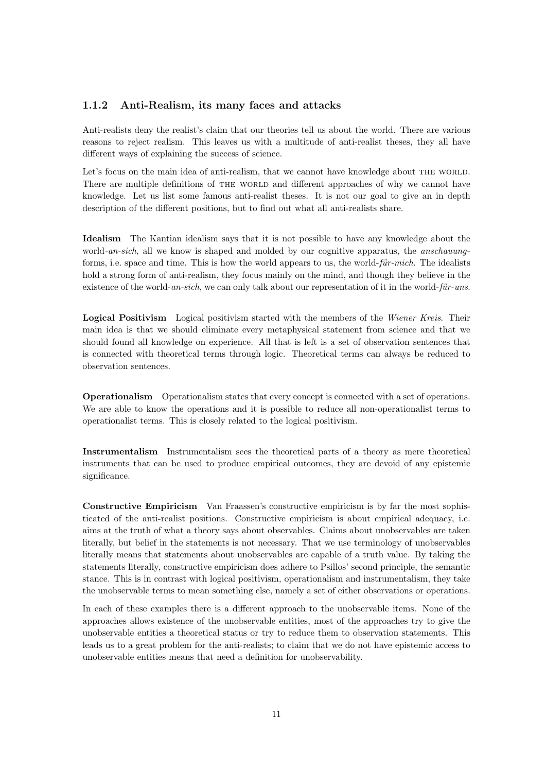#### 1.1.2 Anti-Realism, its many faces and attacks

Anti-realists deny the realist's claim that our theories tell us about the world. There are various reasons to reject realism. This leaves us with a multitude of anti-realist theses, they all have different ways of explaining the success of science.

Let's focus on the main idea of anti-realism, that we cannot have knowledge about THE WORLD. There are multiple definitions of THE WORLD and different approaches of why we cannot have knowledge. Let us list some famous anti-realist theses. It is not our goal to give an in depth description of the different positions, but to find out what all anti-realists share.

Idealism The Kantian idealism says that it is not possible to have any knowledge about the world-an-sich, all we know is shaped and molded by our cognitive apparatus, the anschauungforms, i.e. space and time. This is how the world appears to us, the world- $f\ddot{u}$ r-mich. The idealists hold a strong form of anti-realism, they focus mainly on the mind, and though they believe in the existence of the world- $an-sich$ , we can only talk about our representation of it in the world- $f\ddot{u}r-uns$ .

Logical Positivism Logical positivism started with the members of the Wiener Kreis. Their main idea is that we should eliminate every metaphysical statement from science and that we should found all knowledge on experience. All that is left is a set of observation sentences that is connected with theoretical terms through logic. Theoretical terms can always be reduced to observation sentences.

Operationalism Operationalism states that every concept is connected with a set of operations. We are able to know the operations and it is possible to reduce all non-operationalist terms to operationalist terms. This is closely related to the logical positivism.

Instrumentalism Instrumentalism sees the theoretical parts of a theory as mere theoretical instruments that can be used to produce empirical outcomes, they are devoid of any epistemic significance.

Constructive Empiricism Van Fraassen's constructive empiricism is by far the most sophisticated of the anti-realist positions. Constructive empiricism is about empirical adequacy, i.e. aims at the truth of what a theory says about observables. Claims about unobservables are taken literally, but belief in the statements is not necessary. That we use terminology of unobservables literally means that statements about unobservables are capable of a truth value. By taking the statements literally, constructive empiricism does adhere to Psillos' second principle, the semantic stance. This is in contrast with logical positivism, operationalism and instrumentalism, they take the unobservable terms to mean something else, namely a set of either observations or operations.

In each of these examples there is a different approach to the unobservable items. None of the approaches allows existence of the unobservable entities, most of the approaches try to give the unobservable entities a theoretical status or try to reduce them to observation statements. This leads us to a great problem for the anti-realists; to claim that we do not have epistemic access to unobservable entities means that need a definition for unobservability.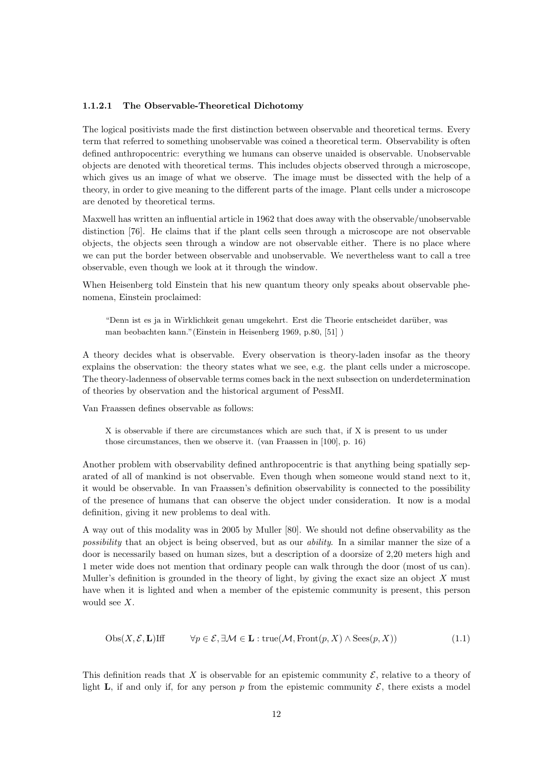#### 1.1.2.1 The Observable-Theoretical Dichotomy

The logical positivists made the first distinction between observable and theoretical terms. Every term that referred to something unobservable was coined a theoretical term. Observability is often defined anthropocentric: everything we humans can observe unaided is observable. Unobservable objects are denoted with theoretical terms. This includes objects observed through a microscope, which gives us an image of what we observe. The image must be dissected with the help of a theory, in order to give meaning to the different parts of the image. Plant cells under a microscope are denoted by theoretical terms.

Maxwell has written an influential article in 1962 that does away with the observable/unobservable distinction [76]. He claims that if the plant cells seen through a microscope are not observable objects, the objects seen through a window are not observable either. There is no place where we can put the border between observable and unobservable. We nevertheless want to call a tree observable, even though we look at it through the window.

When Heisenberg told Einstein that his new quantum theory only speaks about observable phenomena, Einstein proclaimed:

"Denn ist es ja in Wirklichkeit genau umgekehrt. Erst die Theorie entscheidet darüber, was man beobachten kann."(Einstein in Heisenberg 1969, p.80, [51] )

A theory decides what is observable. Every observation is theory-laden insofar as the theory explains the observation: the theory states what we see, e.g. the plant cells under a microscope. The theory-ladenness of observable terms comes back in the next subsection on underdetermination of theories by observation and the historical argument of PessMI.

Van Fraassen defines observable as follows:

X is observable if there are circumstances which are such that, if X is present to us under those circumstances, then we observe it. (van Fraassen in [100], p. 16)

Another problem with observability defined anthropocentric is that anything being spatially separated of all of mankind is not observable. Even though when someone would stand next to it, it would be observable. In van Fraassen's definition observability is connected to the possibility of the presence of humans that can observe the object under consideration. It now is a modal definition, giving it new problems to deal with.

A way out of this modality was in 2005 by Muller [80]. We should not define observability as the possibility that an object is being observed, but as our ability. In a similar manner the size of a door is necessarily based on human sizes, but a description of a doorsize of 2,20 meters high and 1 meter wide does not mention that ordinary people can walk through the door (most of us can). Muller's definition is grounded in the theory of light, by giving the exact size an object  $X$  must have when it is lighted and when a member of the epistemic community is present, this person would see X.

$$
Obs(X, \mathcal{E}, \mathbf{L}) \text{If} \qquad \forall p \in \mathcal{E}, \exists \mathcal{M} \in \mathbf{L} : \text{true}(\mathcal{M}, \text{Front}(p, X) \land \text{Sees}(p, X)) \tag{1.1}
$$

This definition reads that X is observable for an epistemic community  $\mathcal{E}$ , relative to a theory of light **L**, if and only if, for any person p from the epistemic community  $\mathcal{E}$ , there exists a model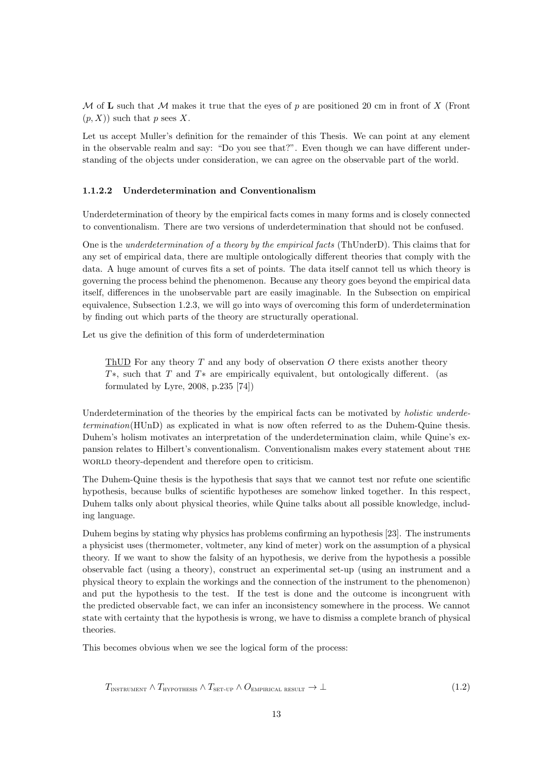M of L such that M makes it true that the eyes of p are positioned 20 cm in front of X (Front  $(p, X)$  such that p sees X.

Let us accept Muller's definition for the remainder of this Thesis. We can point at any element in the observable realm and say: "Do you see that?". Even though we can have different understanding of the objects under consideration, we can agree on the observable part of the world.

#### 1.1.2.2 Underdetermination and Conventionalism

Underdetermination of theory by the empirical facts comes in many forms and is closely connected to conventionalism. There are two versions of underdetermination that should not be confused.

One is the underdetermination of a theory by the empirical facts (ThUnderD). This claims that for any set of empirical data, there are multiple ontologically different theories that comply with the data. A huge amount of curves fits a set of points. The data itself cannot tell us which theory is governing the process behind the phenomenon. Because any theory goes beyond the empirical data itself, differences in the unobservable part are easily imaginable. In the Subsection on empirical equivalence, Subsection 1.2.3, we will go into ways of overcoming this form of underdetermination by finding out which parts of the theory are structurally operational.

Let us give the definition of this form of underdetermination

ThUD For any theory  $T$  and any body of observation  $O$  there exists another theory T∗, such that T and T∗ are empirically equivalent, but ontologically different. (as formulated by Lyre, 2008, p.235 [74])

Underdetermination of the theories by the empirical facts can be motivated by *holistic underde*termination(HUnD) as explicated in what is now often referred to as the Duhem-Quine thesis. Duhem's holism motivates an interpretation of the underdetermination claim, while Quine's expansion relates to Hilbert's conventionalism. Conventionalism makes every statement about the world theory-dependent and therefore open to criticism.

The Duhem-Quine thesis is the hypothesis that says that we cannot test nor refute one scientific hypothesis, because bulks of scientific hypotheses are somehow linked together. In this respect, Duhem talks only about physical theories, while Quine talks about all possible knowledge, including language.

Duhem begins by stating why physics has problems confirming an hypothesis [23]. The instruments a physicist uses (thermometer, voltmeter, any kind of meter) work on the assumption of a physical theory. If we want to show the falsity of an hypothesis, we derive from the hypothesis a possible observable fact (using a theory), construct an experimental set-up (using an instrument and a physical theory to explain the workings and the connection of the instrument to the phenomenon) and put the hypothesis to the test. If the test is done and the outcome is incongruent with the predicted observable fact, we can infer an inconsistency somewhere in the process. We cannot state with certainty that the hypothesis is wrong, we have to dismiss a complete branch of physical theories.

This becomes obvious when we see the logical form of the process:

$$
T_{\text{INSTRUMENT}} \wedge T_{\text{HYPOTHESIS}} \wedge T_{\text{set-up}} \wedge O_{\text{EMPIRICAL RESULT}} \to \perp
$$
\n(1.2)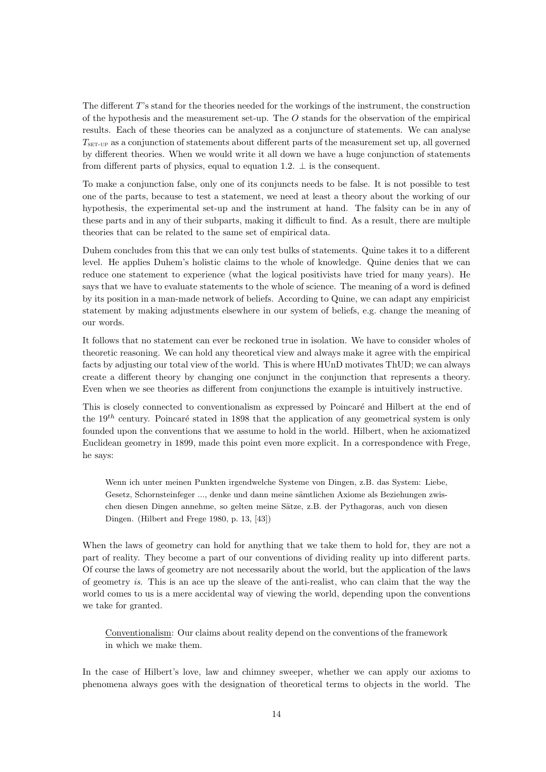The different T's stand for the theories needed for the workings of the instrument, the construction of the hypothesis and the measurement set-up. The  $O$  stands for the observation of the empirical results. Each of these theories can be analyzed as a conjuncture of statements. We can analyse  $T_{\text{SET-UP}}$  as a conjunction of statements about different parts of the measurement set up, all governed by different theories. When we would write it all down we have a huge conjunction of statements from different parts of physics, equal to equation 1.2.  $\perp$  is the consequent.

To make a conjunction false, only one of its conjuncts needs to be false. It is not possible to test one of the parts, because to test a statement, we need at least a theory about the working of our hypothesis, the experimental set-up and the instrument at hand. The falsity can be in any of these parts and in any of their subparts, making it difficult to find. As a result, there are multiple theories that can be related to the same set of empirical data.

Duhem concludes from this that we can only test bulks of statements. Quine takes it to a different level. He applies Duhem's holistic claims to the whole of knowledge. Quine denies that we can reduce one statement to experience (what the logical positivists have tried for many years). He says that we have to evaluate statements to the whole of science. The meaning of a word is defined by its position in a man-made network of beliefs. According to Quine, we can adapt any empiricist statement by making adjustments elsewhere in our system of beliefs, e.g. change the meaning of our words.

It follows that no statement can ever be reckoned true in isolation. We have to consider wholes of theoretic reasoning. We can hold any theoretical view and always make it agree with the empirical facts by adjusting our total view of the world. This is where HUnD motivates ThUD; we can always create a different theory by changing one conjunct in the conjunction that represents a theory. Even when we see theories as different from conjunctions the example is intuitively instructive.

This is closely connected to conventionalism as expressed by Poincaré and Hilbert at the end of the  $19<sup>th</sup>$  century. Poincaré stated in 1898 that the application of any geometrical system is only founded upon the conventions that we assume to hold in the world. Hilbert, when he axiomatized Euclidean geometry in 1899, made this point even more explicit. In a correspondence with Frege, he says:

Wenn ich unter meinen Punkten irgendwelche Systeme von Dingen, z.B. das System: Liebe, Gesetz, Schornsteinfeger ..., denke und dann meine sämtlichen Axiome als Beziehungen zwischen diesen Dingen annehme, so gelten meine Sätze, z.B. der Pythagoras, auch von diesen Dingen. (Hilbert and Frege 1980, p. 13, [43])

When the laws of geometry can hold for anything that we take them to hold for, they are not a part of reality. They become a part of our conventions of dividing reality up into different parts. Of course the laws of geometry are not necessarily about the world, but the application of the laws of geometry is. This is an ace up the sleave of the anti-realist, who can claim that the way the world comes to us is a mere accidental way of viewing the world, depending upon the conventions we take for granted.

Conventionalism: Our claims about reality depend on the conventions of the framework in which we make them.

In the case of Hilbert's love, law and chimney sweeper, whether we can apply our axioms to phenomena always goes with the designation of theoretical terms to objects in the world. The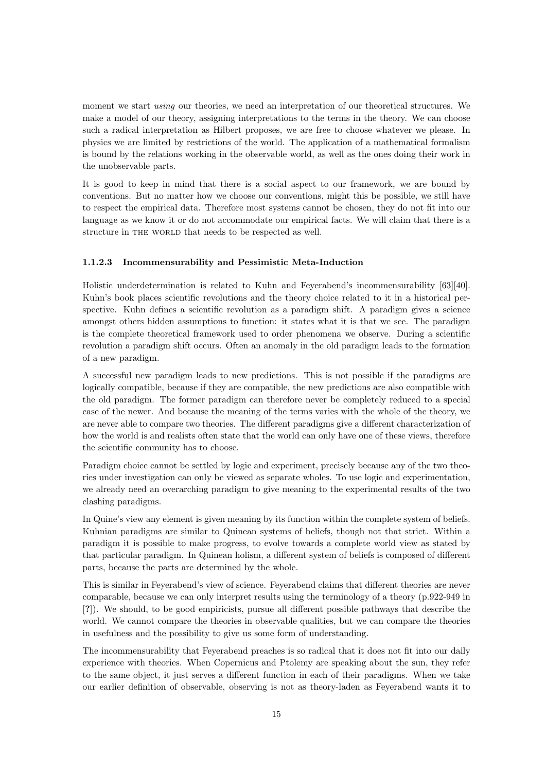moment we start *using* our theories, we need an interpretation of our theoretical structures. We make a model of our theory, assigning interpretations to the terms in the theory. We can choose such a radical interpretation as Hilbert proposes, we are free to choose whatever we please. In physics we are limited by restrictions of the world. The application of a mathematical formalism is bound by the relations working in the observable world, as well as the ones doing their work in the unobservable parts.

It is good to keep in mind that there is a social aspect to our framework, we are bound by conventions. But no matter how we choose our conventions, might this be possible, we still have to respect the empirical data. Therefore most systems cannot be chosen, they do not fit into our language as we know it or do not accommodate our empirical facts. We will claim that there is a structure in THE WORLD that needs to be respected as well.

#### 1.1.2.3 Incommensurability and Pessimistic Meta-Induction

Holistic underdetermination is related to Kuhn and Feyerabend's incommensurability [63][40]. Kuhn's book places scientific revolutions and the theory choice related to it in a historical perspective. Kuhn defines a scientific revolution as a paradigm shift. A paradigm gives a science amongst others hidden assumptions to function: it states what it is that we see. The paradigm is the complete theoretical framework used to order phenomena we observe. During a scientific revolution a paradigm shift occurs. Often an anomaly in the old paradigm leads to the formation of a new paradigm.

A successful new paradigm leads to new predictions. This is not possible if the paradigms are logically compatible, because if they are compatible, the new predictions are also compatible with the old paradigm. The former paradigm can therefore never be completely reduced to a special case of the newer. And because the meaning of the terms varies with the whole of the theory, we are never able to compare two theories. The different paradigms give a different characterization of how the world is and realists often state that the world can only have one of these views, therefore the scientific community has to choose.

Paradigm choice cannot be settled by logic and experiment, precisely because any of the two theories under investigation can only be viewed as separate wholes. To use logic and experimentation, we already need an overarching paradigm to give meaning to the experimental results of the two clashing paradigms.

In Quine's view any element is given meaning by its function within the complete system of beliefs. Kuhnian paradigms are similar to Quinean systems of beliefs, though not that strict. Within a paradigm it is possible to make progress, to evolve towards a complete world view as stated by that particular paradigm. In Quinean holism, a different system of beliefs is composed of different parts, because the parts are determined by the whole.

This is similar in Feyerabend's view of science. Feyerabend claims that different theories are never comparable, because we can only interpret results using the terminology of a theory (p.922-949 in [?]). We should, to be good empiricists, pursue all different possible pathways that describe the world. We cannot compare the theories in observable qualities, but we can compare the theories in usefulness and the possibility to give us some form of understanding.

The incommensurability that Feyerabend preaches is so radical that it does not fit into our daily experience with theories. When Copernicus and Ptolemy are speaking about the sun, they refer to the same object, it just serves a different function in each of their paradigms. When we take our earlier definition of observable, observing is not as theory-laden as Feyerabend wants it to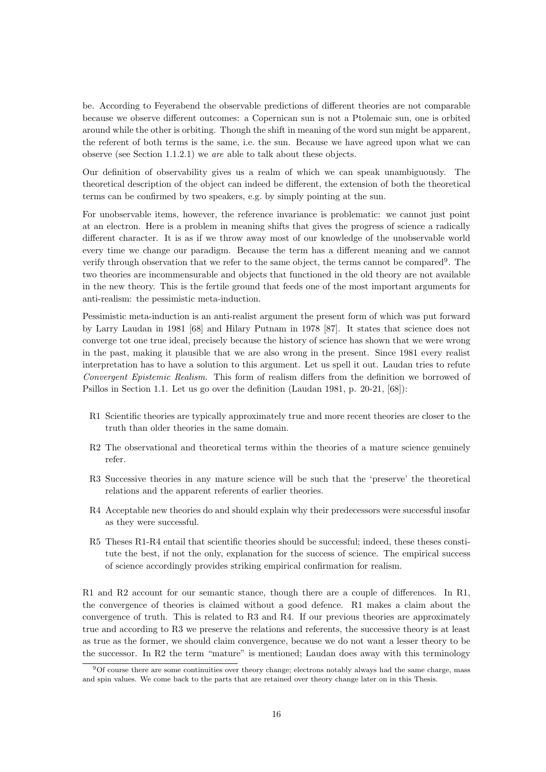be. According to Feyerabend the observable predictions of different theories are not comparable because we observe different outcomes: a Copernican sun is not a Ptolemaic sun, one is orbited around while the other is orbiting. Though the shift in meaning of the word sun might be apparent, the referent of both terms is the same, i.e. the sun. Because we have agreed upon what we can observe (see Section 1.1.2.1) we are able to talk about these objects.

Our definition of observability gives us a realm of which we can speak unambiguously. The theoretical description of the object can indeed be different, the extension of both the theoretical terms can be confirmed by two speakers, e.g. by simply pointing at the sun.

For unobservable items, however, the reference invariance is problematic: we cannot just point at an electron. Here is a problem in meaning shifts that gives the progress of science a radically different character. It is as if we throw away most of our knowledge of the unobservable world every time we change our paradigm. Because the term has a different meaning and we cannot verify through observation that we refer to the same object, the terms cannot be compared<sup>9</sup>. The two theories are incommensurable and objects that functioned in the old theory are not available in the new theory. This is the fertile ground that feeds one of the most important arguments for anti-realism: the pessimistic meta-induction.

Pessimistic meta-induction is an anti-realist argument the present form of which was put forward by Larry Laudan in 1981 [68] and Hilary Putnam in 1978 [87]. It states that science does not converge tot one true ideal, precisely because the history of science has shown that we were wrong in the past, making it plausible that we are also wrong in the present. Since 1981 every realist interpretation has to have a solution to this argument. Let us spell it out. Laudan tries to refute Convergent Epistemic Realism. This form of realism differs from the definition we borrowed of Psillos in Section 1.1. Let us go over the definition (Laudan 1981, p. 20-21, [68]):

- R1 Scientific theories are typically approximately true and more recent theories are closer to the truth than older theories in the same domain.
- R2 The observational and theoretical terms within the theories of a mature science genuinely refer.
- R3 Successive theories in any mature science will be such that the 'preserve' the theoretical relations and the apparent referents of earlier theories.
- R4 Acceptable new theories do and should explain why their predecessors were successful insofar as they were successful.
- R5 Theses R1-R4 entail that scientific theories should be successful; indeed, these theses constitute the best, if not the only, explanation for the success of science. The empirical success of science accordingly provides striking empirical confirmation for realism.

R1 and R2 account for our semantic stance, though there are a couple of differences. In R1, the convergence of theories is claimed without a good defence. R1 makes a claim about the convergence of truth. This is related to R3 and R4. If our previous theories are approximately true and according to R3 we preserve the relations and referents, the successive theory is at least as true as the former, we should claim convergence, because we do not want a lesser theory to be the successor. In R2 the term "mature" is mentioned; Laudan does away with this terminology

<sup>9</sup>Of course there are some continuities over theory change; electrons notably always had the same charge, mass and spin values. We come back to the parts that are retained over theory change later on in this Thesis.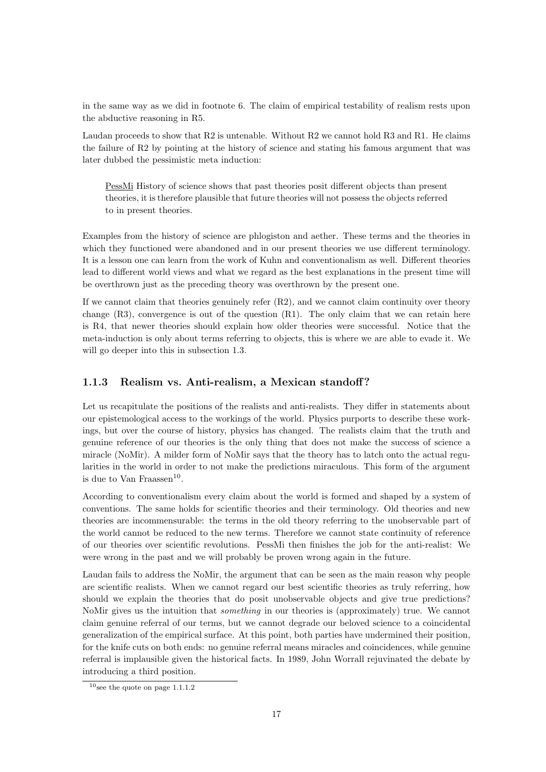in the same way as we did in footnote 6. The claim of empirical testability of realism rests upon the abductive reasoning in R5.

Laudan proceeds to show that R2 is untenable. Without R2 we cannot hold R3 and R1. He claims the failure of R2 by pointing at the history of science and stating his famous argument that was later dubbed the pessimistic meta induction:

PessMi History of science shows that past theories posit different objects than present theories, it is therefore plausible that future theories will not possess the objects referred to in present theories.

Examples from the history of science are phlogiston and aether. These terms and the theories in which they functioned were abandoned and in our present theories we use different terminology. It is a lesson one can learn from the work of Kuhn and conventionalism as well. Different theories lead to different world views and what we regard as the best explanations in the present time will be overthrown just as the preceding theory was overthrown by the present one.

If we cannot claim that theories genuinely refer  $(R2)$ , and we cannot claim continuity over theory change  $(R3)$ , convergence is out of the question  $(R1)$ . The only claim that we can retain here is R4, that newer theories should explain how older theories were successful. Notice that the meta-induction is only about terms referring to objects, this is where we are able to evade it. We will go deeper into this in subsection 1.3.

#### 1.1.3 Realism vs. Anti-realism, a Mexican standoff?

Let us recapitulate the positions of the realists and anti-realists. They differ in statements about our epistemological access to the workings of the world. Physics purports to describe these workings, but over the course of history, physics has changed. The realists claim that the truth and genuine reference of our theories is the only thing that does not make the success of science a miracle (NoMir). A milder form of NoMir says that the theory has to latch onto the actual regularities in the world in order to not make the predictions miraculous. This form of the argument is due to Van Fraassen<sup>10</sup>.

According to conventionalism every claim about the world is formed and shaped by a system of conventions. The same holds for scientific theories and their terminology. Old theories and new theories are incommensurable: the terms in the old theory referring to the unobservable part of the world cannot be reduced to the new terms. Therefore we cannot state continuity of reference of our theories over scientific revolutions. PessMi then finishes the job for the anti-realist: We were wrong in the past and we will probably be proven wrong again in the future.

Laudan fails to address the NoMir, the argument that can be seen as the main reason why people are scientific realists. When we cannot regard our best scientific theories as truly referring, how should we explain the theories that do posit unobservable objects and give true predictions? NoMir gives us the intuition that something in our theories is (approximately) true. We cannot claim genuine referral of our terms, but we cannot degrade our beloved science to a coincidental generalization of the empirical surface. At this point, both parties have undermined their position, for the knife cuts on both ends: no genuine referral means miracles and coincidences, while genuine referral is implausible given the historical facts. In 1989, John Worrall rejuvinated the debate by introducing a third position.

 $10$ see the quote on page 1.1.1.2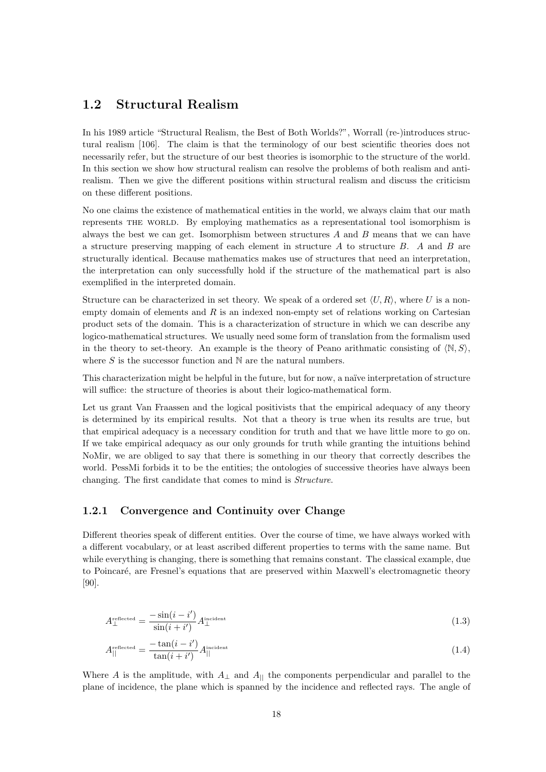#### 1.2 Structural Realism

In his 1989 article "Structural Realism, the Best of Both Worlds?", Worrall (re-)introduces structural realism [106]. The claim is that the terminology of our best scientific theories does not necessarily refer, but the structure of our best theories is isomorphic to the structure of the world. In this section we show how structural realism can resolve the problems of both realism and antirealism. Then we give the different positions within structural realism and discuss the criticism on these different positions.

No one claims the existence of mathematical entities in the world, we always claim that our math represents the world. By employing mathematics as a representational tool isomorphism is always the best we can get. Isomorphism between structures  $A$  and  $B$  means that we can have a structure preserving mapping of each element in structure A to structure B. A and B are structurally identical. Because mathematics makes use of structures that need an interpretation, the interpretation can only successfully hold if the structure of the mathematical part is also exemplified in the interpreted domain.

Structure can be characterized in set theory. We speak of a ordered set  $\langle U, R \rangle$ , where U is a nonempty domain of elements and  $R$  is an indexed non-empty set of relations working on Cartesian product sets of the domain. This is a characterization of structure in which we can describe any logico-mathematical structures. We usually need some form of translation from the formalism used in the theory to set-theory. An example is the theory of Peano arithmatic consisting of  $\langle N, S \rangle$ , where  $S$  is the successor function and  $N$  are the natural numbers.

This characterization might be helpful in the future, but for now, a naïve interpretation of structure will suffice: the structure of theories is about their logico-mathematical form.

Let us grant Van Fraassen and the logical positivists that the empirical adequacy of any theory is determined by its empirical results. Not that a theory is true when its results are true, but that empirical adequacy is a necessary condition for truth and that we have little more to go on. If we take empirical adequacy as our only grounds for truth while granting the intuitions behind NoMir, we are obliged to say that there is something in our theory that correctly describes the world. PessMi forbids it to be the entities; the ontologies of successive theories have always been changing. The first candidate that comes to mind is Structure.

#### 1.2.1 Convergence and Continuity over Change

Different theories speak of different entities. Over the course of time, we have always worked with a different vocabulary, or at least ascribed different properties to terms with the same name. But while everything is changing, there is something that remains constant. The classical example, due to Poincaré, are Fresnel's equations that are preserved within Maxwell's electromagnetic theory [90].

$$
A_{\perp}^{\text{reflected}} = \frac{-\sin(i - i')}{\sin(i + i')} A_{\perp}^{\text{incident}}
$$
\n(1.3)

$$
A_{\parallel}^{\text{reflected}} = \frac{-\tan(i - i')}{\tan(i + i')} A_{\parallel}^{\text{incident}} \tag{1.4}
$$

Where A is the amplitude, with  $A_{\perp}$  and  $A_{||}$  the components perpendicular and parallel to the plane of incidence, the plane which is spanned by the incidence and reflected rays. The angle of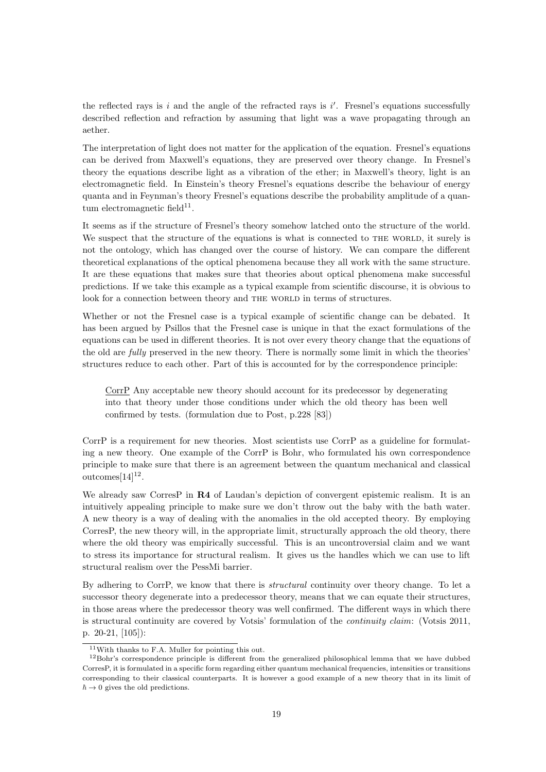the reflected rays is  $i$  and the angle of the refracted rays is  $i'$ . Fresnel's equations successfully described reflection and refraction by assuming that light was a wave propagating through an aether.

The interpretation of light does not matter for the application of the equation. Fresnel's equations can be derived from Maxwell's equations, they are preserved over theory change. In Fresnel's theory the equations describe light as a vibration of the ether; in Maxwell's theory, light is an electromagnetic field. In Einstein's theory Fresnel's equations describe the behaviour of energy quanta and in Feynman's theory Fresnel's equations describe the probability amplitude of a quan $tum$  electromagnetic field<sup>11</sup>.

It seems as if the structure of Fresnel's theory somehow latched onto the structure of the world. We suspect that the structure of the equations is what is connected to THE WORLD, it surely is not the ontology, which has changed over the course of history. We can compare the different theoretical explanations of the optical phenomena because they all work with the same structure. It are these equations that makes sure that theories about optical phenomena make successful predictions. If we take this example as a typical example from scientific discourse, it is obvious to look for a connection between theory and THE WORLD in terms of structures.

Whether or not the Fresnel case is a typical example of scientific change can be debated. It has been argued by Psillos that the Fresnel case is unique in that the exact formulations of the equations can be used in different theories. It is not over every theory change that the equations of the old are fully preserved in the new theory. There is normally some limit in which the theories' structures reduce to each other. Part of this is accounted for by the correspondence principle:

CorrP Any acceptable new theory should account for its predecessor by degenerating into that theory under those conditions under which the old theory has been well confirmed by tests. (formulation due to Post, p.228 [83])

CorrP is a requirement for new theories. Most scientists use CorrP as a guideline for formulating a new theory. One example of the CorrP is Bohr, who formulated his own correspondence principle to make sure that there is an agreement between the quantum mechanical and classical outcomes $[14]^{12}$ .

We already saw CorresP in R4 of Laudan's depiction of convergent epistemic realism. It is an intuitively appealing principle to make sure we don't throw out the baby with the bath water. A new theory is a way of dealing with the anomalies in the old accepted theory. By employing CorresP, the new theory will, in the appropriate limit, structurally approach the old theory, there where the old theory was empirically successful. This is an uncontroversial claim and we want to stress its importance for structural realism. It gives us the handles which we can use to lift structural realism over the PessMi barrier.

By adhering to CorrP, we know that there is structural continuity over theory change. To let a successor theory degenerate into a predecessor theory, means that we can equate their structures, in those areas where the predecessor theory was well confirmed. The different ways in which there is structural continuity are covered by Votsis' formulation of the continuity claim: (Votsis 2011, p. 20-21, [105]):

<sup>11</sup>With thanks to F.A. Muller for pointing this out.

 $12$ Bohr's correspondence principle is different from the generalized philosophical lemma that we have dubbed CorresP, it is formulated in a specific form regarding either quantum mechanical frequencies, intensities or transitions corresponding to their classical counterparts. It is however a good example of a new theory that in its limit of  $\hbar \rightarrow 0$  gives the old predictions.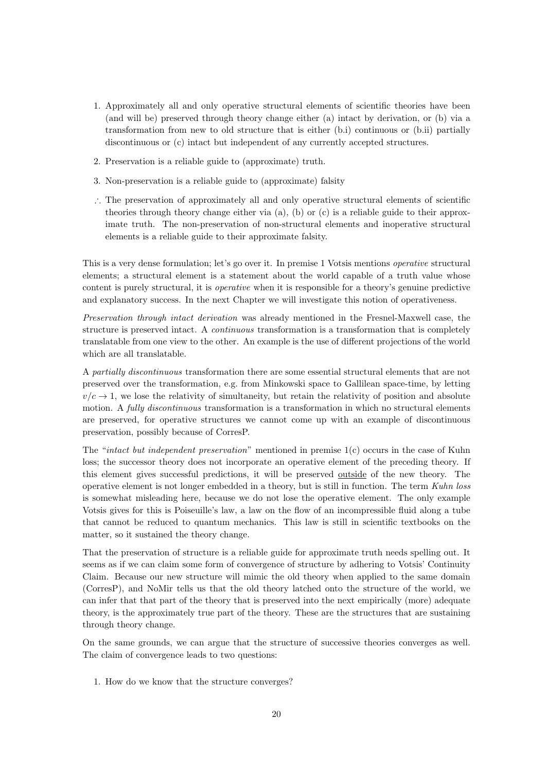- 1. Approximately all and only operative structural elements of scientific theories have been (and will be) preserved through theory change either (a) intact by derivation, or (b) via a transformation from new to old structure that is either (b.i) continuous or (b.ii) partially discontinuous or (c) intact but independent of any currently accepted structures.
- 2. Preservation is a reliable guide to (approximate) truth.
- 3. Non-preservation is a reliable guide to (approximate) falsity
- ∴ The preservation of approximately all and only operative structural elements of scientific theories through theory change either via  $(a)$ ,  $(b)$  or  $(c)$  is a reliable guide to their approximate truth. The non-preservation of non-structural elements and inoperative structural elements is a reliable guide to their approximate falsity.

This is a very dense formulation; let's go over it. In premise 1 Votsis mentions operative structural elements; a structural element is a statement about the world capable of a truth value whose content is purely structural, it is operative when it is responsible for a theory's genuine predictive and explanatory success. In the next Chapter we will investigate this notion of operativeness.

Preservation through intact derivation was already mentioned in the Fresnel-Maxwell case, the structure is preserved intact. A continuous transformation is a transformation that is completely translatable from one view to the other. An example is the use of different projections of the world which are all translatable.

A partially discontinuous transformation there are some essential structural elements that are not preserved over the transformation, e.g. from Minkowski space to Gallilean space-time, by letting  $v/c \rightarrow 1$ , we lose the relativity of simultaneity, but retain the relativity of position and absolute motion. A *fully discontinuous* transformation is a transformation in which no structural elements are preserved, for operative structures we cannot come up with an example of discontinuous preservation, possibly because of CorresP.

The "intact but independent preservation" mentioned in premise 1(c) occurs in the case of Kuhn loss; the successor theory does not incorporate an operative element of the preceding theory. If this element gives successful predictions, it will be preserved outside of the new theory. The operative element is not longer embedded in a theory, but is still in function. The term Kuhn loss is somewhat misleading here, because we do not lose the operative element. The only example Votsis gives for this is Poiseuille's law, a law on the flow of an incompressible fluid along a tube that cannot be reduced to quantum mechanics. This law is still in scientific textbooks on the matter, so it sustained the theory change.

That the preservation of structure is a reliable guide for approximate truth needs spelling out. It seems as if we can claim some form of convergence of structure by adhering to Votsis' Continuity Claim. Because our new structure will mimic the old theory when applied to the same domain (CorresP), and NoMir tells us that the old theory latched onto the structure of the world, we can infer that that part of the theory that is preserved into the next empirically (more) adequate theory, is the approximately true part of the theory. These are the structures that are sustaining through theory change.

On the same grounds, we can argue that the structure of successive theories converges as well. The claim of convergence leads to two questions:

1. How do we know that the structure converges?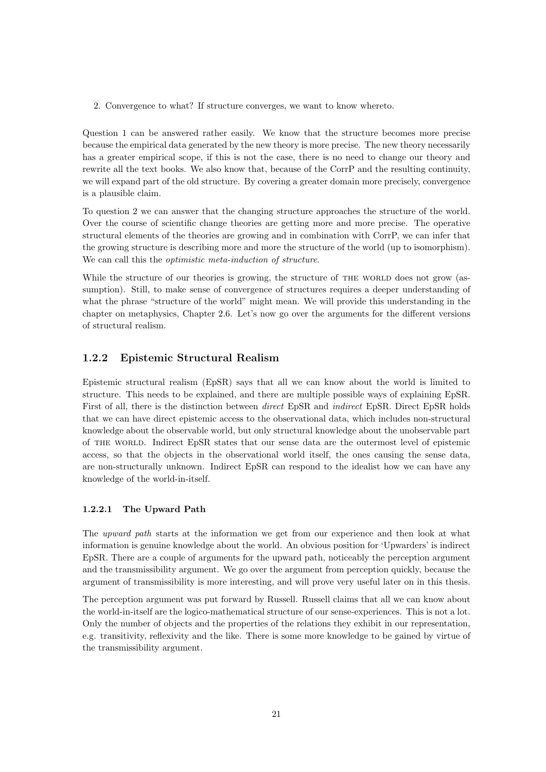2. Convergence to what? If structure converges, we want to know whereto.

Question 1 can be answered rather easily. We know that the structure becomes more precise because the empirical data generated by the new theory is more precise. The new theory necessarily has a greater empirical scope, if this is not the case, there is no need to change our theory and rewrite all the text books. We also know that, because of the CorrP and the resulting continuity, we will expand part of the old structure. By covering a greater domain more precisely, convergence is a plausible claim.

To question 2 we can answer that the changing structure approaches the structure of the world. Over the course of scientific change theories are getting more and more precise. The operative structural elements of the theories are growing and in combination with CorrP, we can infer that the growing structure is describing more and more the structure of the world (up to isomorphism). We can call this the *optimistic meta-induction of structure*.

While the structure of our theories is growing, the structure of THE WORLD does not grow (assumption). Still, to make sense of convergence of structures requires a deeper understanding of what the phrase "structure of the world" might mean. We will provide this understanding in the chapter on metaphysics, Chapter 2.6. Let's now go over the arguments for the different versions of structural realism.

#### 1.2.2 Epistemic Structural Realism

Epistemic structural realism (EpSR) says that all we can know about the world is limited to structure. This needs to be explained, and there are multiple possible ways of explaining EpSR. First of all, there is the distinction between direct EpSR and indirect EpSR. Direct EpSR holds that we can have direct epistemic access to the observational data, which includes non-structural knowledge about the observable world, but only structural knowledge about the unobservable part of the world. Indirect EpSR states that our sense data are the outermost level of epistemic access, so that the objects in the observational world itself, the ones causing the sense data, are non-structurally unknown. Indirect EpSR can respond to the idealist how we can have any knowledge of the world-in-itself.

#### 1.2.2.1 The Upward Path

The upward path starts at the information we get from our experience and then look at what information is genuine knowledge about the world. An obvious position for 'Upwarders' is indirect EpSR. There are a couple of arguments for the upward path, noticeably the perception argument and the transmissibility argument. We go over the argument from perception quickly, because the argument of transmissibility is more interesting, and will prove very useful later on in this thesis.

The perception argument was put forward by Russell. Russell claims that all we can know about the world-in-itself are the logico-mathematical structure of our sense-experiences. This is not a lot. Only the number of objects and the properties of the relations they exhibit in our representation, e.g. transitivity, reflexivity and the like. There is some more knowledge to be gained by virtue of the transmissibility argument.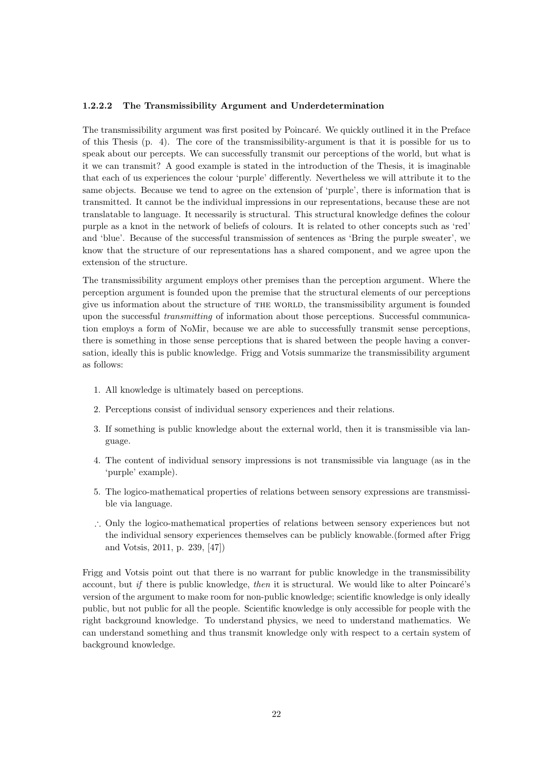#### 1.2.2.2 The Transmissibility Argument and Underdetermination

The transmissibility argument was first posited by Poincaré. We quickly outlined it in the Preface of this Thesis (p. 4). The core of the transmissibility-argument is that it is possible for us to speak about our percepts. We can successfully transmit our perceptions of the world, but what is it we can transmit? A good example is stated in the introduction of the Thesis, it is imaginable that each of us experiences the colour 'purple' differently. Nevertheless we will attribute it to the same objects. Because we tend to agree on the extension of 'purple', there is information that is transmitted. It cannot be the individual impressions in our representations, because these are not translatable to language. It necessarily is structural. This structural knowledge defines the colour purple as a knot in the network of beliefs of colours. It is related to other concepts such as 'red' and 'blue'. Because of the successful transmission of sentences as 'Bring the purple sweater', we know that the structure of our representations has a shared component, and we agree upon the extension of the structure.

The transmissibility argument employs other premises than the perception argument. Where the perception argument is founded upon the premise that the structural elements of our perceptions give us information about the structure of the world, the transmissibility argument is founded upon the successful transmitting of information about those perceptions. Successful communication employs a form of NoMir, because we are able to successfully transmit sense perceptions, there is something in those sense perceptions that is shared between the people having a conversation, ideally this is public knowledge. Frigg and Votsis summarize the transmissibility argument as follows:

- 1. All knowledge is ultimately based on perceptions.
- 2. Perceptions consist of individual sensory experiences and their relations.
- 3. If something is public knowledge about the external world, then it is transmissible via language.
- 4. The content of individual sensory impressions is not transmissible via language (as in the 'purple' example).
- 5. The logico-mathematical properties of relations between sensory expressions are transmissible via language.
- ∴ Only the logico-mathematical properties of relations between sensory experiences but not the individual sensory experiences themselves can be publicly knowable.(formed after Frigg and Votsis, 2011, p. 239, [47])

Frigg and Votsis point out that there is no warrant for public knowledge in the transmissibility account, but if there is public knowledge, then it is structural. We would like to alter Poincaré's version of the argument to make room for non-public knowledge; scientific knowledge is only ideally public, but not public for all the people. Scientific knowledge is only accessible for people with the right background knowledge. To understand physics, we need to understand mathematics. We can understand something and thus transmit knowledge only with respect to a certain system of background knowledge.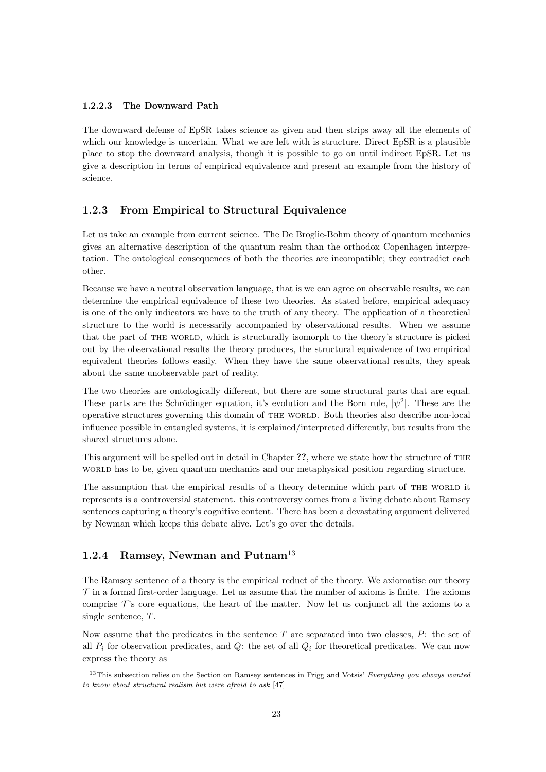#### 1.2.2.3 The Downward Path

The downward defense of EpSR takes science as given and then strips away all the elements of which our knowledge is uncertain. What we are left with is structure. Direct EpSR is a plausible place to stop the downward analysis, though it is possible to go on until indirect EpSR. Let us give a description in terms of empirical equivalence and present an example from the history of science.

#### 1.2.3 From Empirical to Structural Equivalence

Let us take an example from current science. The De Broglie-Bohm theory of quantum mechanics gives an alternative description of the quantum realm than the orthodox Copenhagen interpretation. The ontological consequences of both the theories are incompatible; they contradict each other.

Because we have a neutral observation language, that is we can agree on observable results, we can determine the empirical equivalence of these two theories. As stated before, empirical adequacy is one of the only indicators we have to the truth of any theory. The application of a theoretical structure to the world is necessarily accompanied by observational results. When we assume that the part of THE WORLD, which is structurally isomorph to the theory's structure is picked out by the observational results the theory produces, the structural equivalence of two empirical equivalent theories follows easily. When they have the same observational results, they speak about the same unobservable part of reality.

The two theories are ontologically different, but there are some structural parts that are equal. These parts are the Schrödinger equation, it's evolution and the Born rule,  $|\psi^2|$ . These are the operative structures governing this domain of THE WORLD. Both theories also describe non-local influence possible in entangled systems, it is explained/interpreted differently, but results from the shared structures alone.

This argument will be spelled out in detail in Chapter ??, where we state how the structure of the word has to be, given quantum mechanics and our metaphysical position regarding structure.

The assumption that the empirical results of a theory determine which part of THE WORLD it represents is a controversial statement. this controversy comes from a living debate about Ramsey sentences capturing a theory's cognitive content. There has been a devastating argument delivered by Newman which keeps this debate alive. Let's go over the details.

#### 1.2.4 Ramsey, Newman and Putnam<sup>13</sup>

The Ramsey sentence of a theory is the empirical reduct of the theory. We axiomatise our theory  $\mathcal T$  in a formal first-order language. Let us assume that the number of axioms is finite. The axioms comprise  $\mathcal{T}$ 's core equations, the heart of the matter. Now let us conjunct all the axioms to a single sentence, T.

Now assume that the predicates in the sentence  $T$  are separated into two classes,  $P$ : the set of all  $P_i$  for observation predicates, and  $Q$ : the set of all  $Q_i$  for theoretical predicates. We can now express the theory as

<sup>&</sup>lt;sup>13</sup>This subsection relies on the Section on Ramsey sentences in Frigg and Votsis' Everything you always wanted to know about structural realism but were afraid to ask [47]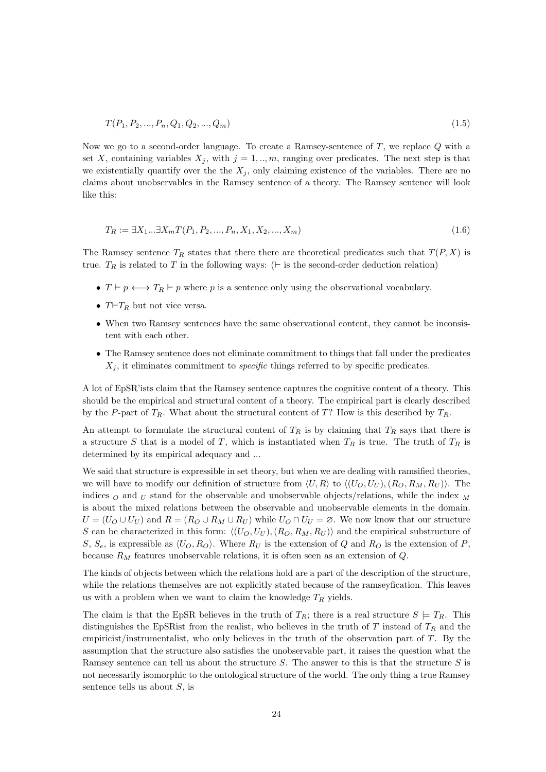$$
T(P_1, P_2, \dots, P_n, Q_1, Q_2, \dots, Q_m) \tag{1.5}
$$

Now we go to a second-order language. To create a Ramsey-sentence of T, we replace Q with a set X, containing variables  $X_j$ , with  $j = 1, ..., m$ , ranging over predicates. The next step is that we existentially quantify over the the  $X_j$ , only claiming existence of the variables. There are no claims about unobservables in the Ramsey sentence of a theory. The Ramsey sentence will look like this:

$$
T_R := \exists X_1 ... \exists X_m T(P_1, P_2, ..., P_n, X_1, X_2, ..., X_m)
$$
\n
$$
(1.6)
$$

The Ramsey sentence  $T_R$  states that there there are theoretical predicates such that  $T(P, X)$  is true.  $T_R$  is related to T in the following ways: ( $\vdash$  is the second-order deduction relation)

- $T \vdash p \longleftrightarrow T_R \vdash p$  where p is a sentence only using the observational vocabulary.
- $T\vdash T_R$  but not vice versa.
- When two Ramsey sentences have the same observational content, they cannot be inconsistent with each other.
- The Ramsey sentence does not eliminate commitment to things that fall under the predicates  $X_i$ , it eliminates commitment to *specific* things referred to by specific predicates.

A lot of EpSR'ists claim that the Ramsey sentence captures the cognitive content of a theory. This should be the empirical and structural content of a theory. The empirical part is clearly described by the P-part of  $T_R$ . What about the structural content of T? How is this described by  $T_R$ .

An attempt to formulate the structural content of  $T_R$  is by claiming that  $T_R$  says that there is a structure S that is a model of T, which is instantiated when  $T_R$  is true. The truth of  $T_R$  is determined by its empirical adequacy and ...

We said that structure is expressible in set theory, but when we are dealing with ramsified theories, we will have to modify our definition of structure from  $\langle U, R \rangle$  to  $\langle (U_O, U_U) , (R_O, R_M, R_U) \rangle$ . The indices  $\sigma$  and  $\sigma$  stand for the observable and unobservable objects/relations, while the index  $\sigma$ is about the mixed relations between the observable and unobservable elements in the domain.  $U = (U_O \cup U_U)$  and  $R = (R_O \cup R_M \cup R_U)$  while  $U_O \cap U_U = \emptyset$ . We now know that our structure S can be characterized in this form:  $\langle (U_O, U_U), (R_O, R_M, R_U) \rangle$  and the empirical substructure of S,  $S_e$ , is expressible as  $\langle U_O, R_O \rangle$ . Where  $R_U$  is the extension of Q and  $R_O$  is the extension of P, because  $R_M$  features unobservable relations, it is often seen as an extension of  $Q$ .

The kinds of objects between which the relations hold are a part of the description of the structure, while the relations themselves are not explicitly stated because of the ramseyfication. This leaves us with a problem when we want to claim the knowledge  $T_R$  yields.

The claim is that the EpSR believes in the truth of  $T_R$ ; there is a real structure  $S \models T_R$ . This distinguishes the EpSR ist from the realist, who believes in the truth of T instead of  $T_R$  and the empiricist/instrumentalist, who only believes in the truth of the observation part of T. By the assumption that the structure also satisfies the unobservable part, it raises the question what the Ramsey sentence can tell us about the structure  $S$ . The answer to this is that the structure  $S$  is not necessarily isomorphic to the ontological structure of the world. The only thing a true Ramsey sentence tells us about  $S$ , is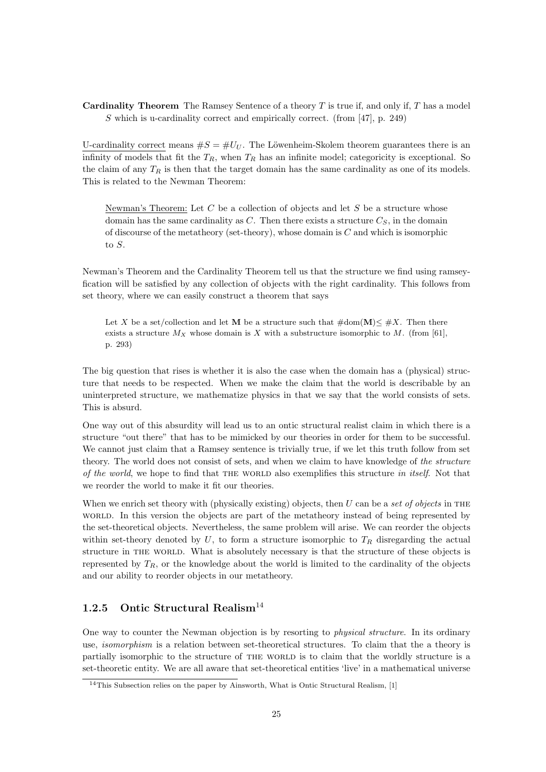**Cardinality Theorem** The Ramsey Sentence of a theory  $T$  is true if, and only if,  $T$  has a model S which is u-cardinality correct and empirically correct. (from [47], p. 249)

U-cardinality correct means  $\#S = \#U_U$ . The Löwenheim-Skolem theorem guarantees there is an infinity of models that fit the  $T_R$ , when  $T_R$  has an infinite model; categoricity is exceptional. So the claim of any  $T_R$  is then that the target domain has the same cardinality as one of its models. This is related to the Newman Theorem:

Newman's Theorem: Let  $C$  be a collection of objects and let  $S$  be a structure whose domain has the same cardinality as C. Then there exists a structure  $C_S$ , in the domain of discourse of the metatheory (set-theory), whose domain is  $C$  and which is isomorphic to S.

Newman's Theorem and the Cardinality Theorem tell us that the structure we find using ramseyfication will be satisfied by any collection of objects with the right cardinality. This follows from set theory, where we can easily construct a theorem that says

Let X be a set/collection and let M be a structure such that  $\#\text{dom}(\mathbf{M}) \leq \#X$ . Then there exists a structure  $M_X$  whose domain is X with a substructure isomorphic to M. (from [61], p. 293)

The big question that rises is whether it is also the case when the domain has a (physical) structure that needs to be respected. When we make the claim that the world is describable by an uninterpreted structure, we mathematize physics in that we say that the world consists of sets. This is absurd.

One way out of this absurdity will lead us to an ontic structural realist claim in which there is a structure "out there" that has to be mimicked by our theories in order for them to be successful. We cannot just claim that a Ramsey sentence is trivially true, if we let this truth follow from set theory. The world does not consist of sets, and when we claim to have knowledge of the structure of the world, we hope to find that the world also exemplifies this structure in itself. Not that we reorder the world to make it fit our theories.

When we enrich set theory with (physically existing) objects, then U can be a set of objects in THE world. In this version the objects are part of the metatheory instead of being represented by the set-theoretical objects. Nevertheless, the same problem will arise. We can reorder the objects within set-theory denoted by U, to form a structure isomorphic to  $T_R$  disregarding the actual structure in the world. What is absolutely necessary is that the structure of these objects is represented by  $T_R$ , or the knowledge about the world is limited to the cardinality of the objects and our ability to reorder objects in our metatheory.

#### 1.2.5 Ontic Structural Realism<sup>14</sup>

One way to counter the Newman objection is by resorting to physical structure. In its ordinary use, isomorphism is a relation between set-theoretical structures. To claim that the a theory is partially isomorphic to the structure of THE WORLD is to claim that the worldly structure is a set-theoretic entity. We are all aware that set-theoretical entities 'live' in a mathematical universe

 $14$ This Subsection relies on the paper by Ainsworth, What is Ontic Structural Realism, [1]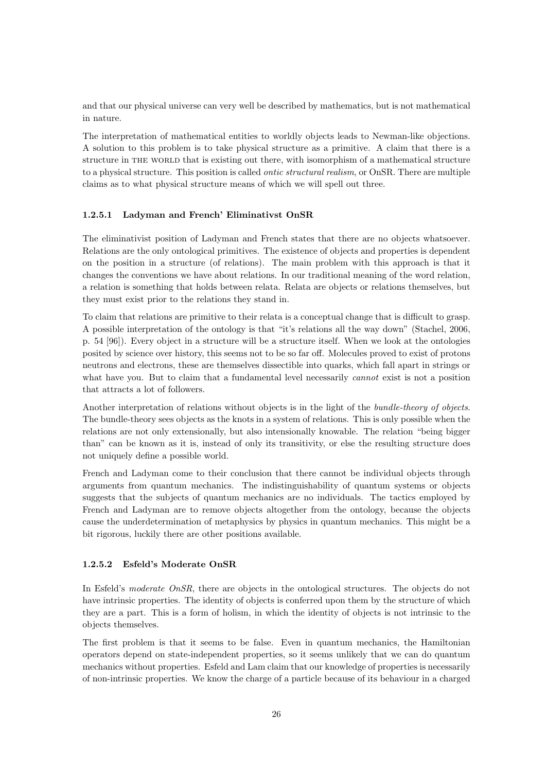and that our physical universe can very well be described by mathematics, but is not mathematical in nature.

The interpretation of mathematical entities to worldly objects leads to Newman-like objections. A solution to this problem is to take physical structure as a primitive. A claim that there is a structure in the world that is existing out there, with isomorphism of a mathematical structure to a physical structure. This position is called ontic structural realism, or OnSR. There are multiple claims as to what physical structure means of which we will spell out three.

#### 1.2.5.1 Ladyman and French' Eliminativst OnSR

The eliminativist position of Ladyman and French states that there are no objects whatsoever. Relations are the only ontological primitives. The existence of objects and properties is dependent on the position in a structure (of relations). The main problem with this approach is that it changes the conventions we have about relations. In our traditional meaning of the word relation, a relation is something that holds between relata. Relata are objects or relations themselves, but they must exist prior to the relations they stand in.

To claim that relations are primitive to their relata is a conceptual change that is difficult to grasp. A possible interpretation of the ontology is that "it's relations all the way down" (Stachel, 2006, p. 54 [96]). Every object in a structure will be a structure itself. When we look at the ontologies posited by science over history, this seems not to be so far off. Molecules proved to exist of protons neutrons and electrons, these are themselves dissectible into quarks, which fall apart in strings or what have you. But to claim that a fundamental level necessarily *cannot* exist is not a position that attracts a lot of followers.

Another interpretation of relations without objects is in the light of the bundle-theory of objects. The bundle-theory sees objects as the knots in a system of relations. This is only possible when the relations are not only extensionally, but also intensionally knowable. The relation "being bigger than" can be known as it is, instead of only its transitivity, or else the resulting structure does not uniquely define a possible world.

French and Ladyman come to their conclusion that there cannot be individual objects through arguments from quantum mechanics. The indistinguishability of quantum systems or objects suggests that the subjects of quantum mechanics are no individuals. The tactics employed by French and Ladyman are to remove objects altogether from the ontology, because the objects cause the underdetermination of metaphysics by physics in quantum mechanics. This might be a bit rigorous, luckily there are other positions available.

#### 1.2.5.2 Esfeld's Moderate OnSR

In Esfeld's moderate OnSR, there are objects in the ontological structures. The objects do not have intrinsic properties. The identity of objects is conferred upon them by the structure of which they are a part. This is a form of holism, in which the identity of objects is not intrinsic to the objects themselves.

The first problem is that it seems to be false. Even in quantum mechanics, the Hamiltonian operators depend on state-independent properties, so it seems unlikely that we can do quantum mechanics without properties. Esfeld and Lam claim that our knowledge of properties is necessarily of non-intrinsic properties. We know the charge of a particle because of its behaviour in a charged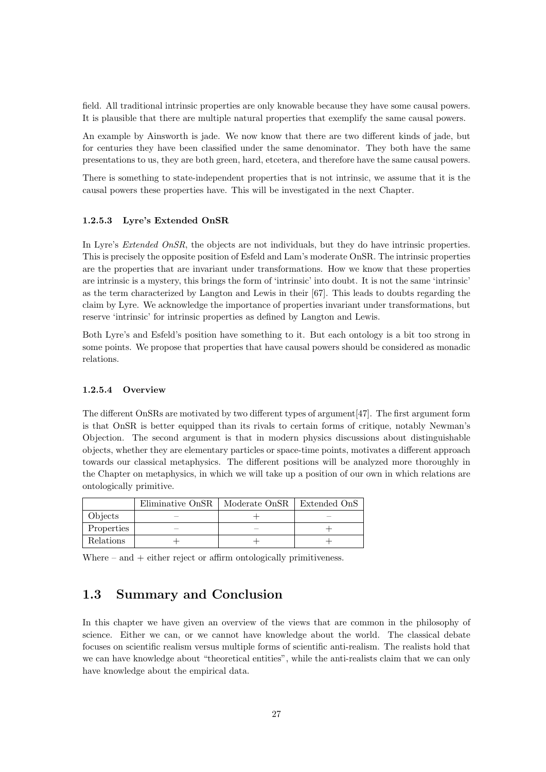field. All traditional intrinsic properties are only knowable because they have some causal powers. It is plausible that there are multiple natural properties that exemplify the same causal powers.

An example by Ainsworth is jade. We now know that there are two different kinds of jade, but for centuries they have been classified under the same denominator. They both have the same presentations to us, they are both green, hard, etcetera, and therefore have the same causal powers.

There is something to state-independent properties that is not intrinsic, we assume that it is the causal powers these properties have. This will be investigated in the next Chapter.

#### 1.2.5.3 Lyre's Extended OnSR

In Lyre's *Extended OnSR*, the objects are not individuals, but they do have intrinsic properties. This is precisely the opposite position of Esfeld and Lam's moderate OnSR. The intrinsic properties are the properties that are invariant under transformations. How we know that these properties are intrinsic is a mystery, this brings the form of 'intrinsic' into doubt. It is not the same 'intrinsic' as the term characterized by Langton and Lewis in their [67]. This leads to doubts regarding the claim by Lyre. We acknowledge the importance of properties invariant under transformations, but reserve 'intrinsic' for intrinsic properties as defined by Langton and Lewis.

Both Lyre's and Esfeld's position have something to it. But each ontology is a bit too strong in some points. We propose that properties that have causal powers should be considered as monadic relations.

#### 1.2.5.4 Overview

The different OnSRs are motivated by two different types of argument[47]. The first argument form is that OnSR is better equipped than its rivals to certain forms of critique, notably Newman's Objection. The second argument is that in modern physics discussions about distinguishable objects, whether they are elementary particles or space-time points, motivates a different approach towards our classical metaphysics. The different positions will be analyzed more thoroughly in the Chapter on metaphysics, in which we will take up a position of our own in which relations are ontologically primitive.

|            | Eliminative OnSR | Moderate OnSR | Extended OnS |
|------------|------------------|---------------|--------------|
| Objects    |                  |               |              |
| Properties |                  |               |              |
| Relations  |                  |               |              |

Where – and  $+$  either reject or affirm ontologically primitiveness.

#### 1.3 Summary and Conclusion

In this chapter we have given an overview of the views that are common in the philosophy of science. Either we can, or we cannot have knowledge about the world. The classical debate focuses on scientific realism versus multiple forms of scientific anti-realism. The realists hold that we can have knowledge about "theoretical entities", while the anti-realists claim that we can only have knowledge about the empirical data.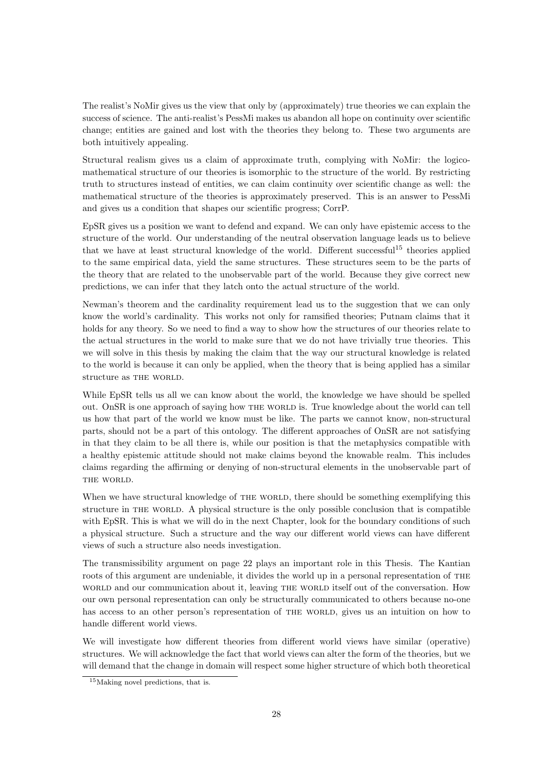The realist's NoMir gives us the view that only by (approximately) true theories we can explain the success of science. The anti-realist's PessMi makes us abandon all hope on continuity over scientific change; entities are gained and lost with the theories they belong to. These two arguments are both intuitively appealing.

Structural realism gives us a claim of approximate truth, complying with NoMir: the logicomathematical structure of our theories is isomorphic to the structure of the world. By restricting truth to structures instead of entities, we can claim continuity over scientific change as well: the mathematical structure of the theories is approximately preserved. This is an answer to PessMi and gives us a condition that shapes our scientific progress; CorrP.

EpSR gives us a position we want to defend and expand. We can only have epistemic access to the structure of the world. Our understanding of the neutral observation language leads us to believe that we have at least structural knowledge of the world. Different successful<sup>15</sup> theories applied to the same empirical data, yield the same structures. These structures seem to be the parts of the theory that are related to the unobservable part of the world. Because they give correct new predictions, we can infer that they latch onto the actual structure of the world.

Newman's theorem and the cardinality requirement lead us to the suggestion that we can only know the world's cardinality. This works not only for ramsified theories; Putnam claims that it holds for any theory. So we need to find a way to show how the structures of our theories relate to the actual structures in the world to make sure that we do not have trivially true theories. This we will solve in this thesis by making the claim that the way our structural knowledge is related to the world is because it can only be applied, when the theory that is being applied has a similar structure as THE WORLD.

While EpSR tells us all we can know about the world, the knowledge we have should be spelled out. OnSR is one approach of saying how the world is. True knowledge about the world can tell us how that part of the world we know must be like. The parts we cannot know, non-structural parts, should not be a part of this ontology. The different approaches of OnSR are not satisfying in that they claim to be all there is, while our position is that the metaphysics compatible with a healthy epistemic attitude should not make claims beyond the knowable realm. This includes claims regarding the affirming or denying of non-structural elements in the unobservable part of THE WORLD.

When we have structural knowledge of THE WORLD, there should be something exemplifying this structure in the world. A physical structure is the only possible conclusion that is compatible with EpSR. This is what we will do in the next Chapter, look for the boundary conditions of such a physical structure. Such a structure and the way our different world views can have different views of such a structure also needs investigation.

The transmissibility argument on page 22 plays an important role in this Thesis. The Kantian roots of this argument are undeniable, it divides the world up in a personal representation of the world and our communication about it, leaving THE WORLD itself out of the conversation. How our own personal representation can only be structurally communicated to others because no-one has access to an other person's representation of THE WORLD, gives us an intuition on how to handle different world views.

We will investigate how different theories from different world views have similar (operative) structures. We will acknowledge the fact that world views can alter the form of the theories, but we will demand that the change in domain will respect some higher structure of which both theoretical

<sup>&</sup>lt;sup>15</sup>Making novel predictions, that is.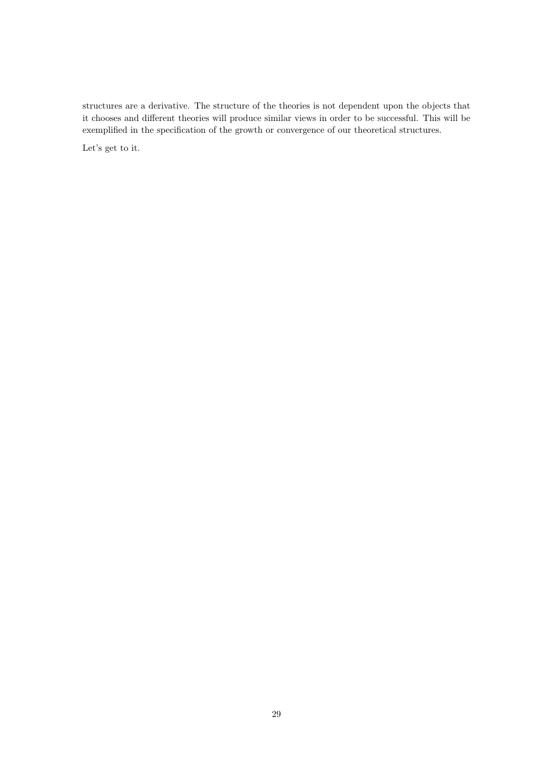structures are a derivative. The structure of the theories is not dependent upon the objects that it chooses and different theories will produce similar views in order to be successful. This will be exemplified in the specification of the growth or convergence of our theoretical structures.

Let's get to it.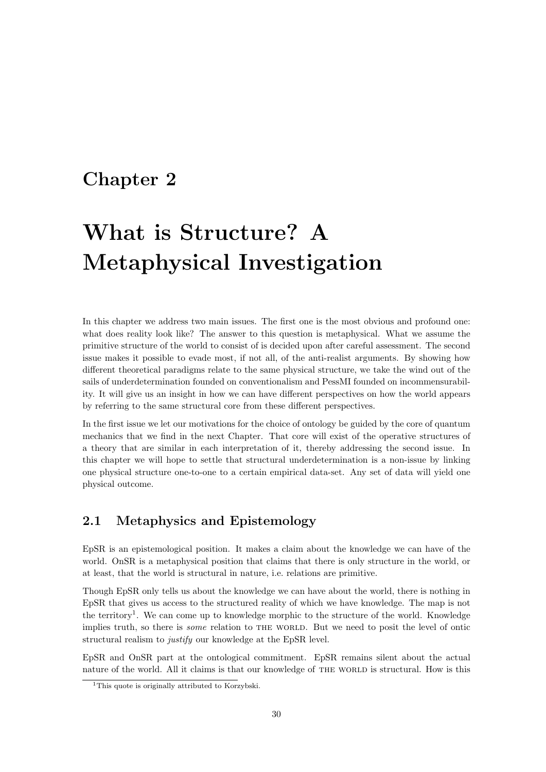### Chapter 2

# What is Structure? A Metaphysical Investigation

In this chapter we address two main issues. The first one is the most obvious and profound one: what does reality look like? The answer to this question is metaphysical. What we assume the primitive structure of the world to consist of is decided upon after careful assessment. The second issue makes it possible to evade most, if not all, of the anti-realist arguments. By showing how different theoretical paradigms relate to the same physical structure, we take the wind out of the sails of underdetermination founded on conventionalism and PessMI founded on incommensurability. It will give us an insight in how we can have different perspectives on how the world appears by referring to the same structural core from these different perspectives.

In the first issue we let our motivations for the choice of ontology be guided by the core of quantum mechanics that we find in the next Chapter. That core will exist of the operative structures of a theory that are similar in each interpretation of it, thereby addressing the second issue. In this chapter we will hope to settle that structural underdetermination is a non-issue by linking one physical structure one-to-one to a certain empirical data-set. Any set of data will yield one physical outcome.

#### 2.1 Metaphysics and Epistemology

EpSR is an epistemological position. It makes a claim about the knowledge we can have of the world. OnSR is a metaphysical position that claims that there is only structure in the world, or at least, that the world is structural in nature, i.e. relations are primitive.

Though EpSR only tells us about the knowledge we can have about the world, there is nothing in EpSR that gives us access to the structured reality of which we have knowledge. The map is not the territory<sup>1</sup>. We can come up to knowledge morphic to the structure of the world. Knowledge implies truth, so there is *some* relation to THE WORLD. But we need to posit the level of ontic structural realism to justify our knowledge at the EpSR level.

EpSR and OnSR part at the ontological commitment. EpSR remains silent about the actual nature of the world. All it claims is that our knowledge of the world is structural. How is this

<sup>&</sup>lt;sup>1</sup>This quote is originally attributed to Korzybski.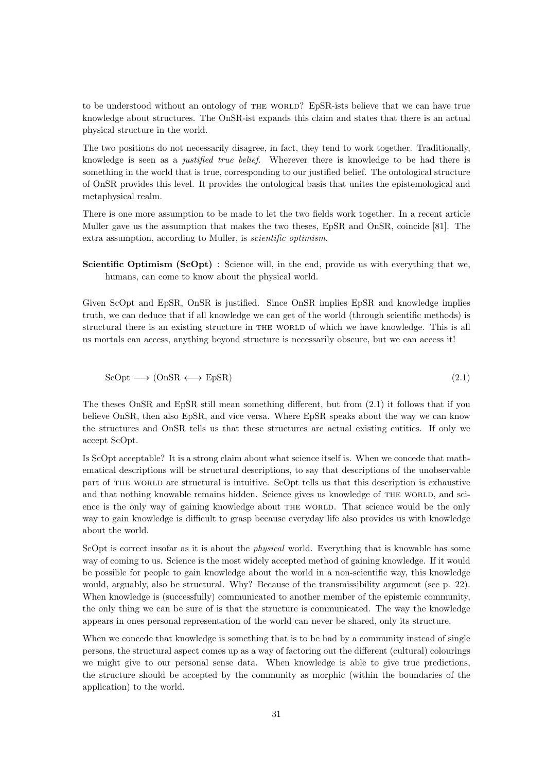to be understood without an ontology of THE WORLD? EpSR-ists believe that we can have true knowledge about structures. The OnSR-ist expands this claim and states that there is an actual physical structure in the world.

The two positions do not necessarily disagree, in fact, they tend to work together. Traditionally, knowledge is seen as a justified true belief. Wherever there is knowledge to be had there is something in the world that is true, corresponding to our justified belief. The ontological structure of OnSR provides this level. It provides the ontological basis that unites the epistemological and metaphysical realm.

There is one more assumption to be made to let the two fields work together. In a recent article Muller gave us the assumption that makes the two theses, EpSR and OnSR, coincide [81]. The extra assumption, according to Muller, is scientific optimism.

Scientific Optimism (ScOpt) : Science will, in the end, provide us with everything that we, humans, can come to know about the physical world.

Given ScOpt and EpSR, OnSR is justified. Since OnSR implies EpSR and knowledge implies truth, we can deduce that if all knowledge we can get of the world (through scientific methods) is structural there is an existing structure in THE WORLD of which we have knowledge. This is all us mortals can access, anything beyond structure is necessarily obscure, but we can access it!

$$
ScOpt \longrightarrow (OnSR \longleftrightarrow EpSR)
$$
\n
$$
(2.1)
$$

The theses OnSR and EpSR still mean something different, but from (2.1) it follows that if you believe OnSR, then also EpSR, and vice versa. Where EpSR speaks about the way we can know the structures and OnSR tells us that these structures are actual existing entities. If only we accept ScOpt.

Is ScOpt acceptable? It is a strong claim about what science itself is. When we concede that mathematical descriptions will be structural descriptions, to say that descriptions of the unobservable part of the world are structural is intuitive. ScOpt tells us that this description is exhaustive and that nothing knowable remains hidden. Science gives us knowledge of THE WORLD, and science is the only way of gaining knowledge about THE WORLD. That science would be the only way to gain knowledge is difficult to grasp because everyday life also provides us with knowledge about the world.

ScOpt is correct insofar as it is about the *physical* world. Everything that is knowable has some way of coming to us. Science is the most widely accepted method of gaining knowledge. If it would be possible for people to gain knowledge about the world in a non-scientific way, this knowledge would, arguably, also be structural. Why? Because of the transmissibility argument (see p. 22). When knowledge is (successfully) communicated to another member of the epistemic community, the only thing we can be sure of is that the structure is communicated. The way the knowledge appears in ones personal representation of the world can never be shared, only its structure.

When we concede that knowledge is something that is to be had by a community instead of single persons, the structural aspect comes up as a way of factoring out the different (cultural) colourings we might give to our personal sense data. When knowledge is able to give true predictions, the structure should be accepted by the community as morphic (within the boundaries of the application) to the world.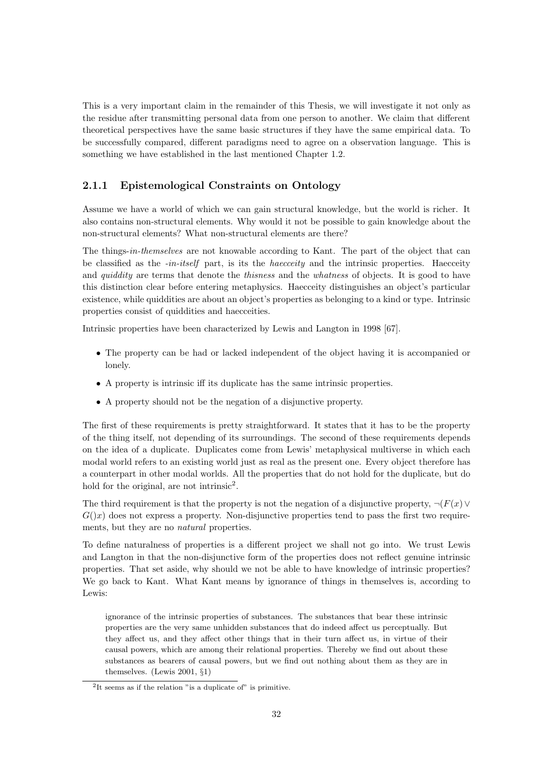This is a very important claim in the remainder of this Thesis, we will investigate it not only as the residue after transmitting personal data from one person to another. We claim that different theoretical perspectives have the same basic structures if they have the same empirical data. To be successfully compared, different paradigms need to agree on a observation language. This is something we have established in the last mentioned Chapter 1.2.

#### 2.1.1 Epistemological Constraints on Ontology

Assume we have a world of which we can gain structural knowledge, but the world is richer. It also contains non-structural elements. Why would it not be possible to gain knowledge about the non-structural elements? What non-structural elements are there?

The things-in-themselves are not knowable according to Kant. The part of the object that can be classified as the -in-itself part, is its the *haeceity* and the intrinsic properties. Haeceity and *quiddity* are terms that denote the *thisness* and the *whatness* of objects. It is good to have this distinction clear before entering metaphysics. Haecceity distinguishes an object's particular existence, while quiddities are about an object's properties as belonging to a kind or type. Intrinsic properties consist of quiddities and haecceities.

Intrinsic properties have been characterized by Lewis and Langton in 1998 [67].

- The property can be had or lacked independent of the object having it is accompanied or lonely.
- A property is intrinsic iff its duplicate has the same intrinsic properties.
- A property should not be the negation of a disjunctive property.

The first of these requirements is pretty straightforward. It states that it has to be the property of the thing itself, not depending of its surroundings. The second of these requirements depends on the idea of a duplicate. Duplicates come from Lewis' metaphysical multiverse in which each modal world refers to an existing world just as real as the present one. Every object therefore has a counterpart in other modal worlds. All the properties that do not hold for the duplicate, but do hold for the original, are not intrinsic<sup>2</sup>.

The third requirement is that the property is not the negation of a disjunctive property,  $\neg (F(x) \vee$  $G(x)$  does not express a property. Non-disjunctive properties tend to pass the first two requirements, but they are no natural properties.

To define naturalness of properties is a different project we shall not go into. We trust Lewis and Langton in that the non-disjunctive form of the properties does not reflect genuine intrinsic properties. That set aside, why should we not be able to have knowledge of intrinsic properties? We go back to Kant. What Kant means by ignorance of things in themselves is, according to Lewis:

ignorance of the intrinsic properties of substances. The substances that bear these intrinsic properties are the very same unhidden substances that do indeed affect us perceptually. But they affect us, and they affect other things that in their turn affect us, in virtue of their causal powers, which are among their relational properties. Thereby we find out about these substances as bearers of causal powers, but we find out nothing about them as they are in themselves. (Lewis 2001, §1)

<sup>&</sup>lt;sup>2</sup>It seems as if the relation "is a duplicate of" is primitive.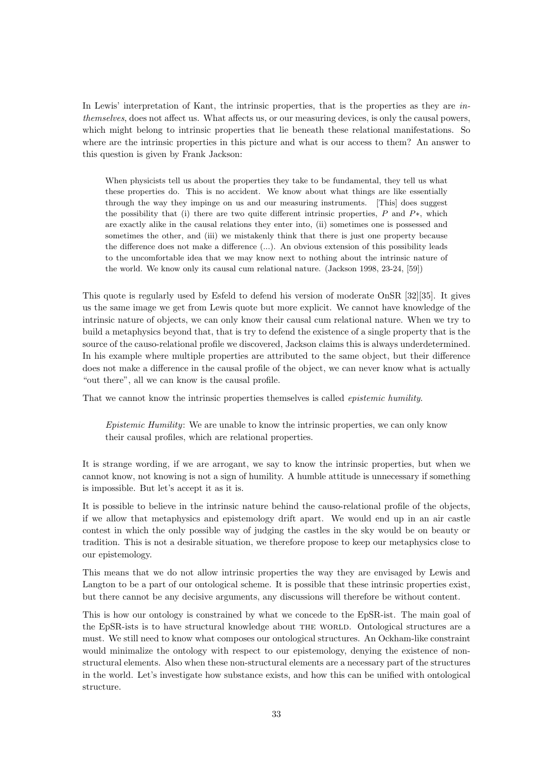In Lewis' interpretation of Kant, the intrinsic properties, that is the properties as they are inthemselves, does not affect us. What affects us, or our measuring devices, is only the causal powers, which might belong to intrinsic properties that lie beneath these relational manifestations. So where are the intrinsic properties in this picture and what is our access to them? An answer to this question is given by Frank Jackson:

When physicists tell us about the properties they take to be fundamental, they tell us what these properties do. This is no accident. We know about what things are like essentially through the way they impinge on us and our measuring instruments. [This] does suggest the possibility that (i) there are two quite different intrinsic properties, P and  $P^*$ , which are exactly alike in the causal relations they enter into, (ii) sometimes one is possessed and sometimes the other, and (iii) we mistakenly think that there is just one property because the difference does not make a difference (...). An obvious extension of this possibility leads to the uncomfortable idea that we may know next to nothing about the intrinsic nature of the world. We know only its causal cum relational nature. (Jackson 1998, 23-24, [59])

This quote is regularly used by Esfeld to defend his version of moderate OnSR [32][35]. It gives us the same image we get from Lewis quote but more explicit. We cannot have knowledge of the intrinsic nature of objects, we can only know their causal cum relational nature. When we try to build a metaphysics beyond that, that is try to defend the existence of a single property that is the source of the causo-relational profile we discovered, Jackson claims this is always underdetermined. In his example where multiple properties are attributed to the same object, but their difference does not make a difference in the causal profile of the object, we can never know what is actually "out there", all we can know is the causal profile.

That we cannot know the intrinsic properties themselves is called *epistemic humility*.

Epistemic Humility: We are unable to know the intrinsic properties, we can only know their causal profiles, which are relational properties.

It is strange wording, if we are arrogant, we say to know the intrinsic properties, but when we cannot know, not knowing is not a sign of humility. A humble attitude is unnecessary if something is impossible. But let's accept it as it is.

It is possible to believe in the intrinsic nature behind the causo-relational profile of the objects, if we allow that metaphysics and epistemology drift apart. We would end up in an air castle contest in which the only possible way of judging the castles in the sky would be on beauty or tradition. This is not a desirable situation, we therefore propose to keep our metaphysics close to our epistemology.

This means that we do not allow intrinsic properties the way they are envisaged by Lewis and Langton to be a part of our ontological scheme. It is possible that these intrinsic properties exist, but there cannot be any decisive arguments, any discussions will therefore be without content.

This is how our ontology is constrained by what we concede to the EpSR-ist. The main goal of the EpSR-ists is to have structural knowledge about THE WORLD. Ontological structures are a must. We still need to know what composes our ontological structures. An Ockham-like constraint would minimalize the ontology with respect to our epistemology, denying the existence of nonstructural elements. Also when these non-structural elements are a necessary part of the structures in the world. Let's investigate how substance exists, and how this can be unified with ontological structure.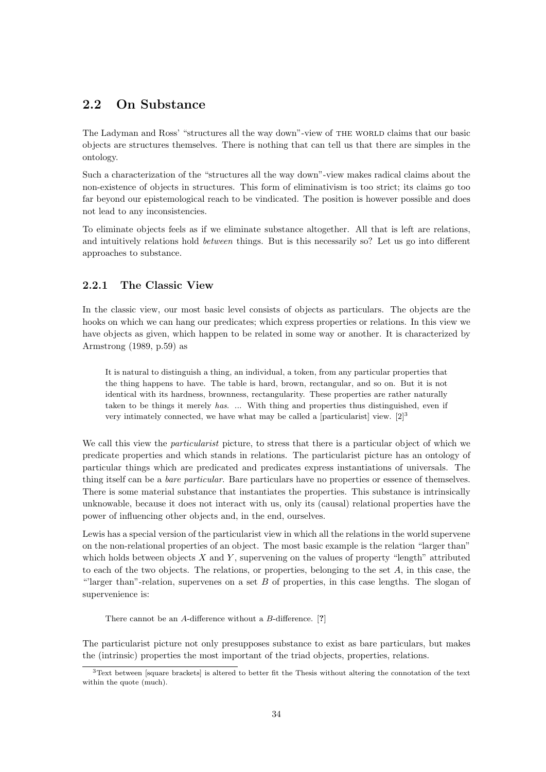#### 2.2 On Substance

The Ladyman and Ross' "structures all the way down"-view of THE WORLD claims that our basic objects are structures themselves. There is nothing that can tell us that there are simples in the ontology.

Such a characterization of the "structures all the way down"-view makes radical claims about the non-existence of objects in structures. This form of eliminativism is too strict; its claims go too far beyond our epistemological reach to be vindicated. The position is however possible and does not lead to any inconsistencies.

To eliminate objects feels as if we eliminate substance altogether. All that is left are relations, and intuitively relations hold between things. But is this necessarily so? Let us go into different approaches to substance.

#### 2.2.1 The Classic View

In the classic view, our most basic level consists of objects as particulars. The objects are the hooks on which we can hang our predicates; which express properties or relations. In this view we have objects as given, which happen to be related in some way or another. It is characterized by Armstrong (1989, p.59) as

It is natural to distinguish a thing, an individual, a token, from any particular properties that the thing happens to have. The table is hard, brown, rectangular, and so on. But it is not identical with its hardness, brownness, rectangularity. These properties are rather naturally taken to be things it merely has. ... With thing and properties thus distinguished, even if very intimately connected, we have what may be called a [particularist] view.  $[2]^3$ 

We call this view the *particularist* picture, to stress that there is a particular object of which we predicate properties and which stands in relations. The particularist picture has an ontology of particular things which are predicated and predicates express instantiations of universals. The thing itself can be a bare particular. Bare particulars have no properties or essence of themselves. There is some material substance that instantiates the properties. This substance is intrinsically unknowable, because it does not interact with us, only its (causal) relational properties have the power of influencing other objects and, in the end, ourselves.

Lewis has a special version of the particularist view in which all the relations in the world supervene on the non-relational properties of an object. The most basic example is the relation "larger than" which holds between objects  $X$  and  $Y$ , supervening on the values of property "length" attributed to each of the two objects. The relations, or properties, belonging to the set  $A$ , in this case, the "larger than"-relation, supervenes on a set  $B$  of properties, in this case lengths. The slogan of supervenience is:

There cannot be an A-difference without a B-difference. [?]

The particularist picture not only presupposes substance to exist as bare particulars, but makes the (intrinsic) properties the most important of the triad objects, properties, relations.

<sup>3</sup>Text between [square brackets] is altered to better fit the Thesis without altering the connotation of the text within the quote (much).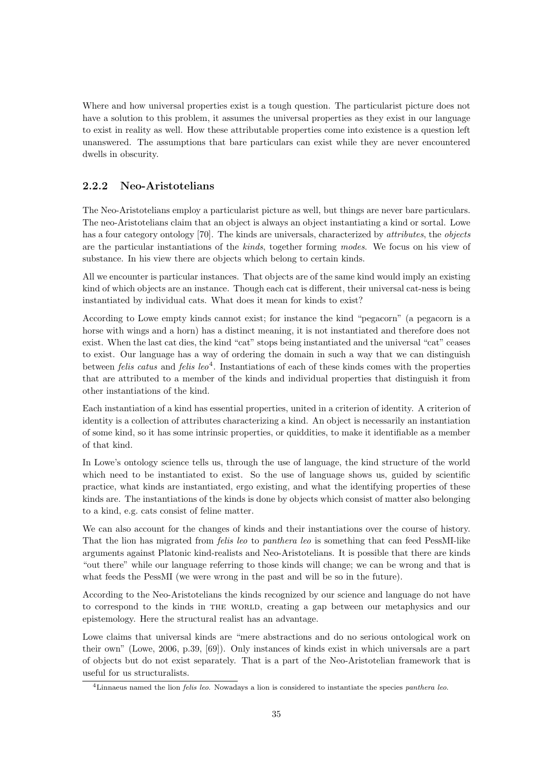Where and how universal properties exist is a tough question. The particularist picture does not have a solution to this problem, it assumes the universal properties as they exist in our language to exist in reality as well. How these attributable properties come into existence is a question left unanswered. The assumptions that bare particulars can exist while they are never encountered dwells in obscurity.

#### 2.2.2 Neo-Aristotelians

The Neo-Aristotelians employ a particularist picture as well, but things are never bare particulars. The neo-Aristotelians claim that an object is always an object instantiating a kind or sortal. Lowe has a four category ontology [70]. The kinds are universals, characterized by *attributes*, the *objects* are the particular instantiations of the kinds, together forming modes. We focus on his view of substance. In his view there are objects which belong to certain kinds.

All we encounter is particular instances. That objects are of the same kind would imply an existing kind of which objects are an instance. Though each cat is different, their universal cat-ness is being instantiated by individual cats. What does it mean for kinds to exist?

According to Lowe empty kinds cannot exist; for instance the kind "pegacorn" (a pegacorn is a horse with wings and a horn) has a distinct meaning, it is not instantiated and therefore does not exist. When the last cat dies, the kind "cat" stops being instantiated and the universal "cat" ceases to exist. Our language has a way of ordering the domain in such a way that we can distinguish between *felis catus* and *felis leo*<sup>4</sup>. Instantiations of each of these kinds comes with the properties that are attributed to a member of the kinds and individual properties that distinguish it from other instantiations of the kind.

Each instantiation of a kind has essential properties, united in a criterion of identity. A criterion of identity is a collection of attributes characterizing a kind. An object is necessarily an instantiation of some kind, so it has some intrinsic properties, or quiddities, to make it identifiable as a member of that kind.

In Lowe's ontology science tells us, through the use of language, the kind structure of the world which need to be instantiated to exist. So the use of language shows us, guided by scientific practice, what kinds are instantiated, ergo existing, and what the identifying properties of these kinds are. The instantiations of the kinds is done by objects which consist of matter also belonging to a kind, e.g. cats consist of feline matter.

We can also account for the changes of kinds and their instantiations over the course of history. That the lion has migrated from felis leo to panthera leo is something that can feed PessMI-like arguments against Platonic kind-realists and Neo-Aristotelians. It is possible that there are kinds "out there" while our language referring to those kinds will change; we can be wrong and that is what feeds the PessMI (we were wrong in the past and will be so in the future).

According to the Neo-Aristotelians the kinds recognized by our science and language do not have to correspond to the kinds in the world, creating a gap between our metaphysics and our epistemology. Here the structural realist has an advantage.

Lowe claims that universal kinds are "mere abstractions and do no serious ontological work on their own" (Lowe, 2006, p.39, [69]). Only instances of kinds exist in which universals are a part of objects but do not exist separately. That is a part of the Neo-Aristotelian framework that is useful for us structuralists.

<sup>&</sup>lt;sup>4</sup>Linnaeus named the lion *felis leo*. Nowadays a lion is considered to instantiate the species *panthera leo*.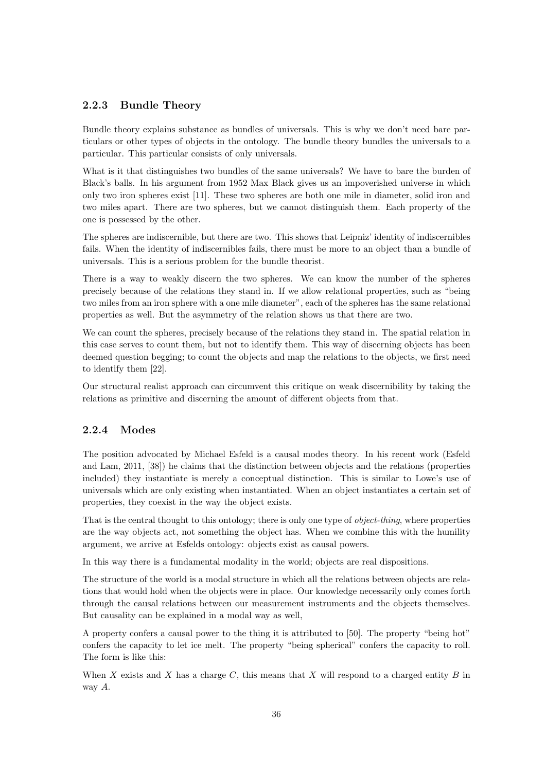#### 2.2.3 Bundle Theory

Bundle theory explains substance as bundles of universals. This is why we don't need bare particulars or other types of objects in the ontology. The bundle theory bundles the universals to a particular. This particular consists of only universals.

What is it that distinguishes two bundles of the same universals? We have to bare the burden of Black's balls. In his argument from 1952 Max Black gives us an impoverished universe in which only two iron spheres exist [11]. These two spheres are both one mile in diameter, solid iron and two miles apart. There are two spheres, but we cannot distinguish them. Each property of the one is possessed by the other.

The spheres are indiscernible, but there are two. This shows that Leipniz' identity of indiscernibles fails. When the identity of indiscernibles fails, there must be more to an object than a bundle of universals. This is a serious problem for the bundle theorist.

There is a way to weakly discern the two spheres. We can know the number of the spheres precisely because of the relations they stand in. If we allow relational properties, such as "being two miles from an iron sphere with a one mile diameter", each of the spheres has the same relational properties as well. But the asymmetry of the relation shows us that there are two.

We can count the spheres, precisely because of the relations they stand in. The spatial relation in this case serves to count them, but not to identify them. This way of discerning objects has been deemed question begging; to count the objects and map the relations to the objects, we first need to identify them [22].

Our structural realist approach can circumvent this critique on weak discernibility by taking the relations as primitive and discerning the amount of different objects from that.

#### 2.2.4 Modes

The position advocated by Michael Esfeld is a causal modes theory. In his recent work (Esfeld and Lam, 2011, [38]) he claims that the distinction between objects and the relations (properties included) they instantiate is merely a conceptual distinction. This is similar to Lowe's use of universals which are only existing when instantiated. When an object instantiates a certain set of properties, they coexist in the way the object exists.

That is the central thought to this ontology; there is only one type of *object-thing*, where properties are the way objects act, not something the object has. When we combine this with the humility argument, we arrive at Esfelds ontology: objects exist as causal powers.

In this way there is a fundamental modality in the world; objects are real dispositions.

The structure of the world is a modal structure in which all the relations between objects are relations that would hold when the objects were in place. Our knowledge necessarily only comes forth through the causal relations between our measurement instruments and the objects themselves. But causality can be explained in a modal way as well,

A property confers a causal power to the thing it is attributed to [50]. The property "being hot" confers the capacity to let ice melt. The property "being spherical" confers the capacity to roll. The form is like this:

When X exists and X has a charge C, this means that X will respond to a charged entity B in way A.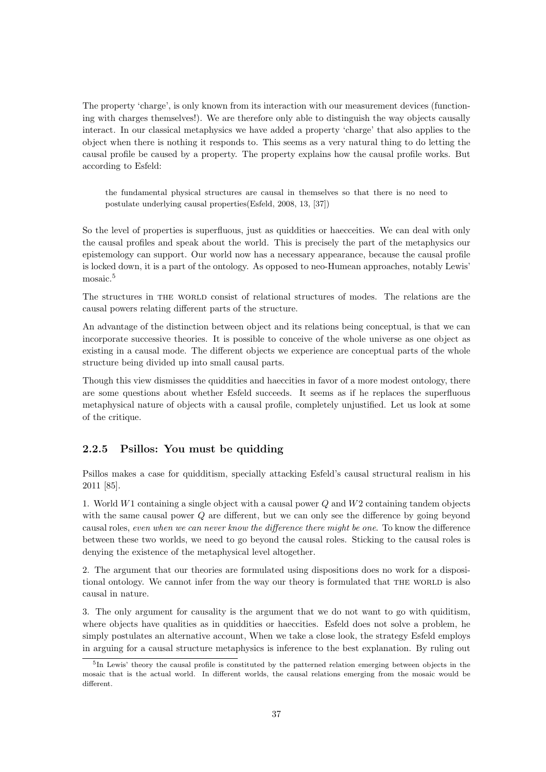The property 'charge', is only known from its interaction with our measurement devices (functioning with charges themselves!). We are therefore only able to distinguish the way objects causally interact. In our classical metaphysics we have added a property 'charge' that also applies to the object when there is nothing it responds to. This seems as a very natural thing to do letting the causal profile be caused by a property. The property explains how the causal profile works. But according to Esfeld:

the fundamental physical structures are causal in themselves so that there is no need to postulate underlying causal properties(Esfeld, 2008, 13, [37])

So the level of properties is superfluous, just as quiddities or haecceities. We can deal with only the causal profiles and speak about the world. This is precisely the part of the metaphysics our epistemology can support. Our world now has a necessary appearance, because the causal profile is locked down, it is a part of the ontology. As opposed to neo-Humean approaches, notably Lewis' mosaic.<sup>5</sup>

The structures in THE WORLD consist of relational structures of modes. The relations are the causal powers relating different parts of the structure.

An advantage of the distinction between object and its relations being conceptual, is that we can incorporate successive theories. It is possible to conceive of the whole universe as one object as existing in a causal mode. The different objects we experience are conceptual parts of the whole structure being divided up into small causal parts.

Though this view dismisses the quiddities and haeccities in favor of a more modest ontology, there are some questions about whether Esfeld succeeds. It seems as if he replaces the superfluous metaphysical nature of objects with a causal profile, completely unjustified. Let us look at some of the critique.

#### 2.2.5 Psillos: You must be quidding

Psillos makes a case for quidditism, specially attacking Esfeld's causal structural realism in his 2011 [85].

1. World  $W1$  containing a single object with a causal power  $Q$  and  $W2$  containing tandem objects with the same causal power Q are different, but we can only see the difference by going beyond causal roles, even when we can never know the difference there might be one. To know the difference between these two worlds, we need to go beyond the causal roles. Sticking to the causal roles is denying the existence of the metaphysical level altogether.

2. The argument that our theories are formulated using dispositions does no work for a dispositional ontology. We cannot infer from the way our theory is formulated that THE WORLD is also causal in nature.

3. The only argument for causality is the argument that we do not want to go with quiditism, where objects have qualities as in quiddities or haeccities. Esfeld does not solve a problem, he simply postulates an alternative account, When we take a close look, the strategy Esfeld employs in arguing for a causal structure metaphysics is inference to the best explanation. By ruling out

<sup>&</sup>lt;sup>5</sup>In Lewis' theory the causal profile is constituted by the patterned relation emerging between objects in the mosaic that is the actual world. In different worlds, the causal relations emerging from the mosaic would be different.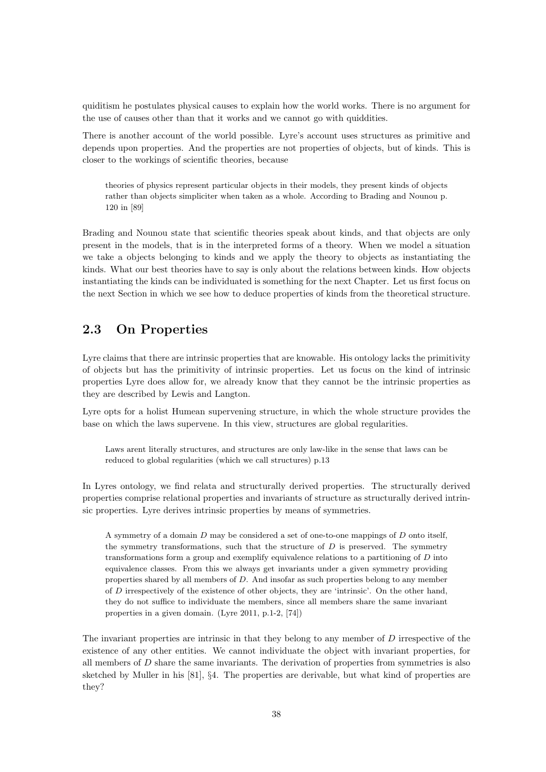quiditism he postulates physical causes to explain how the world works. There is no argument for the use of causes other than that it works and we cannot go with quiddities.

There is another account of the world possible. Lyre's account uses structures as primitive and depends upon properties. And the properties are not properties of objects, but of kinds. This is closer to the workings of scientific theories, because

theories of physics represent particular objects in their models, they present kinds of objects rather than objects simpliciter when taken as a whole. According to Brading and Nounou p. 120 in [89]

Brading and Nounou state that scientific theories speak about kinds, and that objects are only present in the models, that is in the interpreted forms of a theory. When we model a situation we take a objects belonging to kinds and we apply the theory to objects as instantiating the kinds. What our best theories have to say is only about the relations between kinds. How objects instantiating the kinds can be individuated is something for the next Chapter. Let us first focus on the next Section in which we see how to deduce properties of kinds from the theoretical structure.

#### 2.3 On Properties

Lyre claims that there are intrinsic properties that are knowable. His ontology lacks the primitivity of objects but has the primitivity of intrinsic properties. Let us focus on the kind of intrinsic properties Lyre does allow for, we already know that they cannot be the intrinsic properties as they are described by Lewis and Langton.

Lyre opts for a holist Humean supervening structure, in which the whole structure provides the base on which the laws supervene. In this view, structures are global regularities.

Laws arent literally structures, and structures are only law-like in the sense that laws can be reduced to global regularities (which we call structures) p.13

In Lyres ontology, we find relata and structurally derived properties. The structurally derived properties comprise relational properties and invariants of structure as structurally derived intrinsic properties. Lyre derives intrinsic properties by means of symmetries.

A symmetry of a domain D may be considered a set of one-to-one mappings of D onto itself, the symmetry transformations, such that the structure of  $D$  is preserved. The symmetry transformations form a group and exemplify equivalence relations to a partitioning of  $D$  into equivalence classes. From this we always get invariants under a given symmetry providing properties shared by all members of D. And insofar as such properties belong to any member of D irrespectively of the existence of other objects, they are 'intrinsic'. On the other hand, they do not suffice to individuate the members, since all members share the same invariant properties in a given domain. (Lyre 2011, p.1-2, [74])

The invariant properties are intrinsic in that they belong to any member of D irrespective of the existence of any other entities. We cannot individuate the object with invariant properties, for all members of  $D$  share the same invariants. The derivation of properties from symmetries is also sketched by Muller in his [81], §4. The properties are derivable, but what kind of properties are they?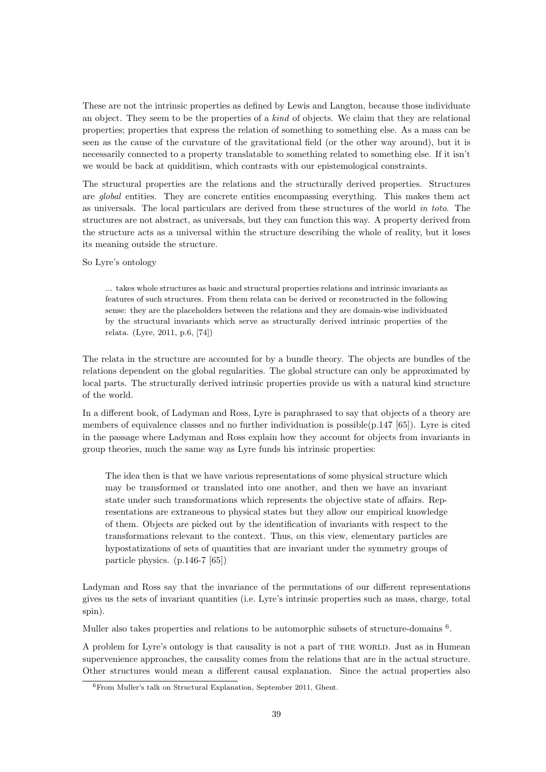These are not the intrinsic properties as defined by Lewis and Langton, because those individuate an object. They seem to be the properties of a kind of objects. We claim that they are relational properties; properties that express the relation of something to something else. As a mass can be seen as the cause of the curvature of the gravitational field (or the other way around), but it is necessarily connected to a property translatable to something related to something else. If it isn't we would be back at quidditism, which contrasts with our epistemological constraints.

The structural properties are the relations and the structurally derived properties. Structures are global entities. They are concrete entities encompassing everything. This makes them act as universals. The local particulars are derived from these structures of the world in toto. The structures are not abstract, as universals, but they can function this way. A property derived from the structure acts as a universal within the structure describing the whole of reality, but it loses its meaning outside the structure.

#### So Lyre's ontology

... takes whole structures as basic and structural properties relations and intrinsic invariants as features of such structures. From them relata can be derived or reconstructed in the following sense: they are the placeholders between the relations and they are domain-wise individuated by the structural invariants which serve as structurally derived intrinsic properties of the relata. (Lyre, 2011, p.6, [74])

The relata in the structure are accounted for by a bundle theory. The objects are bundles of the relations dependent on the global regularities. The global structure can only be approximated by local parts. The structurally derived intrinsic properties provide us with a natural kind structure of the world.

In a different book, of Ladyman and Ross, Lyre is paraphrased to say that objects of a theory are members of equivalence classes and no further individuation is possible $(p.147 \mid 65])$ . Lyre is cited in the passage where Ladyman and Ross explain how they account for objects from invariants in group theories, much the same way as Lyre funds his intrinsic properties:

The idea then is that we have various representations of some physical structure which may be transformed or translated into one another, and then we have an invariant state under such transformations which represents the objective state of affairs. Representations are extraneous to physical states but they allow our empirical knowledge of them. Objects are picked out by the identification of invariants with respect to the transformations relevant to the context. Thus, on this view, elementary particles are hypostatizations of sets of quantities that are invariant under the symmetry groups of particle physics. (p.146-7 [65])

Ladyman and Ross say that the invariance of the permutations of our different representations gives us the sets of invariant quantities (i.e. Lyre's intrinsic properties such as mass, charge, total spin).

Muller also takes properties and relations to be automorphic subsets of structure-domains <sup>6</sup>.

A problem for Lyre's ontology is that causality is not a part of THE WORLD. Just as in Humean supervenience approaches, the causality comes from the relations that are in the actual structure. Other structures would mean a different causal explanation. Since the actual properties also

<sup>6</sup>From Muller's talk on Structural Explanation, September 2011, Ghent.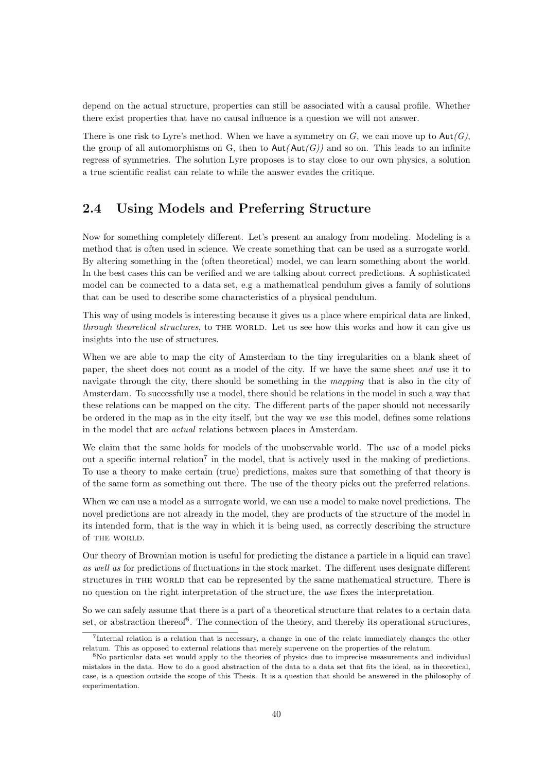depend on the actual structure, properties can still be associated with a causal profile. Whether there exist properties that have no causal influence is a question we will not answer.

There is one risk to Lyre's method. When we have a symmetry on  $G$ , we can move up to  $\text{Aut}(G)$ , the group of all automorphisms on G, then to  $Aut(Aut(G))$  and so on. This leads to an infinite regress of symmetries. The solution Lyre proposes is to stay close to our own physics, a solution a true scientific realist can relate to while the answer evades the critique.

#### 2.4 Using Models and Preferring Structure

Now for something completely different. Let's present an analogy from modeling. Modeling is a method that is often used in science. We create something that can be used as a surrogate world. By altering something in the (often theoretical) model, we can learn something about the world. In the best cases this can be verified and we are talking about correct predictions. A sophisticated model can be connected to a data set, e.g a mathematical pendulum gives a family of solutions that can be used to describe some characteristics of a physical pendulum.

This way of using models is interesting because it gives us a place where empirical data are linked, through theoretical structures, to THE WORLD. Let us see how this works and how it can give us insights into the use of structures.

When we are able to map the city of Amsterdam to the tiny irregularities on a blank sheet of paper, the sheet does not count as a model of the city. If we have the same sheet and use it to navigate through the city, there should be something in the *mapping* that is also in the city of Amsterdam. To successfully use a model, there should be relations in the model in such a way that these relations can be mapped on the city. The different parts of the paper should not necessarily be ordered in the map as in the city itself, but the way we use this model, defines some relations in the model that are actual relations between places in Amsterdam.

We claim that the same holds for models of the unobservable world. The use of a model picks out a specific internal relation<sup>7</sup> in the model, that is actively used in the making of predictions. To use a theory to make certain (true) predictions, makes sure that something of that theory is of the same form as something out there. The use of the theory picks out the preferred relations.

When we can use a model as a surrogate world, we can use a model to make novel predictions. The novel predictions are not already in the model, they are products of the structure of the model in its intended form, that is the way in which it is being used, as correctly describing the structure of THE WORLD.

Our theory of Brownian motion is useful for predicting the distance a particle in a liquid can travel as well as for predictions of fluctuations in the stock market. The different uses designate different structures in the world that can be represented by the same mathematical structure. There is no question on the right interpretation of the structure, the use fixes the interpretation.

So we can safely assume that there is a part of a theoretical structure that relates to a certain data set, or abstraction thereof<sup>8</sup>. The connection of the theory, and thereby its operational structures,

<sup>7</sup> Internal relation is a relation that is necessary, a change in one of the relate immediately changes the other relatum. This as opposed to external relations that merely supervene on the properties of the relatum.

<sup>8</sup>No particular data set would apply to the theories of physics due to imprecise measurements and individual mistakes in the data. How to do a good abstraction of the data to a data set that fits the ideal, as in theoretical, case, is a question outside the scope of this Thesis. It is a question that should be answered in the philosophy of experimentation.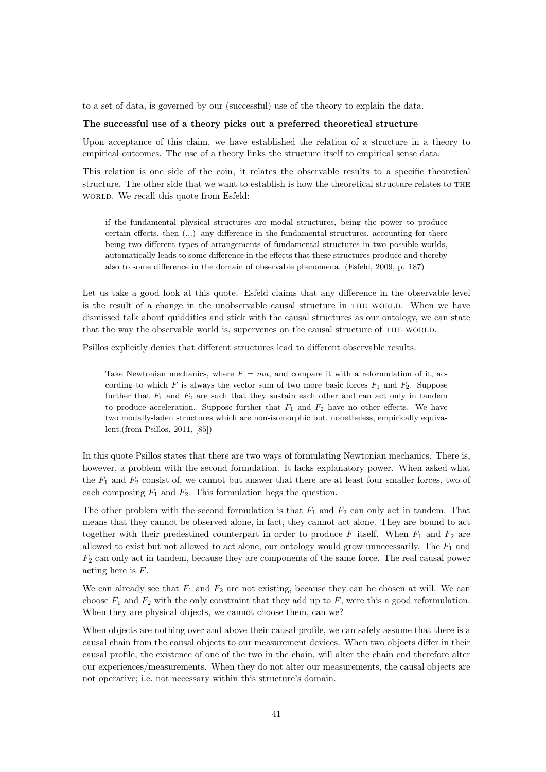to a set of data, is governed by our (successful) use of the theory to explain the data.

#### The successful use of a theory picks out a preferred theoretical structure

Upon acceptance of this claim, we have established the relation of a structure in a theory to empirical outcomes. The use of a theory links the structure itself to empirical sense data.

This relation is one side of the coin, it relates the observable results to a specific theoretical structure. The other side that we want to establish is how the theoretical structure relates to the world. We recall this quote from Esfeld:

if the fundamental physical structures are modal structures, being the power to produce certain effects, then (...) any difference in the fundamental structures, accounting for there being two different types of arrangements of fundamental structures in two possible worlds, automatically leads to some difference in the effects that these structures produce and thereby also to some difference in the domain of observable phenomena. (Esfeld, 2009, p. 187)

Let us take a good look at this quote. Esfeld claims that any difference in the observable level is the result of a change in the unobservable causal structure in THE WORLD. When we have dismissed talk about quiddities and stick with the causal structures as our ontology, we can state that the way the observable world is, supervenes on the causal structure of the world.

Psillos explicitly denies that different structures lead to different observable results.

Take Newtonian mechanics, where  $F = ma$ , and compare it with a reformulation of it, according to which F is always the vector sum of two more basic forces  $F_1$  and  $F_2$ . Suppose further that  $F_1$  and  $F_2$  are such that they sustain each other and can act only in tandem to produce acceleration. Suppose further that  $F_1$  and  $F_2$  have no other effects. We have two modally-laden structures which are non-isomorphic but, nonetheless, empirically equivalent.(from Psillos, 2011, [85])

In this quote Psillos states that there are two ways of formulating Newtonian mechanics. There is, however, a problem with the second formulation. It lacks explanatory power. When asked what the  $F_1$  and  $F_2$  consist of, we cannot but answer that there are at least four smaller forces, two of each composing  $F_1$  and  $F_2$ . This formulation begs the question.

The other problem with the second formulation is that  $F_1$  and  $F_2$  can only act in tandem. That means that they cannot be observed alone, in fact, they cannot act alone. They are bound to act together with their predestined counterpart in order to produce F itself. When  $F_1$  and  $F_2$  are allowed to exist but not allowed to act alone, our ontology would grow unnecessarily. The  $F_1$  and  $F_2$  can only act in tandem, because they are components of the same force. The real causal power acting here is F.

We can already see that  $F_1$  and  $F_2$  are not existing, because they can be chosen at will. We can choose  $F_1$  and  $F_2$  with the only constraint that they add up to  $F$ , were this a good reformulation. When they are physical objects, we cannot choose them, can we?

When objects are nothing over and above their causal profile, we can safely assume that there is a causal chain from the causal objects to our measurement devices. When two objects differ in their causal profile, the existence of one of the two in the chain, will alter the chain end therefore alter our experiences/measurements. When they do not alter our measurements, the causal objects are not operative; i.e. not necessary within this structure's domain.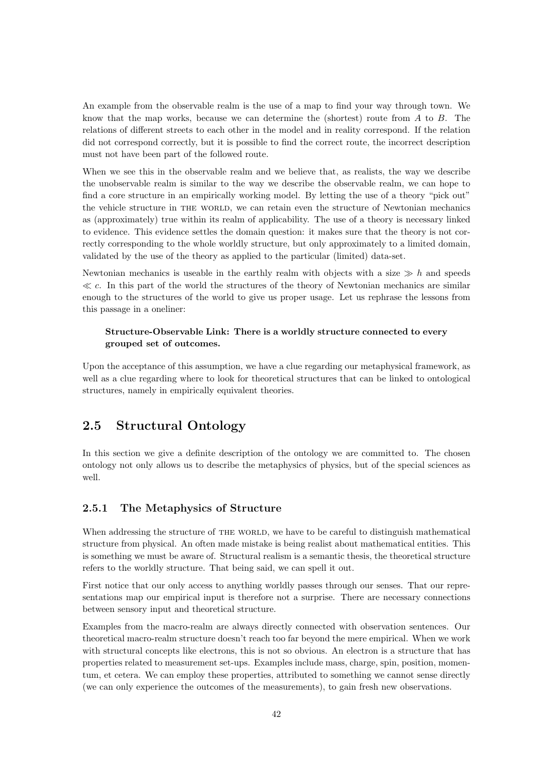An example from the observable realm is the use of a map to find your way through town. We know that the map works, because we can determine the (shortest) route from  $A$  to  $B$ . The relations of different streets to each other in the model and in reality correspond. If the relation did not correspond correctly, but it is possible to find the correct route, the incorrect description must not have been part of the followed route.

When we see this in the observable realm and we believe that, as realists, the way we describe the unobservable realm is similar to the way we describe the observable realm, we can hope to find a core structure in an empirically working model. By letting the use of a theory "pick out" the vehicle structure in the world, we can retain even the structure of Newtonian mechanics as (approximately) true within its realm of applicability. The use of a theory is necessary linked to evidence. This evidence settles the domain question: it makes sure that the theory is not correctly corresponding to the whole worldly structure, but only approximately to a limited domain, validated by the use of the theory as applied to the particular (limited) data-set.

Newtonian mechanics is useable in the earthly realm with objects with a size  $\gg h$  and speeds  $\ll c$ . In this part of the world the structures of the theory of Newtonian mechanics are similar enough to the structures of the world to give us proper usage. Let us rephrase the lessons from this passage in a oneliner:

#### Structure-Observable Link: There is a worldly structure connected to every grouped set of outcomes.

Upon the acceptance of this assumption, we have a clue regarding our metaphysical framework, as well as a clue regarding where to look for theoretical structures that can be linked to ontological structures, namely in empirically equivalent theories.

#### 2.5 Structural Ontology

In this section we give a definite description of the ontology we are committed to. The chosen ontology not only allows us to describe the metaphysics of physics, but of the special sciences as well.

#### 2.5.1 The Metaphysics of Structure

When addressing the structure of THE WORLD, we have to be careful to distinguish mathematical structure from physical. An often made mistake is being realist about mathematical entities. This is something we must be aware of. Structural realism is a semantic thesis, the theoretical structure refers to the worldly structure. That being said, we can spell it out.

First notice that our only access to anything worldly passes through our senses. That our representations map our empirical input is therefore not a surprise. There are necessary connections between sensory input and theoretical structure.

Examples from the macro-realm are always directly connected with observation sentences. Our theoretical macro-realm structure doesn't reach too far beyond the mere empirical. When we work with structural concepts like electrons, this is not so obvious. An electron is a structure that has properties related to measurement set-ups. Examples include mass, charge, spin, position, momentum, et cetera. We can employ these properties, attributed to something we cannot sense directly (we can only experience the outcomes of the measurements), to gain fresh new observations.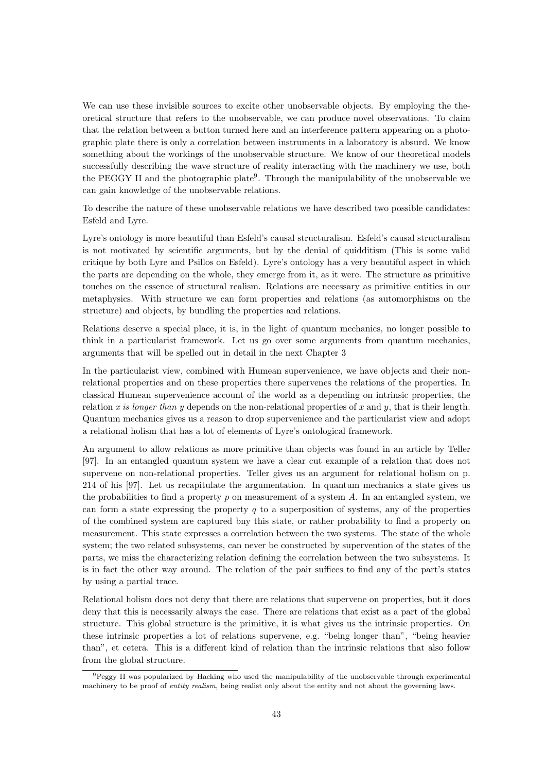We can use these invisible sources to excite other unobservable objects. By employing the theoretical structure that refers to the unobservable, we can produce novel observations. To claim that the relation between a button turned here and an interference pattern appearing on a photographic plate there is only a correlation between instruments in a laboratory is absurd. We know something about the workings of the unobservable structure. We know of our theoretical models successfully describing the wave structure of reality interacting with the machinery we use, both the PEGGY II and the photographic plate<sup>9</sup>. Through the manipulability of the unobservable we can gain knowledge of the unobservable relations.

To describe the nature of these unobservable relations we have described two possible candidates: Esfeld and Lyre.

Lyre's ontology is more beautiful than Esfeld's causal structuralism. Esfeld's causal structuralism is not motivated by scientific arguments, but by the denial of quidditism (This is some valid critique by both Lyre and Psillos on Esfeld). Lyre's ontology has a very beautiful aspect in which the parts are depending on the whole, they emerge from it, as it were. The structure as primitive touches on the essence of structural realism. Relations are necessary as primitive entities in our metaphysics. With structure we can form properties and relations (as automorphisms on the structure) and objects, by bundling the properties and relations.

Relations deserve a special place, it is, in the light of quantum mechanics, no longer possible to think in a particularist framework. Let us go over some arguments from quantum mechanics, arguments that will be spelled out in detail in the next Chapter 3

In the particularist view, combined with Humean supervenience, we have objects and their nonrelational properties and on these properties there supervenes the relations of the properties. In classical Humean supervenience account of the world as a depending on intrinsic properties, the relation x is longer than y depends on the non-relational properties of x and y, that is their length. Quantum mechanics gives us a reason to drop supervenience and the particularist view and adopt a relational holism that has a lot of elements of Lyre's ontological framework.

An argument to allow relations as more primitive than objects was found in an article by Teller [97]. In an entangled quantum system we have a clear cut example of a relation that does not supervene on non-relational properties. Teller gives us an argument for relational holism on p. 214 of his [97]. Let us recapitulate the argumentation. In quantum mechanics a state gives us the probabilities to find a property  $p$  on measurement of a system  $A$ . In an entangled system, we can form a state expressing the property  $q$  to a superposition of systems, any of the properties of the combined system are captured bny this state, or rather probability to find a property on measurement. This state expresses a correlation between the two systems. The state of the whole system; the two related subsystems, can never be constructed by supervention of the states of the parts, we miss the characterizing relation defining the correlation between the two subsystems. It is in fact the other way around. The relation of the pair suffices to find any of the part's states by using a partial trace.

Relational holism does not deny that there are relations that supervene on properties, but it does deny that this is necessarily always the case. There are relations that exist as a part of the global structure. This global structure is the primitive, it is what gives us the intrinsic properties. On these intrinsic properties a lot of relations supervene, e.g. "being longer than", "being heavier than", et cetera. This is a different kind of relation than the intrinsic relations that also follow from the global structure.

<sup>&</sup>lt;sup>9</sup>Peggy II was popularized by Hacking who used the manipulability of the unobservable through experimental machinery to be proof of entity realism, being realist only about the entity and not about the governing laws.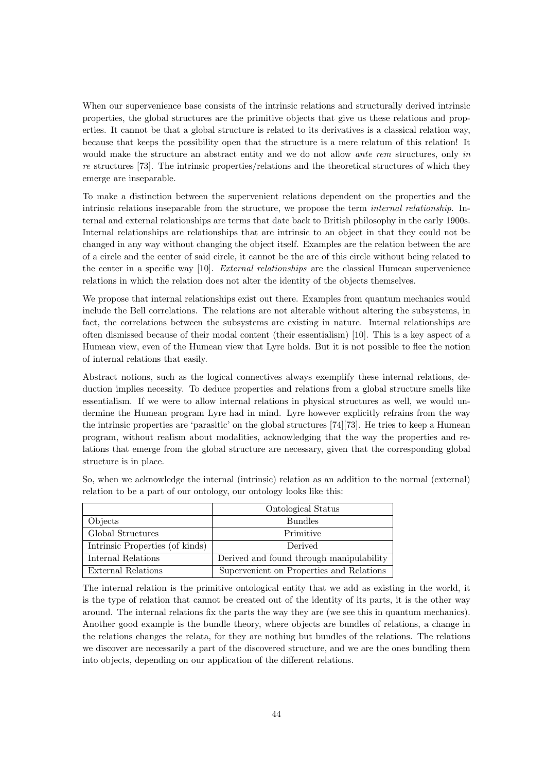When our supervenience base consists of the intrinsic relations and structurally derived intrinsic properties, the global structures are the primitive objects that give us these relations and properties. It cannot be that a global structure is related to its derivatives is a classical relation way, because that keeps the possibility open that the structure is a mere relatum of this relation! It would make the structure an abstract entity and we do not allow ante rem structures, only in re structures [73]. The intrinsic properties/relations and the theoretical structures of which they emerge are inseparable.

To make a distinction between the supervenient relations dependent on the properties and the intrinsic relations inseparable from the structure, we propose the term internal relationship. Internal and external relationships are terms that date back to British philosophy in the early 1900s. Internal relationships are relationships that are intrinsic to an object in that they could not be changed in any way without changing the object itself. Examples are the relation between the arc of a circle and the center of said circle, it cannot be the arc of this circle without being related to the center in a specific way [10]. External relationships are the classical Humean supervenience relations in which the relation does not alter the identity of the objects themselves.

We propose that internal relationships exist out there. Examples from quantum mechanics would include the Bell correlations. The relations are not alterable without altering the subsystems, in fact, the correlations between the subsystems are existing in nature. Internal relationships are often dismissed because of their modal content (their essentialism) [10]. This is a key aspect of a Humean view, even of the Humean view that Lyre holds. But it is not possible to flee the notion of internal relations that easily.

Abstract notions, such as the logical connectives always exemplify these internal relations, deduction implies necessity. To deduce properties and relations from a global structure smells like essentialism. If we were to allow internal relations in physical structures as well, we would undermine the Humean program Lyre had in mind. Lyre however explicitly refrains from the way the intrinsic properties are 'parasitic' on the global structures [74][73]. He tries to keep a Humean program, without realism about modalities, acknowledging that the way the properties and relations that emerge from the global structure are necessary, given that the corresponding global structure is in place.

|                                 | Ontological Status                       |
|---------------------------------|------------------------------------------|
| Objects                         | <b>Bundles</b>                           |
| Global Structures               | Primitive                                |
| Intrinsic Properties (of kinds) | Derived                                  |
| Internal Relations              | Derived and found through manipulability |
| External Relations              | Supervenient on Properties and Relations |

So, when we acknowledge the internal (intrinsic) relation as an addition to the normal (external) relation to be a part of our ontology, our ontology looks like this:

The internal relation is the primitive ontological entity that we add as existing in the world, it is the type of relation that cannot be created out of the identity of its parts, it is the other way around. The internal relations fix the parts the way they are (we see this in quantum mechanics). Another good example is the bundle theory, where objects are bundles of relations, a change in the relations changes the relata, for they are nothing but bundles of the relations. The relations we discover are necessarily a part of the discovered structure, and we are the ones bundling them into objects, depending on our application of the different relations.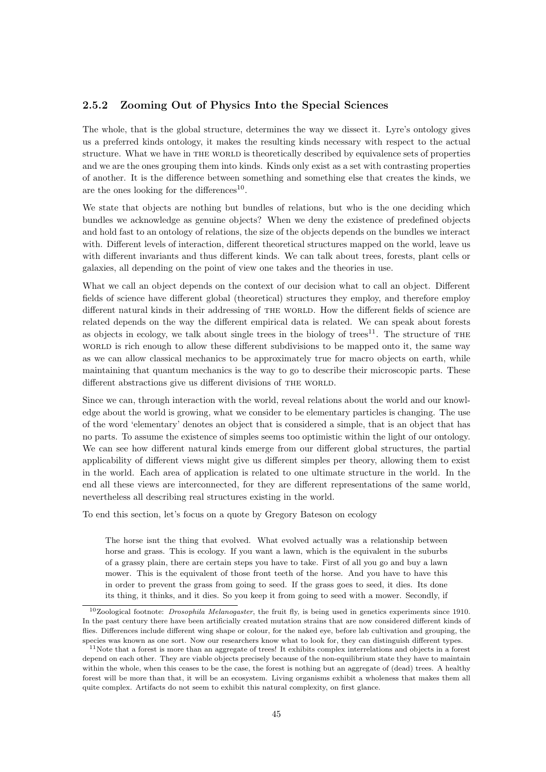#### 2.5.2 Zooming Out of Physics Into the Special Sciences

The whole, that is the global structure, determines the way we dissect it. Lyre's ontology gives us a preferred kinds ontology, it makes the resulting kinds necessary with respect to the actual structure. What we have in THE WORLD is theoretically described by equivalence sets of properties and we are the ones grouping them into kinds. Kinds only exist as a set with contrasting properties of another. It is the difference between something and something else that creates the kinds, we are the ones looking for the differences<sup>10</sup>.

We state that objects are nothing but bundles of relations, but who is the one deciding which bundles we acknowledge as genuine objects? When we deny the existence of predefined objects and hold fast to an ontology of relations, the size of the objects depends on the bundles we interact with. Different levels of interaction, different theoretical structures mapped on the world, leave us with different invariants and thus different kinds. We can talk about trees, forests, plant cells or galaxies, all depending on the point of view one takes and the theories in use.

What we call an object depends on the context of our decision what to call an object. Different fields of science have different global (theoretical) structures they employ, and therefore employ different natural kinds in their addressing of THE WORLD. How the different fields of science are related depends on the way the different empirical data is related. We can speak about forests as objects in ecology, we talk about single trees in the biology of trees<sup>11</sup>. The structure of THE world is rich enough to allow these different subdivisions to be mapped onto it, the same way as we can allow classical mechanics to be approximately true for macro objects on earth, while maintaining that quantum mechanics is the way to go to describe their microscopic parts. These different abstractions give us different divisions of THE WORLD.

Since we can, through interaction with the world, reveal relations about the world and our knowledge about the world is growing, what we consider to be elementary particles is changing. The use of the word 'elementary' denotes an object that is considered a simple, that is an object that has no parts. To assume the existence of simples seems too optimistic within the light of our ontology. We can see how different natural kinds emerge from our different global structures, the partial applicability of different views might give us different simples per theory, allowing them to exist in the world. Each area of application is related to one ultimate structure in the world. In the end all these views are interconnected, for they are different representations of the same world, nevertheless all describing real structures existing in the world.

To end this section, let's focus on a quote by Gregory Bateson on ecology

The horse isnt the thing that evolved. What evolved actually was a relationship between horse and grass. This is ecology. If you want a lawn, which is the equivalent in the suburbs of a grassy plain, there are certain steps you have to take. First of all you go and buy a lawn mower. This is the equivalent of those front teeth of the horse. And you have to have this in order to prevent the grass from going to seed. If the grass goes to seed, it dies. Its done its thing, it thinks, and it dies. So you keep it from going to seed with a mower. Secondly, if

<sup>&</sup>lt;sup>10</sup>Zoological footnote: *Drosophila Melanogaster*, the fruit fly, is being used in genetics experiments since 1910. In the past century there have been artificially created mutation strains that are now considered different kinds of flies. Differences include different wing shape or colour, for the naked eye, before lab cultivation and grouping, the species was known as one sort. Now our researchers know what to look for, they can distinguish different types.

 $11$ Note that a forest is more than an aggregate of trees! It exhibits complex interrelations and objects in a forest depend on each other. They are viable objects precisely because of the non-equilibrium state they have to maintain within the whole, when this ceases to be the case, the forest is nothing but an aggregate of (dead) trees. A healthy forest will be more than that, it will be an ecosystem. Living organisms exhibit a wholeness that makes them all quite complex. Artifacts do not seem to exhibit this natural complexity, on first glance.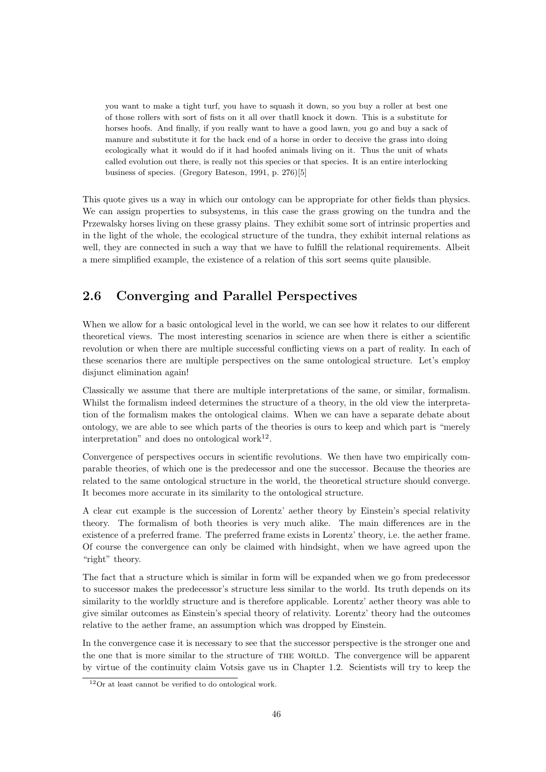you want to make a tight turf, you have to squash it down, so you buy a roller at best one of those rollers with sort of fists on it all over thatll knock it down. This is a substitute for horses hoofs. And finally, if you really want to have a good lawn, you go and buy a sack of manure and substitute it for the back end of a horse in order to deceive the grass into doing ecologically what it would do if it had hoofed animals living on it. Thus the unit of whats called evolution out there, is really not this species or that species. It is an entire interlocking business of species. (Gregory Bateson, 1991, p. 276)[5]

This quote gives us a way in which our ontology can be appropriate for other fields than physics. We can assign properties to subsystems, in this case the grass growing on the tundra and the Przewalsky horses living on these grassy plains. They exhibit some sort of intrinsic properties and in the light of the whole, the ecological structure of the tundra, they exhibit internal relations as well, they are connected in such a way that we have to fulfill the relational requirements. Albeit a mere simplified example, the existence of a relation of this sort seems quite plausible.

#### 2.6 Converging and Parallel Perspectives

When we allow for a basic ontological level in the world, we can see how it relates to our different theoretical views. The most interesting scenarios in science are when there is either a scientific revolution or when there are multiple successful conflicting views on a part of reality. In each of these scenarios there are multiple perspectives on the same ontological structure. Let's employ disjunct elimination again!

Classically we assume that there are multiple interpretations of the same, or similar, formalism. Whilst the formalism indeed determines the structure of a theory, in the old view the interpretation of the formalism makes the ontological claims. When we can have a separate debate about ontology, we are able to see which parts of the theories is ours to keep and which part is "merely interpretation" and does no ontological work $^{12}$ .

Convergence of perspectives occurs in scientific revolutions. We then have two empirically comparable theories, of which one is the predecessor and one the successor. Because the theories are related to the same ontological structure in the world, the theoretical structure should converge. It becomes more accurate in its similarity to the ontological structure.

A clear cut example is the succession of Lorentz' aether theory by Einstein's special relativity theory. The formalism of both theories is very much alike. The main differences are in the existence of a preferred frame. The preferred frame exists in Lorentz' theory, i.e. the aether frame. Of course the convergence can only be claimed with hindsight, when we have agreed upon the "right" theory.

The fact that a structure which is similar in form will be expanded when we go from predecessor to successor makes the predecessor's structure less similar to the world. Its truth depends on its similarity to the worldly structure and is therefore applicable. Lorentz' aether theory was able to give similar outcomes as Einstein's special theory of relativity. Lorentz' theory had the outcomes relative to the aether frame, an assumption which was dropped by Einstein.

In the convergence case it is necessary to see that the successor perspective is the stronger one and the one that is more similar to the structure of THE WORLD. The convergence will be apparent by virtue of the continuity claim Votsis gave us in Chapter 1.2. Scientists will try to keep the

<sup>12</sup>Or at least cannot be verified to do ontological work.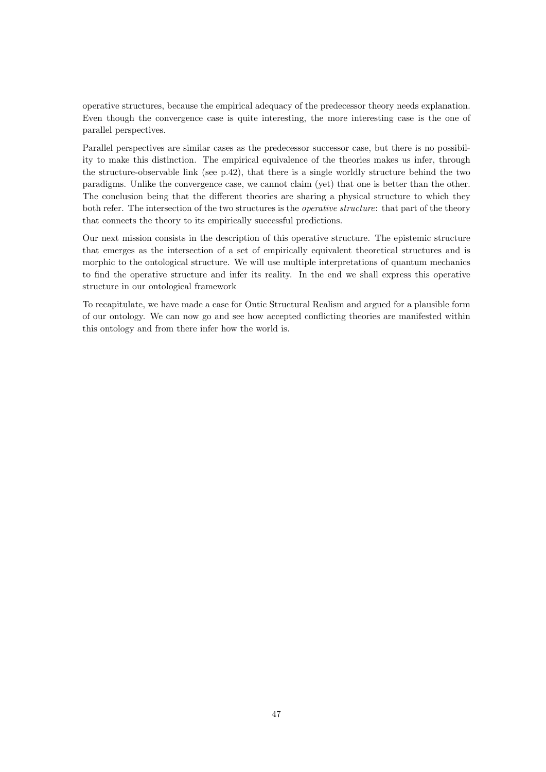operative structures, because the empirical adequacy of the predecessor theory needs explanation. Even though the convergence case is quite interesting, the more interesting case is the one of parallel perspectives.

Parallel perspectives are similar cases as the predecessor successor case, but there is no possibility to make this distinction. The empirical equivalence of the theories makes us infer, through the structure-observable link (see p.42), that there is a single worldly structure behind the two paradigms. Unlike the convergence case, we cannot claim (yet) that one is better than the other. The conclusion being that the different theories are sharing a physical structure to which they both refer. The intersection of the two structures is the *operative structure*: that part of the theory that connects the theory to its empirically successful predictions.

Our next mission consists in the description of this operative structure. The epistemic structure that emerges as the intersection of a set of empirically equivalent theoretical structures and is morphic to the ontological structure. We will use multiple interpretations of quantum mechanics to find the operative structure and infer its reality. In the end we shall express this operative structure in our ontological framework

To recapitulate, we have made a case for Ontic Structural Realism and argued for a plausible form of our ontology. We can now go and see how accepted conflicting theories are manifested within this ontology and from there infer how the world is.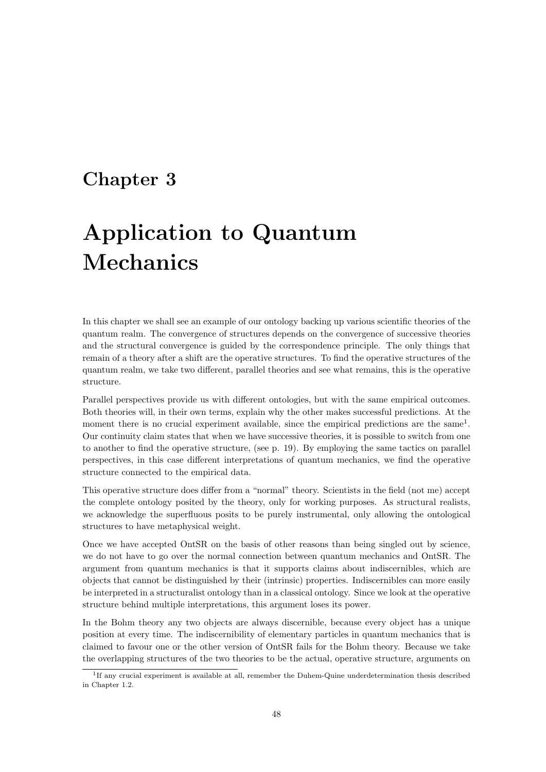### Chapter 3

# Application to Quantum Mechanics

In this chapter we shall see an example of our ontology backing up various scientific theories of the quantum realm. The convergence of structures depends on the convergence of successive theories and the structural convergence is guided by the correspondence principle. The only things that remain of a theory after a shift are the operative structures. To find the operative structures of the quantum realm, we take two different, parallel theories and see what remains, this is the operative structure.

Parallel perspectives provide us with different ontologies, but with the same empirical outcomes. Both theories will, in their own terms, explain why the other makes successful predictions. At the moment there is no crucial experiment available, since the empirical predictions are the same<sup>1</sup>. Our continuity claim states that when we have successive theories, it is possible to switch from one to another to find the operative structure, (see p. 19). By employing the same tactics on parallel perspectives, in this case different interpretations of quantum mechanics, we find the operative structure connected to the empirical data.

This operative structure does differ from a "normal" theory. Scientists in the field (not me) accept the complete ontology posited by the theory, only for working purposes. As structural realists, we acknowledge the superfluous posits to be purely instrumental, only allowing the ontological structures to have metaphysical weight.

Once we have accepted OntSR on the basis of other reasons than being singled out by science, we do not have to go over the normal connection between quantum mechanics and OntSR. The argument from quantum mechanics is that it supports claims about indiscernibles, which are objects that cannot be distinguished by their (intrinsic) properties. Indiscernibles can more easily be interpreted in a structuralist ontology than in a classical ontology. Since we look at the operative structure behind multiple interpretations, this argument loses its power.

In the Bohm theory any two objects are always discernible, because every object has a unique position at every time. The indiscernibility of elementary particles in quantum mechanics that is claimed to favour one or the other version of OntSR fails for the Bohm theory. Because we take the overlapping structures of the two theories to be the actual, operative structure, arguments on

<sup>&</sup>lt;sup>1</sup>If any crucial experiment is available at all, remember the Duhem-Quine underdetermination thesis described in Chapter 1.2.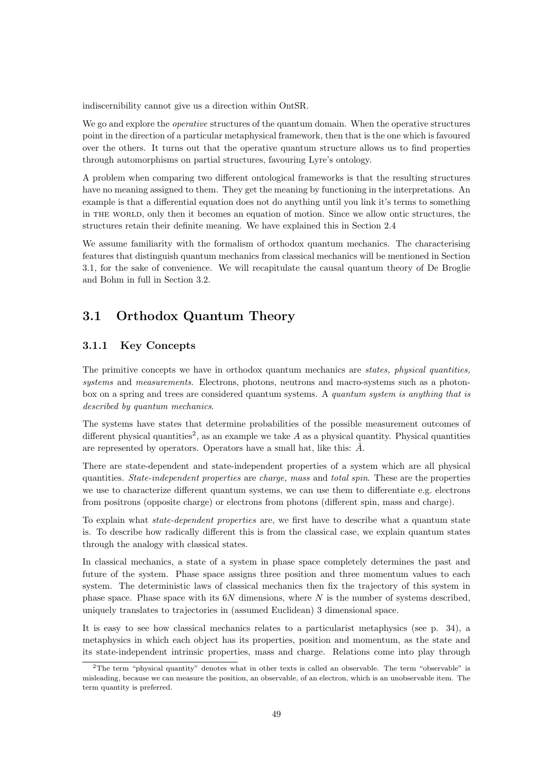indiscernibility cannot give us a direction within OntSR.

We go and explore the *operative* structures of the quantum domain. When the operative structures point in the direction of a particular metaphysical framework, then that is the one which is favoured over the others. It turns out that the operative quantum structure allows us to find properties through automorphisms on partial structures, favouring Lyre's ontology.

A problem when comparing two different ontological frameworks is that the resulting structures have no meaning assigned to them. They get the meaning by functioning in the interpretations. An example is that a differential equation does not do anything until you link it's terms to something in the world, only then it becomes an equation of motion. Since we allow ontic structures, the structures retain their definite meaning. We have explained this in Section 2.4

We assume familiarity with the formalism of orthodox quantum mechanics. The characterising features that distinguish quantum mechanics from classical mechanics will be mentioned in Section 3.1, for the sake of convenience. We will recapitulate the causal quantum theory of De Broglie and Bohm in full in Section 3.2.

#### 3.1 Orthodox Quantum Theory

#### 3.1.1 Key Concepts

The primitive concepts we have in orthodox quantum mechanics are *states, physical quantities*, systems and measurements. Electrons, photons, neutrons and macro-systems such as a photonbox on a spring and trees are considered quantum systems. A quantum system is anything that is described by quantum mechanics.

The systems have states that determine probabilities of the possible measurement outcomes of different physical quantities<sup>2</sup>, as an example we take  $A$  as a physical quantity. Physical quantities are represented by operators. Operators have a small hat, like this:  $\hat{A}$ .

There are state-dependent and state-independent properties of a system which are all physical quantities. State-independent properties are charge, mass and total spin. These are the properties we use to characterize different quantum systems, we can use them to differentiate e.g. electrons from positrons (opposite charge) or electrons from photons (different spin, mass and charge).

To explain what state-dependent properties are, we first have to describe what a quantum state is. To describe how radically different this is from the classical case, we explain quantum states through the analogy with classical states.

In classical mechanics, a state of a system in phase space completely determines the past and future of the system. Phase space assigns three position and three momentum values to each system. The deterministic laws of classical mechanics then fix the trajectory of this system in phase space. Phase space with its  $6N$  dimensions, where N is the number of systems described, uniquely translates to trajectories in (assumed Euclidean) 3 dimensional space.

It is easy to see how classical mechanics relates to a particularist metaphysics (see p. 34), a metaphysics in which each object has its properties, position and momentum, as the state and its state-independent intrinsic properties, mass and charge. Relations come into play through

<sup>2</sup>The term "physical quantity" denotes what in other texts is called an observable. The term "observable" is misleading, because we can measure the position, an observable, of an electron, which is an unobservable item. The term quantity is preferred.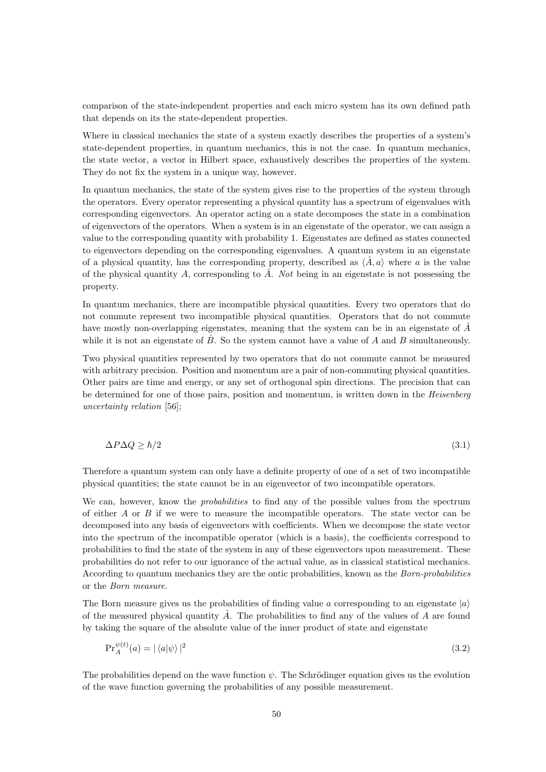comparison of the state-independent properties and each micro system has its own defined path that depends on its the state-dependent properties.

Where in classical mechanics the state of a system exactly describes the properties of a system's state-dependent properties, in quantum mechanics, this is not the case. In quantum mechanics, the state vector, a vector in Hilbert space, exhaustively describes the properties of the system. They do not fix the system in a unique way, however.

In quantum mechanics, the state of the system gives rise to the properties of the system through the operators. Every operator representing a physical quantity has a spectrum of eigenvalues with corresponding eigenvectors. An operator acting on a state decomposes the state in a combination of eigenvectors of the operators. When a system is in an eigenstate of the operator, we can assign a value to the corresponding quantity with probability 1. Eigenstates are defined as states connected to eigenvectors depending on the corresponding eigenvalues. A quantum system in an eigenstate of a physical quantity, has the corresponding property, described as  $\langle \hat{A}, a \rangle$  where a is the value of the physical quantity A, corresponding to  $\hat{A}$ . Not being in an eigenstate is not possessing the property.

In quantum mechanics, there are incompatible physical quantities. Every two operators that do not commute represent two incompatible physical quantities. Operators that do not commute have mostly non-overlapping eigenstates, meaning that the system can be in an eigenstate of  $\hat{A}$ while it is not an eigenstate of  $\hat{B}$ . So the system cannot have a value of A and B simultaneously.

Two physical quantities represented by two operators that do not commute cannot be measured with arbitrary precision. Position and momentum are a pair of non-commuting physical quantities. Other pairs are time and energy, or any set of orthogonal spin directions. The precision that can be determined for one of those pairs, position and momentum, is written down in the Heisenberg uncertainty relation [56];

$$
\Delta P \Delta Q \ge \hbar/2 \tag{3.1}
$$

Therefore a quantum system can only have a definite property of one of a set of two incompatible physical quantities; the state cannot be in an eigenvector of two incompatible operators.

We can, however, know the *probabilities* to find any of the possible values from the spectrum of either  $A$  or  $B$  if we were to measure the incompatible operators. The state vector can be decomposed into any basis of eigenvectors with coefficients. When we decompose the state vector into the spectrum of the incompatible operator (which is a basis), the coefficients correspond to probabilities to find the state of the system in any of these eigenvectors upon measurement. These probabilities do not refer to our ignorance of the actual value, as in classical statistical mechanics. According to quantum mechanics they are the ontic probabilities, known as the Born-probabilities or the Born measure.

The Born measure gives us the probabilities of finding value a corresponding to an eigenstate  $|a\rangle$ of the measured physical quantity  $\hat{A}$ . The probabilities to find any of the values of  $A$  are found by taking the square of the absolute value of the inner product of state and eigenstate

$$
\Pr_A^{\psi(t)}(a) = |\langle a|\psi\rangle|^2 \tag{3.2}
$$

The probabilities depend on the wave function  $\psi$ . The Schrödinger equation gives us the evolution of the wave function governing the probabilities of any possible measurement.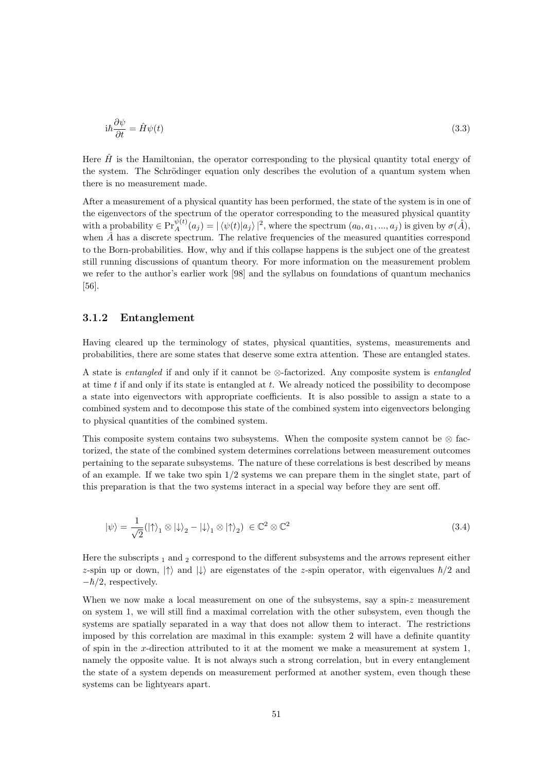$$
i\hbar \frac{\partial \psi}{\partial t} = \hat{H}\psi(t) \tag{3.3}
$$

Here  $\hat{H}$  is the Hamiltonian, the operator corresponding to the physical quantity total energy of the system. The Schrödinger equation only describes the evolution of a quantum system when there is no measurement made.

After a measurement of a physical quantity has been performed, the state of the system is in one of the eigenvectors of the spectrum of the operator corresponding to the measured physical quantity with a probability  $\in \Pr_A^{\psi(t)}(a_j) = |\langle \psi(t) | a_j \rangle|^2$ , where the spectrum  $(a_0, a_1, ..., a_j)$  is given by  $\sigma(\hat{A})$ , when  $\hat{A}$  has a discrete spectrum. The relative frequencies of the measured quantities correspond to the Born-probabilities. How, why and if this collapse happens is the subject one of the greatest still running discussions of quantum theory. For more information on the measurement problem we refer to the author's earlier work [98] and the syllabus on foundations of quantum mechanics [56].

#### 3.1.2 Entanglement

Having cleared up the terminology of states, physical quantities, systems, measurements and probabilities, there are some states that deserve some extra attention. These are entangled states.

A state is entangled if and only if it cannot be ⊗-factorized. Any composite system is entangled at time  $t$  if and only if its state is entangled at  $t$ . We already noticed the possibility to decompose a state into eigenvectors with appropriate coefficients. It is also possible to assign a state to a combined system and to decompose this state of the combined system into eigenvectors belonging to physical quantities of the combined system.

This composite system contains two subsystems. When the composite system cannot be  $\otimes$  factorized, the state of the combined system determines correlations between measurement outcomes pertaining to the separate subsystems. The nature of these correlations is best described by means of an example. If we take two spin  $1/2$  systems we can prepare them in the singlet state, part of this preparation is that the two systems interact in a special way before they are sent off.

$$
|\psi\rangle = \frac{1}{\sqrt{2}} (|\uparrow\rangle_1 \otimes |\downarrow\rangle_2 - |\downarrow\rangle_1 \otimes |\uparrow\rangle_2) \in \mathbb{C}^2 \otimes \mathbb{C}^2
$$
\n(3.4)

Here the subscripts  $_1$  and  $_2$  correspond to the different subsystems and the arrows represent either z-spin up or down,  $|\uparrow\rangle$  and  $|\downarrow\rangle$  are eigenstates of the z-spin operator, with eigenvalues  $\hbar/2$  and  $-\hbar/2$ , respectively.

When we now make a local measurement on one of the subsystems, say a spin-z measurement on system 1, we will still find a maximal correlation with the other subsystem, even though the systems are spatially separated in a way that does not allow them to interact. The restrictions imposed by this correlation are maximal in this example: system 2 will have a definite quantity of spin in the x-direction attributed to it at the moment we make a measurement at system 1, namely the opposite value. It is not always such a strong correlation, but in every entanglement the state of a system depends on measurement performed at another system, even though these systems can be lightyears apart.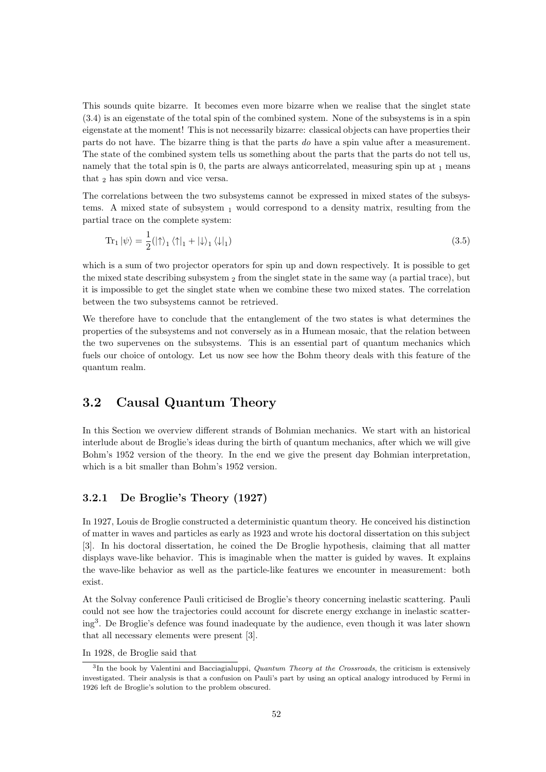This sounds quite bizarre. It becomes even more bizarre when we realise that the singlet state (3.4) is an eigenstate of the total spin of the combined system. None of the subsystems is in a spin eigenstate at the moment! This is not necessarily bizarre: classical objects can have properties their parts do not have. The bizarre thing is that the parts do have a spin value after a measurement. The state of the combined system tells us something about the parts that the parts do not tell us, namely that the total spin is 0, the parts are always anticorrelated, measuring spin up at  $_1$  means that 2 has spin down and vice versa.

The correlations between the two subsystems cannot be expressed in mixed states of the subsystems. A mixed state of subsystem  $_1$  would correspond to a density matrix, resulting from the partial trace on the complete system:

$$
\operatorname{Tr}_{1}|\psi\rangle = \frac{1}{2} (|\uparrow\rangle_{1} \langle \uparrow|_{1} + |\downarrow\rangle_{1} \langle \downarrow|_{1})
$$
\n(3.5)

which is a sum of two projector operators for spin up and down respectively. It is possible to get the mixed state describing subsystem  $\sigma$  from the singlet state in the same way (a partial trace), but it is impossible to get the singlet state when we combine these two mixed states. The correlation between the two subsystems cannot be retrieved.

We therefore have to conclude that the entanglement of the two states is what determines the properties of the subsystems and not conversely as in a Humean mosaic, that the relation between the two supervenes on the subsystems. This is an essential part of quantum mechanics which fuels our choice of ontology. Let us now see how the Bohm theory deals with this feature of the quantum realm.

#### 3.2 Causal Quantum Theory

In this Section we overview different strands of Bohmian mechanics. We start with an historical interlude about de Broglie's ideas during the birth of quantum mechanics, after which we will give Bohm's 1952 version of the theory. In the end we give the present day Bohmian interpretation, which is a bit smaller than Bohm's 1952 version.

#### 3.2.1 De Broglie's Theory (1927)

In 1927, Louis de Broglie constructed a deterministic quantum theory. He conceived his distinction of matter in waves and particles as early as 1923 and wrote his doctoral dissertation on this subject [3]. In his doctoral dissertation, he coined the De Broglie hypothesis, claiming that all matter displays wave-like behavior. This is imaginable when the matter is guided by waves. It explains the wave-like behavior as well as the particle-like features we encounter in measurement: both exist.

At the Solvay conference Pauli criticised de Broglie's theory concerning inelastic scattering. Pauli could not see how the trajectories could account for discrete energy exchange in inelastic scattering<sup>3</sup> . De Broglie's defence was found inadequate by the audience, even though it was later shown that all necessary elements were present [3].

In 1928, de Broglie said that

<sup>&</sup>lt;sup>3</sup>In the book by Valentini and Bacciagialuppi, *Quantum Theory at the Crossroads*, the criticism is extensively investigated. Their analysis is that a confusion on Pauli's part by using an optical analogy introduced by Fermi in 1926 left de Broglie's solution to the problem obscured.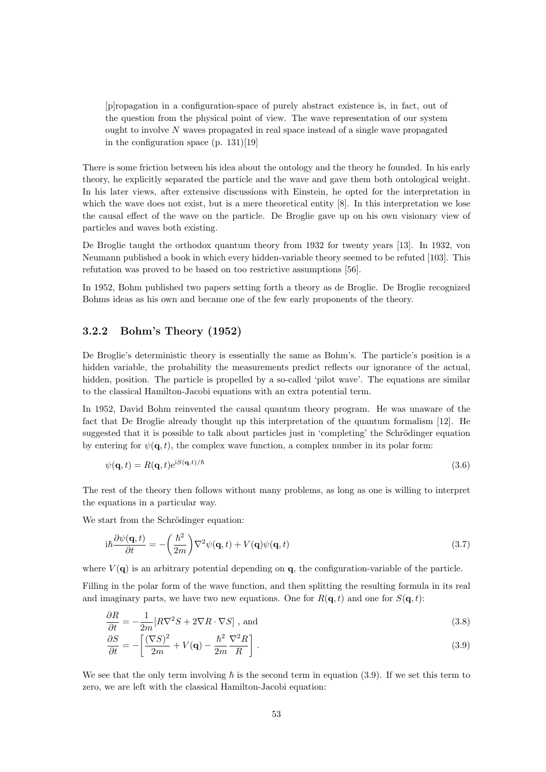[p]ropagation in a configuration-space of purely abstract existence is, in fact, out of the question from the physical point of view. The wave representation of our system ought to involve  $N$  waves propagated in real space instead of a single wave propagated in the configuration space (p. 131)[19]

There is some friction between his idea about the ontology and the theory he founded. In his early theory, he explicitly separated the particle and the wave and gave them both ontological weight. In his later views, after extensive discussions with Einstein, he opted for the interpretation in which the wave does not exist, but is a mere theoretical entity [8]. In this interpretation we lose the causal effect of the wave on the particle. De Broglie gave up on his own visionary view of particles and waves both existing.

De Broglie taught the orthodox quantum theory from 1932 for twenty years [13]. In 1932, von Neumann published a book in which every hidden-variable theory seemed to be refuted [103]. This refutation was proved to be based on too restrictive assumptions [56].

In 1952, Bohm published two papers setting forth a theory as de Broglie. De Broglie recognized Bohms ideas as his own and became one of the few early proponents of the theory.

#### 3.2.2 Bohm's Theory (1952)

De Broglie's deterministic theory is essentially the same as Bohm's. The particle's position is a hidden variable, the probability the measurements predict reflects our ignorance of the actual, hidden, position. The particle is propelled by a so-called 'pilot wave'. The equations are similar to the classical Hamilton-Jacobi equations with an extra potential term.

In 1952, David Bohm reinvented the causal quantum theory program. He was unaware of the fact that De Broglie already thought up this interpretation of the quantum formalism [12]. He suggested that it is possible to talk about particles just in 'completing' the Schrödinger equation by entering for  $\psi(\mathbf{q}, t)$ , the complex wave function, a complex number in its polar form:

$$
\psi(\mathbf{q},t) = R(\mathbf{q},t)e^{iS(\mathbf{q},t)/\hbar}
$$
\n(3.6)

The rest of the theory then follows without many problems, as long as one is willing to interpret the equations in a particular way.

We start from the Schrödinger equation:

$$
i\hbar \frac{\partial \psi(\mathbf{q},t)}{\partial t} = -\left(\frac{\hbar^2}{2m}\right) \nabla^2 \psi(\mathbf{q},t) + V(\mathbf{q})\psi(\mathbf{q},t)
$$
\n(3.7)

where  $V(\mathbf{q})$  is an arbitrary potential depending on  $\mathbf{q}$ , the configuration-variable of the particle.

Filling in the polar form of the wave function, and then splitting the resulting formula in its real and imaginary parts, we have two new equations. One for  $R(\mathbf{q}, t)$  and one for  $S(\mathbf{q}, t)$ :

$$
\frac{\partial R}{\partial t} = -\frac{1}{2m} [R\nabla^2 S + 2\nabla R \cdot \nabla S], \text{ and}
$$
\n(3.8)

$$
\frac{\partial S}{\partial t} = -\left[\frac{(\nabla S)^2}{2m} + V(\mathbf{q}) - \frac{\hbar^2}{2m} \frac{\nabla^2 R}{R}\right].
$$
\n(3.9)

We see that the only term involving  $\hbar$  is the second term in equation (3.9). If we set this term to zero, we are left with the classical Hamilton-Jacobi equation: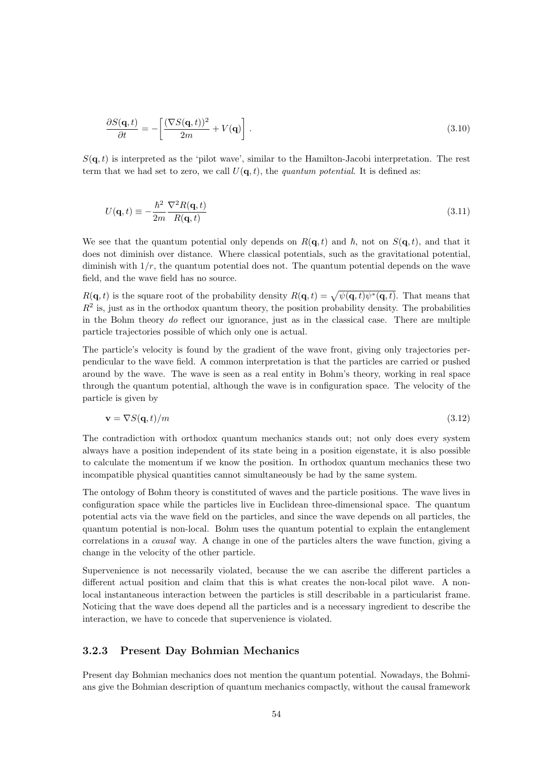$$
\frac{\partial S(\mathbf{q},t)}{\partial t} = -\left[\frac{(\nabla S(\mathbf{q},t))^2}{2m} + V(\mathbf{q})\right].
$$
\n(3.10)

 $S(\mathbf{q},t)$  is interpreted as the 'pilot wave', similar to the Hamilton-Jacobi interpretation. The rest term that we had set to zero, we call  $U(\mathbf{q}, t)$ , the *quantum potential*. It is defined as:

$$
U(\mathbf{q},t) \equiv -\frac{\hbar^2}{2m} \frac{\nabla^2 R(\mathbf{q},t)}{R(\mathbf{q},t)}\tag{3.11}
$$

We see that the quantum potential only depends on  $R(\mathbf{q}, t)$  and  $\hbar$ , not on  $S(\mathbf{q}, t)$ , and that it does not diminish over distance. Where classical potentials, such as the gravitational potential, diminish with  $1/r$ , the quantum potential does not. The quantum potential depends on the wave field, and the wave field has no source.

 $R(\mathbf{q}, t)$  is the square root of the probability density  $R(\mathbf{q}, t) = \sqrt{\psi(\mathbf{q}, t)\psi^*(\mathbf{q}, t)}$ . That means that  $R<sup>2</sup>$  is, just as in the orthodox quantum theory, the position probability density. The probabilities in the Bohm theory do reflect our ignorance, just as in the classical case. There are multiple particle trajectories possible of which only one is actual.

The particle's velocity is found by the gradient of the wave front, giving only trajectories perpendicular to the wave field. A common interpretation is that the particles are carried or pushed around by the wave. The wave is seen as a real entity in Bohm's theory, working in real space through the quantum potential, although the wave is in configuration space. The velocity of the particle is given by

$$
\mathbf{v} = \nabla S(\mathbf{q}, t)/m \tag{3.12}
$$

The contradiction with orthodox quantum mechanics stands out; not only does every system always have a position independent of its state being in a position eigenstate, it is also possible to calculate the momentum if we know the position. In orthodox quantum mechanics these two incompatible physical quantities cannot simultaneously be had by the same system.

The ontology of Bohm theory is constituted of waves and the particle positions. The wave lives in configuration space while the particles live in Euclidean three-dimensional space. The quantum potential acts via the wave field on the particles, and since the wave depends on all particles, the quantum potential is non-local. Bohm uses the quantum potential to explain the entanglement correlations in a causal way. A change in one of the particles alters the wave function, giving a change in the velocity of the other particle.

Supervenience is not necessarily violated, because the we can ascribe the different particles a different actual position and claim that this is what creates the non-local pilot wave. A nonlocal instantaneous interaction between the particles is still describable in a particularist frame. Noticing that the wave does depend all the particles and is a necessary ingredient to describe the interaction, we have to concede that supervenience is violated.

#### 3.2.3 Present Day Bohmian Mechanics

Present day Bohmian mechanics does not mention the quantum potential. Nowadays, the Bohmians give the Bohmian description of quantum mechanics compactly, without the causal framework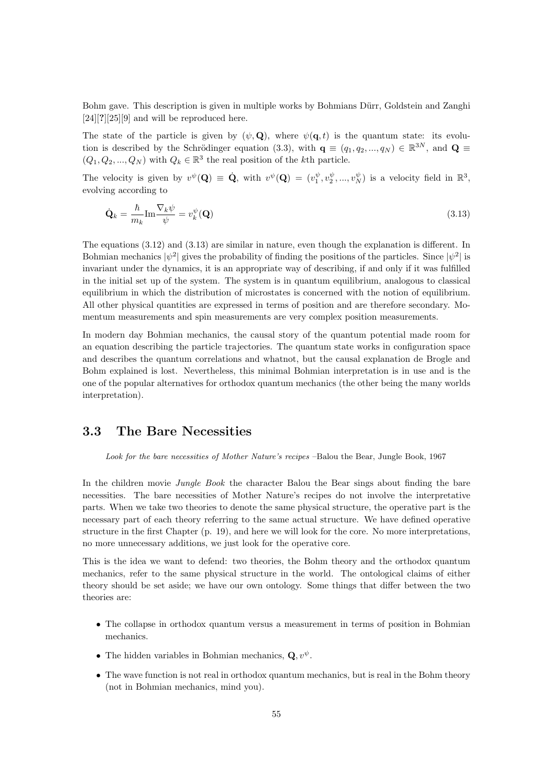Bohm gave. This description is given in multiple works by Bohmians Dürr, Goldstein and Zanghi  $[24][?][25][9]$  and will be reproduced here.

The state of the particle is given by  $(\psi, \mathbf{Q})$ , where  $\psi(\mathbf{q}, t)$  is the quantum state: its evolution is described by the Schrödinger equation (3.3), with  $\mathbf{q} \equiv (q_1, q_2, ..., q_N) \in \mathbb{R}^{3N}$ , and  $\mathbf{Q} \equiv$  $(Q_1, Q_2, ..., Q_N)$  with  $Q_k \in \mathbb{R}^3$  the real position of the kth particle.

The velocity is given by  $v^{\psi}(\mathbf{Q}) \equiv \dot{\mathbf{Q}}$ , with  $v^{\psi}(\mathbf{Q}) = (v_1^{\psi}, v_2^{\psi}, ..., v_N^{\psi})$  is a velocity field in  $\mathbb{R}^3$ , evolving according to

$$
\dot{\mathbf{Q}}_k = \frac{\hbar}{m_k} \text{Im} \frac{\nabla_k \psi}{\psi} = v_k^{\psi}(\mathbf{Q}) \tag{3.13}
$$

The equations (3.12) and (3.13) are similar in nature, even though the explanation is different. In Bohmian mechanics  $|\psi^2|$  gives the probability of finding the positions of the particles. Since  $|\psi^2|$  is invariant under the dynamics, it is an appropriate way of describing, if and only if it was fulfilled in the initial set up of the system. The system is in quantum equilibrium, analogous to classical equilibrium in which the distribution of microstates is concerned with the notion of equilibrium. All other physical quantities are expressed in terms of position and are therefore secondary. Momentum measurements and spin measurements are very complex position measurements.

In modern day Bohmian mechanics, the causal story of the quantum potential made room for an equation describing the particle trajectories. The quantum state works in configuration space and describes the quantum correlations and whatnot, but the causal explanation de Brogle and Bohm explained is lost. Nevertheless, this minimal Bohmian interpretation is in use and is the one of the popular alternatives for orthodox quantum mechanics (the other being the many worlds interpretation).

#### 3.3 The Bare Necessities

Look for the bare necessities of Mother Nature's recipes –Balou the Bear, Jungle Book, 1967

In the children movie Jungle Book the character Balou the Bear sings about finding the bare necessities. The bare necessities of Mother Nature's recipes do not involve the interpretative parts. When we take two theories to denote the same physical structure, the operative part is the necessary part of each theory referring to the same actual structure. We have defined operative structure in the first Chapter (p. 19), and here we will look for the core. No more interpretations, no more unnecessary additions, we just look for the operative core.

This is the idea we want to defend: two theories, the Bohm theory and the orthodox quantum mechanics, refer to the same physical structure in the world. The ontological claims of either theory should be set aside; we have our own ontology. Some things that differ between the two theories are:

- The collapse in orthodox quantum versus a measurement in terms of position in Bohmian mechanics.
- The hidden variables in Bohmian mechanics,  $\mathbf{Q}, v^{\psi}$ .
- The wave function is not real in orthodox quantum mechanics, but is real in the Bohm theory (not in Bohmian mechanics, mind you).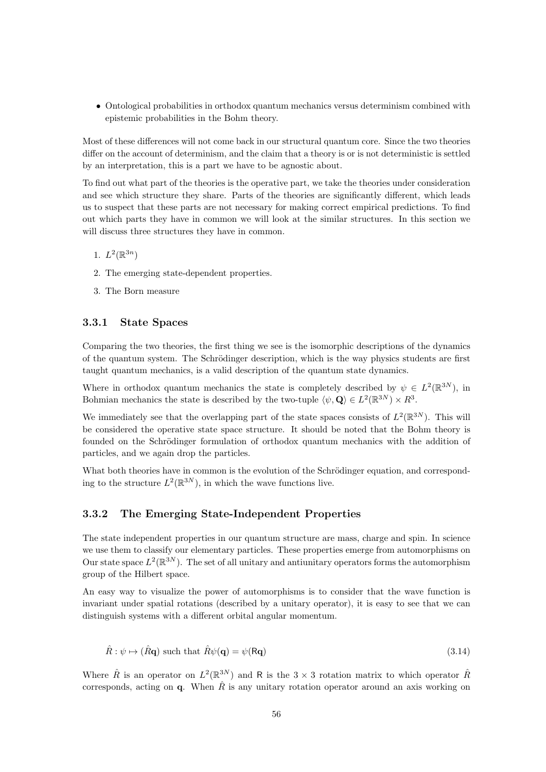• Ontological probabilities in orthodox quantum mechanics versus determinism combined with epistemic probabilities in the Bohm theory.

Most of these differences will not come back in our structural quantum core. Since the two theories differ on the account of determinism, and the claim that a theory is or is not deterministic is settled by an interpretation, this is a part we have to be agnostic about.

To find out what part of the theories is the operative part, we take the theories under consideration and see which structure they share. Parts of the theories are significantly different, which leads us to suspect that these parts are not necessary for making correct empirical predictions. To find out which parts they have in common we will look at the similar structures. In this section we will discuss three structures they have in common.

- 1.  $L^2(\mathbb{R}^{3n})$
- 2. The emerging state-dependent properties.
- 3. The Born measure

#### 3.3.1 State Spaces

Comparing the two theories, the first thing we see is the isomorphic descriptions of the dynamics of the quantum system. The Schrödinger description, which is the way physics students are first taught quantum mechanics, is a valid description of the quantum state dynamics.

Where in orthodox quantum mechanics the state is completely described by  $\psi \in L^2(\mathbb{R}^{3N})$ , in Bohmian mechanics the state is described by the two-tuple  $\langle \psi, \mathbf{Q} \rangle \in L^2(\mathbb{R}^{3N}) \times R^3$ .

We immediately see that the overlapping part of the state spaces consists of  $L^2(\mathbb{R}^{3N})$ . This will be considered the operative state space structure. It should be noted that the Bohm theory is founded on the Schrödinger formulation of orthodox quantum mechanics with the addition of particles, and we again drop the particles.

What both theories have in common is the evolution of the Schrödinger equation, and corresponding to the structure  $L^2(\mathbb{R}^{3N})$ , in which the wave functions live.

#### 3.3.2 The Emerging State-Independent Properties

The state independent properties in our quantum structure are mass, charge and spin. In science we use them to classify our elementary particles. These properties emerge from automorphisms on Our state space  $L^2(\mathbb{R}^{3N})$ . The set of all unitary and antiunitary operators forms the automorphism group of the Hilbert space.

An easy way to visualize the power of automorphisms is to consider that the wave function is invariant under spatial rotations (described by a unitary operator), it is easy to see that we can distinguish systems with a different orbital angular momentum.

$$
\hat{R}: \psi \mapsto (\hat{R}\mathbf{q}) \text{ such that } \hat{R}\psi(\mathbf{q}) = \psi(\mathsf{R}\mathbf{q}) \tag{3.14}
$$

Where  $\hat{R}$  is an operator on  $L^2(\mathbb{R}^{3N})$  and R is the 3 × 3 rotation matrix to which operator  $\hat{R}$ corresponds, acting on  $q$ . When  $\hat{R}$  is any unitary rotation operator around an axis working on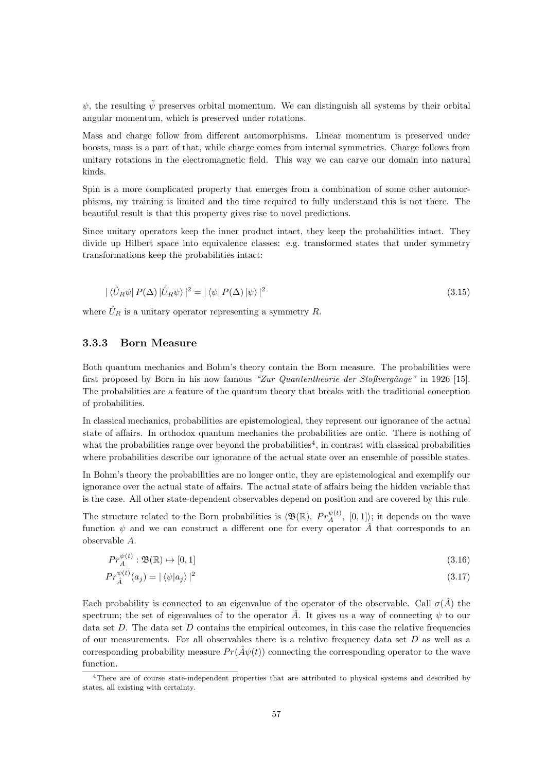$\psi$ , the resulting  $\tilde{\psi}$  preserves orbital momentum. We can distinguish all systems by their orbital angular momentum, which is preserved under rotations.

Mass and charge follow from different automorphisms. Linear momentum is preserved under boosts, mass is a part of that, while charge comes from internal symmetries. Charge follows from unitary rotations in the electromagnetic field. This way we can carve our domain into natural kinds.

Spin is a more complicated property that emerges from a combination of some other automorphisms, my training is limited and the time required to fully understand this is not there. The beautiful result is that this property gives rise to novel predictions.

Since unitary operators keep the inner product intact, they keep the probabilities intact. They divide up Hilbert space into equivalence classes: e.g. transformed states that under symmetry transformations keep the probabilities intact:

$$
|\langle \hat{U}_R \psi | P(\Delta) | \hat{U}_R \psi \rangle|^2 = |\langle \psi | P(\Delta) | \psi \rangle|^2
$$
\n(3.15)

where  $\hat{U}_R$  is a unitary operator representing a symmetry R.

#### 3.3.3 Born Measure

Both quantum mechanics and Bohm's theory contain the Born measure. The probabilities were first proposed by Born in his now famous "Zur Quantentheorie der Stoßvergänge" in 1926 [15]. The probabilities are a feature of the quantum theory that breaks with the traditional conception of probabilities.

In classical mechanics, probabilities are epistemological, they represent our ignorance of the actual state of affairs. In orthodox quantum mechanics the probabilities are ontic. There is nothing of what the probabilities range over beyond the probabilities<sup>4</sup>, in contrast with classical probabilities where probabilities describe our ignorance of the actual state over an ensemble of possible states.

In Bohm's theory the probabilities are no longer ontic, they are epistemological and exemplify our ignorance over the actual state of affairs. The actual state of affairs being the hidden variable that is the case. All other state-dependent observables depend on position and are covered by this rule.

The structure related to the Born probabilities is  $\langle \mathfrak{B}(\mathbb{R}), P r_{A}^{\psi(t)}, [0,1] \rangle$ ; it depends on the wave function  $\psi$  and we can construct a different one for every operator  $\hat{A}$  that corresponds to an observable A.

$$
Pr_A^{\psi(t)}: \mathfrak{B}(\mathbb{R}) \to [0,1] \tag{3.16}
$$

$$
Pr_{\hat{A}}^{\psi(t)}(a_j) = |\langle \psi | a_j \rangle|^2 \tag{3.17}
$$

Each probability is connected to an eigenvalue of the operator of the observable. Call  $\sigma(\hat{A})$  the spectrum; the set of eigenvalues of to the operator  $\hat{A}$ . It gives us a way of connecting  $\psi$  to our data set  $D$ . The data set  $D$  contains the empirical outcomes, in this case the relative frequencies of our measurements. For all observables there is a relative frequency data set  $D$  as well as a corresponding probability measure  $Pr(\hat{A}\psi(t))$  connecting the corresponding operator to the wave function.

<sup>4</sup>There are of course state-independent properties that are attributed to physical systems and described by states, all existing with certainty.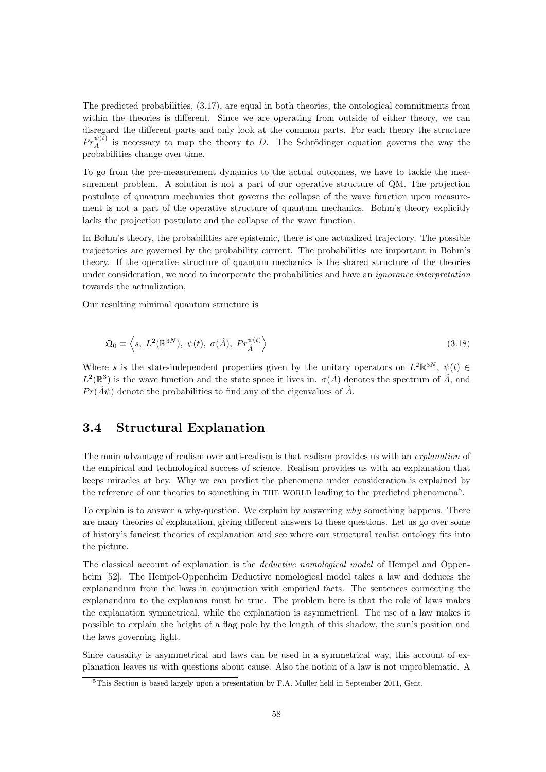The predicted probabilities, (3.17), are equal in both theories, the ontological commitments from within the theories is different. Since we are operating from outside of either theory, we can disregard the different parts and only look at the common parts. For each theory the structure  $Pr_{A}^{\psi(t)}$  is necessary to map the theory to D. The Schrödinger equation governs the way the probabilities change over time.

To go from the pre-measurement dynamics to the actual outcomes, we have to tackle the measurement problem. A solution is not a part of our operative structure of QM. The projection postulate of quantum mechanics that governs the collapse of the wave function upon measurement is not a part of the operative structure of quantum mechanics. Bohm's theory explicitly lacks the projection postulate and the collapse of the wave function.

In Bohm's theory, the probabilities are epistemic, there is one actualized trajectory. The possible trajectories are governed by the probability current. The probabilities are important in Bohm's theory. If the operative structure of quantum mechanics is the shared structure of the theories under consideration, we need to incorporate the probabilities and have an *ignorance interpretation* towards the actualization.

Our resulting minimal quantum structure is

$$
\mathfrak{Q}_0 \equiv \left\langle s, \ L^2(\mathbb{R}^{3N}), \ \psi(t), \ \sigma(\hat{A}), \ Pr_{\hat{A}}^{\psi(t)} \right\rangle \tag{3.18}
$$

Where s is the state-independent properties given by the unitary operators on  $L^2\mathbb{R}^{3N}$ ,  $\psi(t) \in$  $L^2(\mathbb{R}^3)$  is the wave function and the state space it lives in.  $\sigma(\hat{A})$  denotes the spectrum of  $\hat{A}$ , and  $Pr(\hat{A}\psi)$  denote the probabilities to find any of the eigenvalues of  $\hat{A}$ .

#### 3.4 Structural Explanation

The main advantage of realism over anti-realism is that realism provides us with an explanation of the empirical and technological success of science. Realism provides us with an explanation that keeps miracles at bey. Why we can predict the phenomena under consideration is explained by the reference of our theories to something in THE WORLD leading to the predicted phenomena<sup>5</sup>.

To explain is to answer a why-question. We explain by answering why something happens. There are many theories of explanation, giving different answers to these questions. Let us go over some of history's fanciest theories of explanation and see where our structural realist ontology fits into the picture.

The classical account of explanation is the *deductive nomological model* of Hempel and Oppenheim [52]. The Hempel-Oppenheim Deductive nomological model takes a law and deduces the explanandum from the laws in conjunction with empirical facts. The sentences connecting the explanandum to the explanans must be true. The problem here is that the role of laws makes the explanation symmetrical, while the explanation is asymmetrical. The use of a law makes it possible to explain the height of a flag pole by the length of this shadow, the sun's position and the laws governing light.

Since causality is asymmetrical and laws can be used in a symmetrical way, this account of explanation leaves us with questions about cause. Also the notion of a law is not unproblematic. A

<sup>5</sup>This Section is based largely upon a presentation by F.A. Muller held in September 2011, Gent.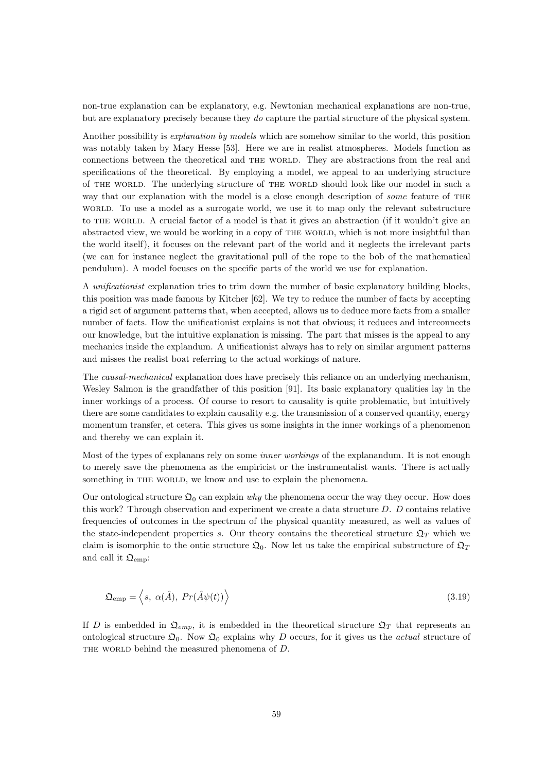non-true explanation can be explanatory, e.g. Newtonian mechanical explanations are non-true, but are explanatory precisely because they do capture the partial structure of the physical system.

Another possibility is explanation by models which are somehow similar to the world, this position was notably taken by Mary Hesse [53]. Here we are in realist atmospheres. Models function as connections between the theoretical and THE WORLD. They are abstractions from the real and specifications of the theoretical. By employing a model, we appeal to an underlying structure of the world. The underlying structure of the world should look like our model in such a way that our explanation with the model is a close enough description of *some* feature of THE world. To use a model as a surrogate world, we use it to map only the relevant substructure to THE WORLD. A crucial factor of a model is that it gives an abstraction (if it wouldn't give an abstracted view, we would be working in a copy of THE WORLD, which is not more insightful than the world itself), it focuses on the relevant part of the world and it neglects the irrelevant parts (we can for instance neglect the gravitational pull of the rope to the bob of the mathematical pendulum). A model focuses on the specific parts of the world we use for explanation.

A unificationist explanation tries to trim down the number of basic explanatory building blocks, this position was made famous by Kitcher [62]. We try to reduce the number of facts by accepting a rigid set of argument patterns that, when accepted, allows us to deduce more facts from a smaller number of facts. How the unificationist explains is not that obvious; it reduces and interconnects our knowledge, but the intuitive explanation is missing. The part that misses is the appeal to any mechanics inside the explandum. A unificationist always has to rely on similar argument patterns and misses the realist boat referring to the actual workings of nature.

The causal-mechanical explanation does have precisely this reliance on an underlying mechanism, Wesley Salmon is the grandfather of this position [91]. Its basic explanatory qualities lay in the inner workings of a process. Of course to resort to causality is quite problematic, but intuitively there are some candidates to explain causality e.g. the transmission of a conserved quantity, energy momentum transfer, et cetera. This gives us some insights in the inner workings of a phenomenon and thereby we can explain it.

Most of the types of explanans rely on some *inner workings* of the explanandum. It is not enough to merely save the phenomena as the empiricist or the instrumentalist wants. There is actually something in THE WORLD, we know and use to explain the phenomena.

Our ontological structure  $\mathfrak{Q}_0$  can explain why the phenomena occur the way they occur. How does this work? Through observation and experiment we create a data structure  $D$ .  $D$  contains relative frequencies of outcomes in the spectrum of the physical quantity measured, as well as values of the state-independent properties s. Our theory contains the theoretical structure  $\mathfrak{Q}_T$  which we claim is isomorphic to the ontic structure  $\mathfrak{Q}_0$ . Now let us take the empirical substructure of  $\mathfrak{Q}_T$ and call it  $\mathfrak{Q}_{\text{emn}}$ :

$$
\mathfrak{Q}_{\rm emp} = \left\langle s, \ \alpha(\hat{A}), \ Pr(\hat{A}\psi(t)) \right\rangle \tag{3.19}
$$

If D is embedded in  $\mathfrak{Q}_{emp}$ , it is embedded in the theoretical structure  $\mathfrak{Q}_T$  that represents an ontological structure  $\mathfrak{Q}_0$ . Now  $\mathfrak{Q}_0$  explains why D occurs, for it gives us the *actual* structure of THE WORLD behind the measured phenomena of D.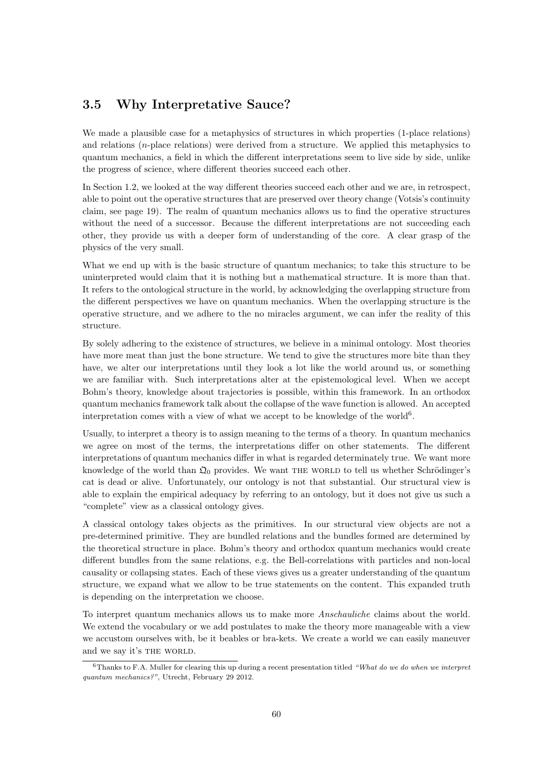#### 3.5 Why Interpretative Sauce?

We made a plausible case for a metaphysics of structures in which properties  $(1-\text{place relations})$ and relations (n-place relations) were derived from a structure. We applied this metaphysics to quantum mechanics, a field in which the different interpretations seem to live side by side, unlike the progress of science, where different theories succeed each other.

In Section 1.2, we looked at the way different theories succeed each other and we are, in retrospect, able to point out the operative structures that are preserved over theory change (Votsis's continuity claim, see page 19). The realm of quantum mechanics allows us to find the operative structures without the need of a successor. Because the different interpretations are not succeeding each other, they provide us with a deeper form of understanding of the core. A clear grasp of the physics of the very small.

What we end up with is the basic structure of quantum mechanics; to take this structure to be uninterpreted would claim that it is nothing but a mathematical structure. It is more than that. It refers to the ontological structure in the world, by acknowledging the overlapping structure from the different perspectives we have on quantum mechanics. When the overlapping structure is the operative structure, and we adhere to the no miracles argument, we can infer the reality of this structure.

By solely adhering to the existence of structures, we believe in a minimal ontology. Most theories have more meat than just the bone structure. We tend to give the structures more bite than they have, we alter our interpretations until they look a lot like the world around us, or something we are familiar with. Such interpretations alter at the epistemological level. When we accept Bohm's theory, knowledge about trajectories is possible, within this framework. In an orthodox quantum mechanics framework talk about the collapse of the wave function is allowed. An accepted interpretation comes with a view of what we accept to be knowledge of the world<sup>6</sup>.

Usually, to interpret a theory is to assign meaning to the terms of a theory. In quantum mechanics we agree on most of the terms, the interpretations differ on other statements. The different interpretations of quantum mechanics differ in what is regarded determinately true. We want more knowledge of the world than  $\mathfrak{Q}_0$  provides. We want THE WORLD to tell us whether Schrödinger's cat is dead or alive. Unfortunately, our ontology is not that substantial. Our structural view is able to explain the empirical adequacy by referring to an ontology, but it does not give us such a "complete" view as a classical ontology gives.

A classical ontology takes objects as the primitives. In our structural view objects are not a pre-determined primitive. They are bundled relations and the bundles formed are determined by the theoretical structure in place. Bohm's theory and orthodox quantum mechanics would create different bundles from the same relations, e.g. the Bell-correlations with particles and non-local causality or collapsing states. Each of these views gives us a greater understanding of the quantum structure, we expand what we allow to be true statements on the content. This expanded truth is depending on the interpretation we choose.

To interpret quantum mechanics allows us to make more Anschauliche claims about the world. We extend the vocabulary or we add postulates to make the theory more manageable with a view we accustom ourselves with, be it beables or bra-kets. We create a world we can easily maneuver and we say it's THE WORLD.

 $6$ Thanks to F.A. Muller for clearing this up during a recent presentation titled "What do we do when we interpret quantum mechanics?", Utrecht, February 29 2012.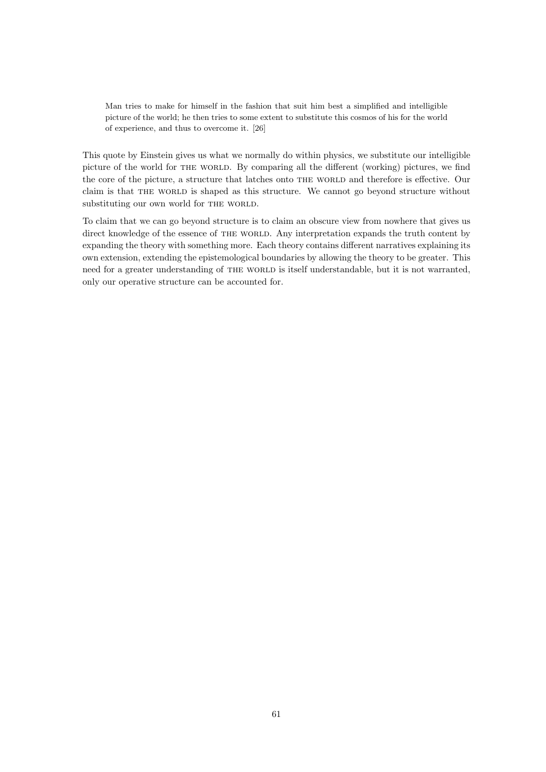Man tries to make for himself in the fashion that suit him best a simplified and intelligible picture of the world; he then tries to some extent to substitute this cosmos of his for the world of experience, and thus to overcome it. [26]

This quote by Einstein gives us what we normally do within physics, we substitute our intelligible picture of the world for the world. By comparing all the different (working) pictures, we find the core of the picture, a structure that latches onto THE WORLD and therefore is effective. Our claim is that THE WORLD is shaped as this structure. We cannot go beyond structure without substituting our own world for THE WORLD.

To claim that we can go beyond structure is to claim an obscure view from nowhere that gives us direct knowledge of the essence of THE WORLD. Any interpretation expands the truth content by expanding the theory with something more. Each theory contains different narratives explaining its own extension, extending the epistemological boundaries by allowing the theory to be greater. This need for a greater understanding of THE WORLD is itself understandable, but it is not warranted, only our operative structure can be accounted for.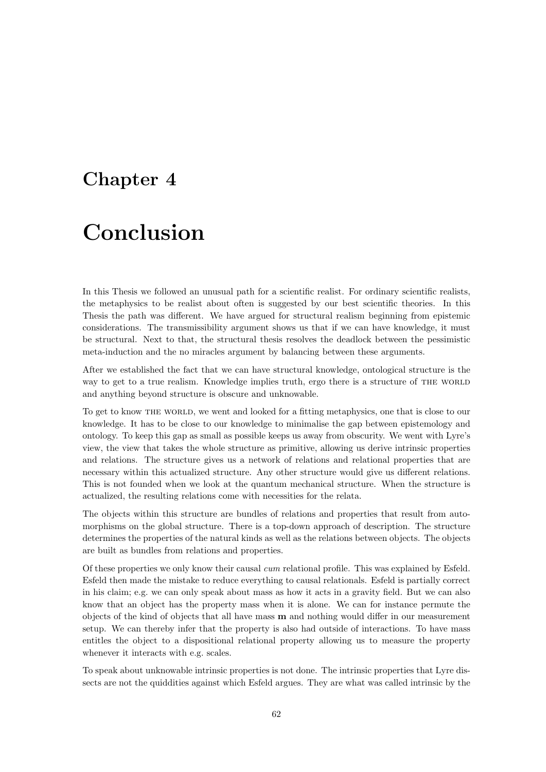### Chapter 4

# Conclusion

In this Thesis we followed an unusual path for a scientific realist. For ordinary scientific realists, the metaphysics to be realist about often is suggested by our best scientific theories. In this Thesis the path was different. We have argued for structural realism beginning from epistemic considerations. The transmissibility argument shows us that if we can have knowledge, it must be structural. Next to that, the structural thesis resolves the deadlock between the pessimistic meta-induction and the no miracles argument by balancing between these arguments.

After we established the fact that we can have structural knowledge, ontological structure is the way to get to a true realism. Knowledge implies truth, ergo there is a structure of THE WORLD and anything beyond structure is obscure and unknowable.

To get to know THE WORLD, we went and looked for a fitting metaphysics, one that is close to our knowledge. It has to be close to our knowledge to minimalise the gap between epistemology and ontology. To keep this gap as small as possible keeps us away from obscurity. We went with Lyre's view, the view that takes the whole structure as primitive, allowing us derive intrinsic properties and relations. The structure gives us a network of relations and relational properties that are necessary within this actualized structure. Any other structure would give us different relations. This is not founded when we look at the quantum mechanical structure. When the structure is actualized, the resulting relations come with necessities for the relata.

The objects within this structure are bundles of relations and properties that result from automorphisms on the global structure. There is a top-down approach of description. The structure determines the properties of the natural kinds as well as the relations between objects. The objects are built as bundles from relations and properties.

Of these properties we only know their causal cum relational profile. This was explained by Esfeld. Esfeld then made the mistake to reduce everything to causal relationals. Esfeld is partially correct in his claim; e.g. we can only speak about mass as how it acts in a gravity field. But we can also know that an object has the property mass when it is alone. We can for instance permute the objects of the kind of objects that all have mass m and nothing would differ in our measurement setup. We can thereby infer that the property is also had outside of interactions. To have mass entitles the object to a dispositional relational property allowing us to measure the property whenever it interacts with e.g. scales.

To speak about unknowable intrinsic properties is not done. The intrinsic properties that Lyre dissects are not the quiddities against which Esfeld argues. They are what was called intrinsic by the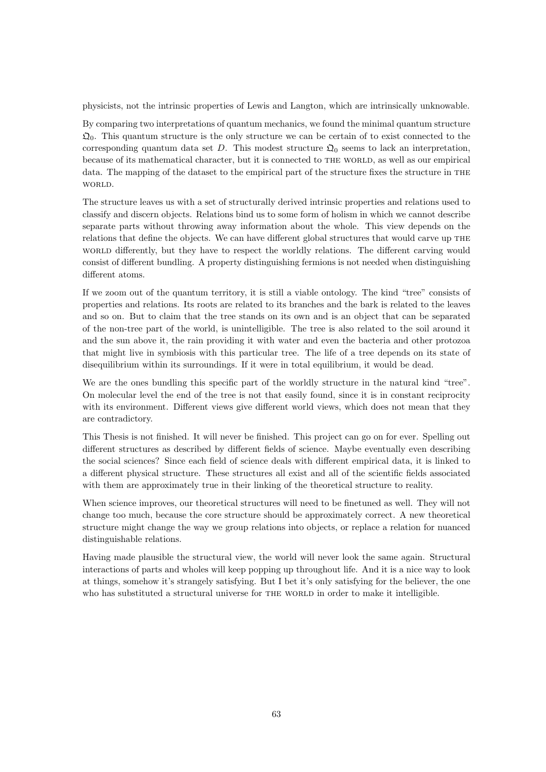physicists, not the intrinsic properties of Lewis and Langton, which are intrinsically unknowable.

By comparing two interpretations of quantum mechanics, we found the minimal quantum structure  $\mathfrak{Q}_0$ . This quantum structure is the only structure we can be certain of to exist connected to the corresponding quantum data set D. This modest structure  $\mathfrak{Q}_0$  seems to lack an interpretation, because of its mathematical character, but it is connected to THE WORLD, as well as our empirical data. The mapping of the dataset to the empirical part of the structure fixes the structure in the WORLD.

The structure leaves us with a set of structurally derived intrinsic properties and relations used to classify and discern objects. Relations bind us to some form of holism in which we cannot describe separate parts without throwing away information about the whole. This view depends on the relations that define the objects. We can have different global structures that would carve up the world differently, but they have to respect the worldly relations. The different carving would consist of different bundling. A property distinguishing fermions is not needed when distinguishing different atoms.

If we zoom out of the quantum territory, it is still a viable ontology. The kind "tree" consists of properties and relations. Its roots are related to its branches and the bark is related to the leaves and so on. But to claim that the tree stands on its own and is an object that can be separated of the non-tree part of the world, is unintelligible. The tree is also related to the soil around it and the sun above it, the rain providing it with water and even the bacteria and other protozoa that might live in symbiosis with this particular tree. The life of a tree depends on its state of disequilibrium within its surroundings. If it were in total equilibrium, it would be dead.

We are the ones bundling this specific part of the worldly structure in the natural kind "tree". On molecular level the end of the tree is not that easily found, since it is in constant reciprocity with its environment. Different views give different world views, which does not mean that they are contradictory.

This Thesis is not finished. It will never be finished. This project can go on for ever. Spelling out different structures as described by different fields of science. Maybe eventually even describing the social sciences? Since each field of science deals with different empirical data, it is linked to a different physical structure. These structures all exist and all of the scientific fields associated with them are approximately true in their linking of the theoretical structure to reality.

When science improves, our theoretical structures will need to be finetuned as well. They will not change too much, because the core structure should be approximately correct. A new theoretical structure might change the way we group relations into objects, or replace a relation for nuanced distinguishable relations.

Having made plausible the structural view, the world will never look the same again. Structural interactions of parts and wholes will keep popping up throughout life. And it is a nice way to look at things, somehow it's strangely satisfying. But I bet it's only satisfying for the believer, the one who has substituted a structural universe for THE WORLD in order to make it intelligible.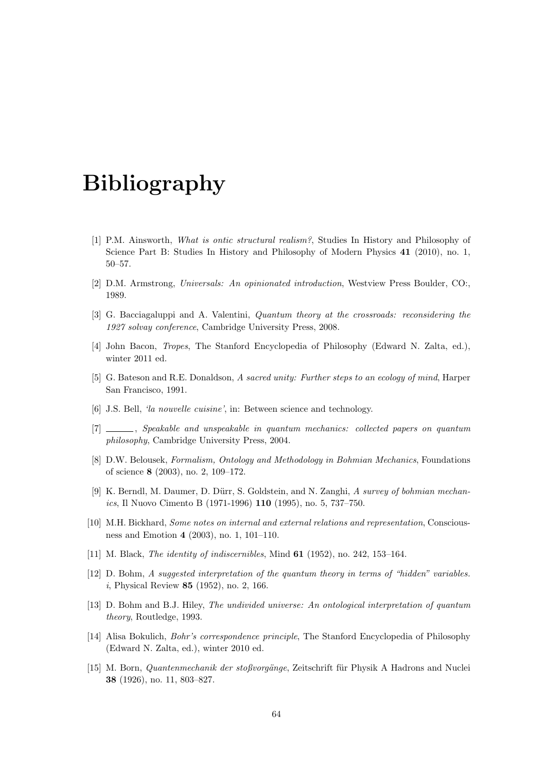## Bibliography

- [1] P.M. Ainsworth, What is ontic structural realism?, Studies In History and Philosophy of Science Part B: Studies In History and Philosophy of Modern Physics 41 (2010), no. 1, 50–57.
- [2] D.M. Armstrong, Universals: An opinionated introduction, Westview Press Boulder, CO:, 1989.
- [3] G. Bacciagaluppi and A. Valentini, *Quantum theory at the crossroads: reconsidering the* 1927 solvay conference, Cambridge University Press, 2008.
- [4] John Bacon, Tropes, The Stanford Encyclopedia of Philosophy (Edward N. Zalta, ed.), winter 2011 ed.
- [5] G. Bateson and R.E. Donaldson, A sacred unity: Further steps to an ecology of mind, Harper San Francisco, 1991.
- [6] J.S. Bell, 'la nouvelle cuisine', in: Between science and technology.
- [7] , Speakable and unspeakable in quantum mechanics: collected papers on quantum philosophy, Cambridge University Press, 2004.
- [8] D.W. Belousek, Formalism, Ontology and Methodology in Bohmian Mechanics, Foundations of science 8 (2003), no. 2, 109–172.
- [9] K. Berndl, M. Daumer, D. Dürr, S. Goldstein, and N. Zanghi, A survey of bohmian mechanics, Il Nuovo Cimento B (1971-1996) 110 (1995), no. 5, 737–750.
- [10] M.H. Bickhard, Some notes on internal and external relations and representation, Consciousness and Emotion 4 (2003), no. 1, 101–110.
- [11] M. Black, *The identity of indiscernibles*, Mind **61** (1952), no. 242, 153-164.
- [12] D. Bohm, A suggested interpretation of the quantum theory in terms of "hidden" variables. i, Physical Review 85 (1952), no. 2, 166.
- [13] D. Bohm and B.J. Hiley, The undivided universe: An ontological interpretation of quantum theory, Routledge, 1993.
- [14] Alisa Bokulich, Bohr's correspondence principle, The Stanford Encyclopedia of Philosophy (Edward N. Zalta, ed.), winter 2010 ed.
- [15] M. Born, *Quantenmechanik der stoßvorgänge*, Zeitschrift für Physik A Hadrons and Nuclei 38 (1926), no. 11, 803–827.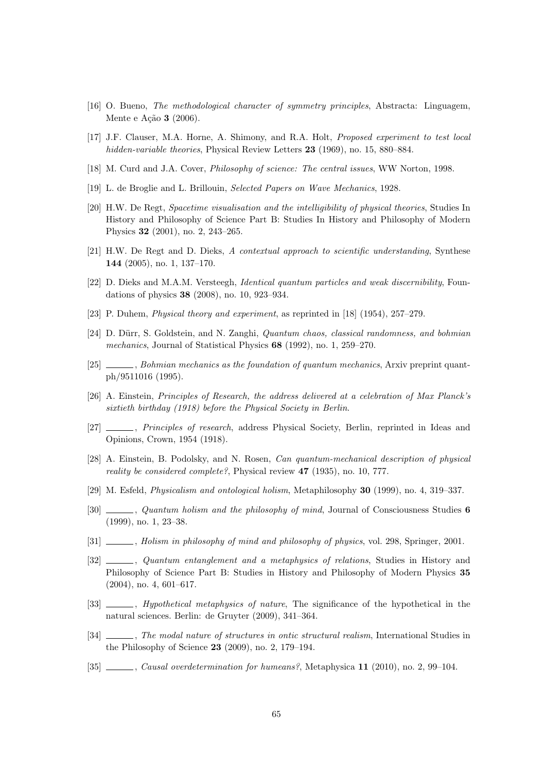- [16] O. Bueno, The methodological character of symmetry principles, Abstracta: Linguagem, Mente e Ação **3** (2006).
- [17] J.F. Clauser, M.A. Horne, A. Shimony, and R.A. Holt, Proposed experiment to test local hidden-variable theories, Physical Review Letters 23 (1969), no. 15, 880–884.
- [18] M. Curd and J.A. Cover, Philosophy of science: The central issues, WW Norton, 1998.
- [19] L. de Broglie and L. Brillouin, Selected Papers on Wave Mechanics, 1928.
- [20] H.W. De Regt, Spacetime visualisation and the intelligibility of physical theories, Studies In History and Philosophy of Science Part B: Studies In History and Philosophy of Modern Physics 32 (2001), no. 2, 243–265.
- [21] H.W. De Regt and D. Dieks, A contextual approach to scientific understanding, Synthese 144 (2005), no. 1, 137–170.
- [22] D. Dieks and M.A.M. Versteegh, Identical quantum particles and weak discernibility, Foundations of physics 38 (2008), no. 10, 923–934.
- [23] P. Duhem, Physical theory and experiment, as reprinted in [18] (1954), 257–279.
- [24] D. Dürr, S. Goldstein, and N. Zanghi, *Quantum chaos, classical randomness, and bohmian* mechanics, Journal of Statistical Physics 68 (1992), no. 1, 259–270.
- [25] , Bohmian mechanics as the foundation of quantum mechanics, Arxiv preprint quantph/9511016 (1995).
- [26] A. Einstein, Principles of Research, the address delivered at a celebration of Max Planck's sixtieth birthday (1918) before the Physical Society in Berlin.
- [27] , Principles of research, address Physical Society, Berlin, reprinted in Ideas and Opinions, Crown, 1954 (1918).
- [28] A. Einstein, B. Podolsky, and N. Rosen, Can quantum-mechanical description of physical reality be considered complete?, Physical review 47 (1935), no. 10, 777.
- [29] M. Esfeld, Physicalism and ontological holism, Metaphilosophy 30 (1999), no. 4, 319–337.
- [30]  $\_\_\_\_\$ guantum holism and the philosophy of mind, Journal of Consciousness Studies 6 (1999), no. 1, 23–38.
- [31] , Holism in philosophy of mind and philosophy of physics, vol. 298, Springer, 2001.
- [32]  $\_\_\_\_\_\$ n, Quantum entanglement and a metaphysics of relations, Studies in History and Philosophy of Science Part B: Studies in History and Philosophy of Modern Physics 35 (2004), no. 4, 601–617.
- [33]  $\_\_\_\_\_\$  Hypothetical metaphysics of nature. The significance of the hypothetical in the natural sciences. Berlin: de Gruyter (2009), 341–364.
- [34]  $\ldots$ , The modal nature of structures in ontic structural realism, International Studies in the Philosophy of Science 23 (2009), no. 2, 179–194.
- [35] , Causal overdetermination for humeans?, Metaphysica 11 (2010), no. 2, 99–104.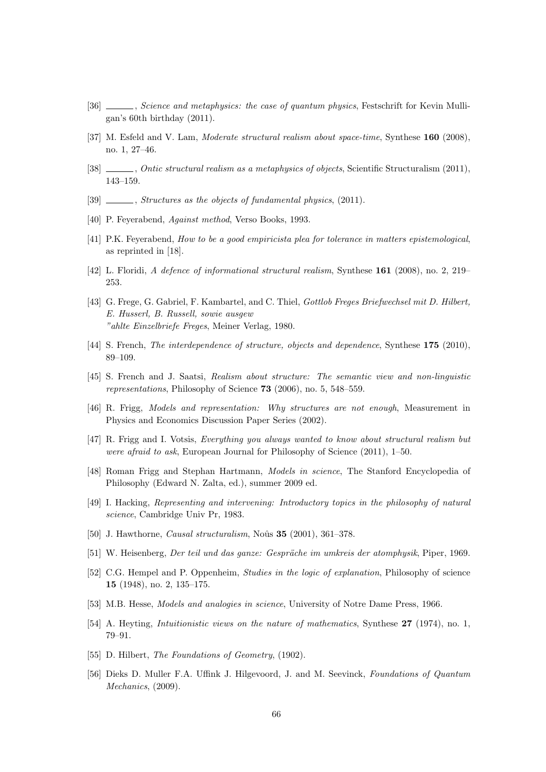- [36] , Science and metaphysics: the case of quantum physics, Festschrift for Kevin Mulligan's 60th birthday (2011).
- [37] M. Esfeld and V. Lam, Moderate structural realism about space-time, Synthese 160 (2008), no. 1, 27–46.
- [38] , Ontic structural realism as a metaphysics of objects, Scientific Structuralism (2011), 143–159.
- $[39]$   $\_\_\_\_\_\$ ctructures as the objects of fundamental physics, (2011).
- [40] P. Feyerabend, Against method, Verso Books, 1993.
- [41] P.K. Feyerabend, How to be a good empiricista plea for tolerance in matters epistemological, as reprinted in [18].
- [42] L. Floridi, A defence of informational structural realism, Synthese 161 (2008), no. 2, 219– 253.
- [43] G. Frege, G. Gabriel, F. Kambartel, and C. Thiel, Gottlob Freges Briefwechsel mit D. Hilbert, E. Husserl, B. Russell, sowie ausgew "ahlte Einzelbriefe Freges, Meiner Verlag, 1980.
- [44] S. French, *The interdependence of structure, objects and dependence*, Synthese 175 (2010), 89–109.
- [45] S. French and J. Saatsi, Realism about structure: The semantic view and non-linguistic representations, Philosophy of Science 73 (2006), no. 5, 548–559.
- [46] R. Frigg, Models and representation: Why structures are not enough, Measurement in Physics and Economics Discussion Paper Series (2002).
- [47] R. Frigg and I. Votsis, Everything you always wanted to know about structural realism but were afraid to ask, European Journal for Philosophy of Science (2011), 1–50.
- [48] Roman Frigg and Stephan Hartmann, Models in science, The Stanford Encyclopedia of Philosophy (Edward N. Zalta, ed.), summer 2009 ed.
- [49] I. Hacking, Representing and intervening: Introductory topics in the philosophy of natural science, Cambridge Univ Pr, 1983.
- [50] J. Hawthorne, *Causal structuralism*, Noûs  $35$  (2001), 361–378.
- [51] W. Heisenberg, Der teil und das ganze: Gespräche im umkreis der atomphysik, Piper, 1969.
- [52] C.G. Hempel and P. Oppenheim, *Studies in the logic of explanation*, Philosophy of science 15 (1948), no. 2, 135–175.
- [53] M.B. Hesse, Models and analogies in science, University of Notre Dame Press, 1966.
- [54] A. Heyting, *Intuitionistic views on the nature of mathematics*, Synthese 27 (1974), no. 1, 79–91.
- [55] D. Hilbert, The Foundations of Geometry, (1902).
- [56] Dieks D. Muller F.A. Uffink J. Hilgevoord, J. and M. Seevinck, Foundations of Quantum Mechanics, (2009).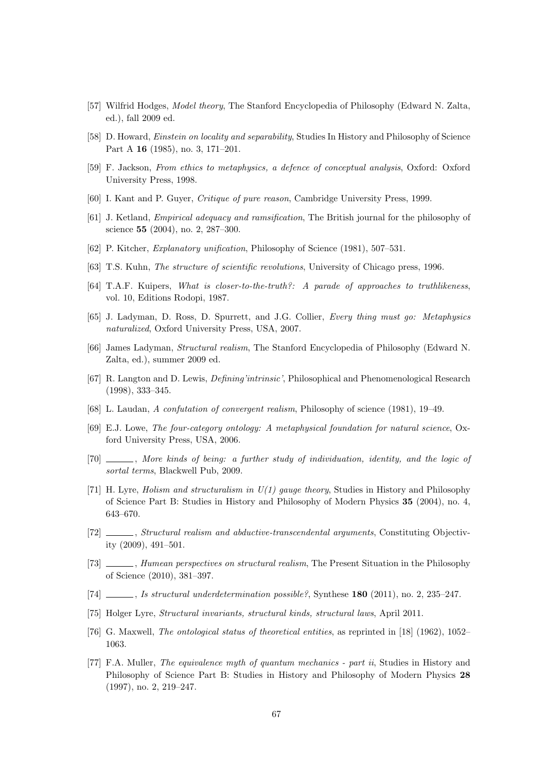- [57] Wilfrid Hodges, *Model theory*, The Stanford Encyclopedia of Philosophy (Edward N. Zalta, ed.), fall 2009 ed.
- [58] D. Howard, *Einstein on locality and separability*, Studies In History and Philosophy of Science Part A 16 (1985), no. 3, 171–201.
- [59] F. Jackson, From ethics to metaphysics, a defence of conceptual analysis, Oxford: Oxford University Press, 1998.
- [60] I. Kant and P. Guyer, Critique of pure reason, Cambridge University Press, 1999.
- [61] J. Ketland, Empirical adequacy and ramsification, The British journal for the philosophy of science 55 (2004), no. 2, 287–300.
- [62] P. Kitcher, Explanatory unification, Philosophy of Science (1981), 507–531.
- [63] T.S. Kuhn, The structure of scientific revolutions, University of Chicago press, 1996.
- [64] T.A.F. Kuipers, What is closer-to-the-truth?: A parade of approaches to truthlikeness, vol. 10, Editions Rodopi, 1987.
- [65] J. Ladyman, D. Ross, D. Spurrett, and J.G. Collier, Every thing must go: Metaphysics naturalized, Oxford University Press, USA, 2007.
- [66] James Ladyman, Structural realism, The Stanford Encyclopedia of Philosophy (Edward N. Zalta, ed.), summer 2009 ed.
- [67] R. Langton and D. Lewis, Defining'intrinsic', Philosophical and Phenomenological Research (1998), 333–345.
- [68] L. Laudan, A confutation of convergent realism, Philosophy of science (1981), 19–49.
- [69] E.J. Lowe, The four-category ontology: A metaphysical foundation for natural science, Oxford University Press, USA, 2006.
- [70] , More kinds of being: a further study of individuation, identity, and the logic of sortal terms, Blackwell Pub, 2009.
- [71] H. Lyre, *Holism and structuralism in U(1) gauge theory*, Studies in History and Philosophy of Science Part B: Studies in History and Philosophy of Modern Physics 35 (2004), no. 4, 643–670.
- [72] , Structural realism and abductive-transcendental arguments, Constituting Objectivity (2009), 491–501.
- [73]  $\_\_\_\_\_\$ , Humean perspectives on structural realism, The Present Situation in the Philosophy of Science (2010), 381–397.
- [74]  $\ldots$ , Is structural underdetermination possible?, Synthese 180 (2011), no. 2, 235–247.
- [75] Holger Lyre, Structural invariants, structural kinds, structural laws, April 2011.
- [76] G. Maxwell, The ontological status of theoretical entities, as reprinted in [18] (1962), 1052– 1063.
- [77] F.A. Muller, The equivalence myth of quantum mechanics part ii, Studies in History and Philosophy of Science Part B: Studies in History and Philosophy of Modern Physics 28 (1997), no. 2, 219–247.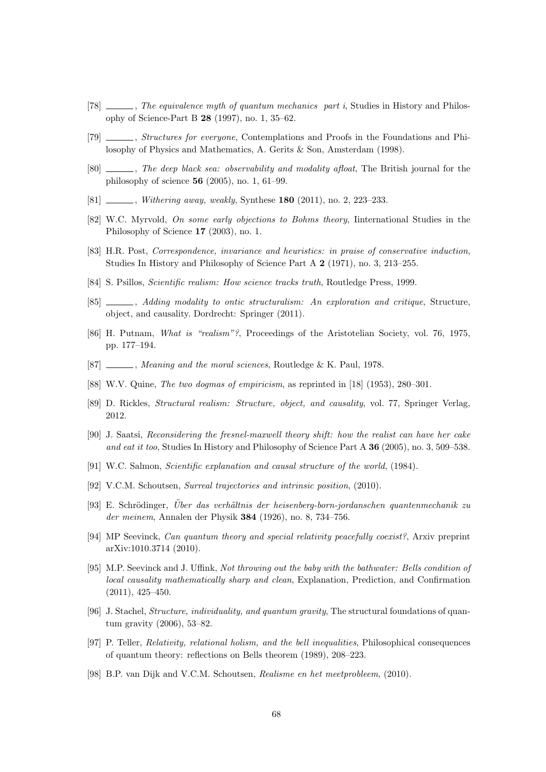- [78]  $\ldots$ , The equivalence myth of quantum mechanics part i, Studies in History and Philosophy of Science-Part B 28 (1997), no. 1, 35–62.
- [79] *Structures for everyone*, Contemplations and Proofs in the Foundations and Philosophy of Physics and Mathematics, A. Gerits & Son, Amsterdam (1998).
- [80]  $\ldots$ , The deep black sea: observability and modality afloat, The British journal for the philosophy of science 56 (2005), no. 1, 61–99.
- [81]  $\frac{[81]}{[81]}$  , *Withering away, weakly, Synthese* **180** (2011), no. 2, 223–233.
- [82] W.C. Myrvold, On some early objections to Bohms theory, Iinternational Studies in the Philosophy of Science 17 (2003), no. 1.
- [83] H.R. Post, Correspondence, invariance and heuristics: in praise of conservative induction, Studies In History and Philosophy of Science Part A 2 (1971), no. 3, 213–255.
- [84] S. Psillos, Scientific realism: How science tracks truth, Routledge Press, 1999.
- [85]  $\_\_\_\_\$ , Adding modality to ontic structuralism: An exploration and critique, Structure, object, and causality. Dordrecht: Springer (2011).
- [86] H. Putnam, What is "realism"?, Proceedings of the Aristotelian Society, vol. 76, 1975, pp. 177–194.
- [87] Meaning and the moral sciences, Routledge & K. Paul, 1978.
- [88] W.V. Quine, The two dogmas of empiricism, as reprinted in [18] (1953), 280–301.
- [89] D. Rickles, Structural realism: Structure, object, and causality, vol. 77, Springer Verlag, 2012.
- [90] J. Saatsi, Reconsidering the fresnel-maxwell theory shift: how the realist can have her cake and eat it too, Studies In History and Philosophy of Science Part A 36 (2005), no. 3, 509–538.
- [91] W.C. Salmon, Scientific explanation and causal structure of the world, (1984).
- [92] V.C.M. Schoutsen, Surreal trajectories and intrinsic position, (2010).
- [93] E. Schrödinger, Über das verhältnis der heisenberg-born-jordanschen quantenmechanik zu der meinem, Annalen der Physik 384 (1926), no. 8, 734–756.
- [94] MP Seevinck, Can quantum theory and special relativity peacefully coexist?, Arxiv preprint arXiv:1010.3714 (2010).
- [95] M.P. Seevinck and J. Uffink, Not throwing out the baby with the bathwater: Bells condition of local causality mathematically sharp and clean, Explanation, Prediction, and Confirmation (2011), 425–450.
- [96] J. Stachel, Structure, individuality, and quantum gravity, The structural foundations of quantum gravity (2006), 53–82.
- [97] P. Teller, Relativity, relational holism, and the bell inequalities, Philosophical consequences of quantum theory: reflections on Bells theorem (1989), 208–223.
- [98] B.P. van Dijk and V.C.M. Schoutsen, Realisme en het meetprobleem, (2010).